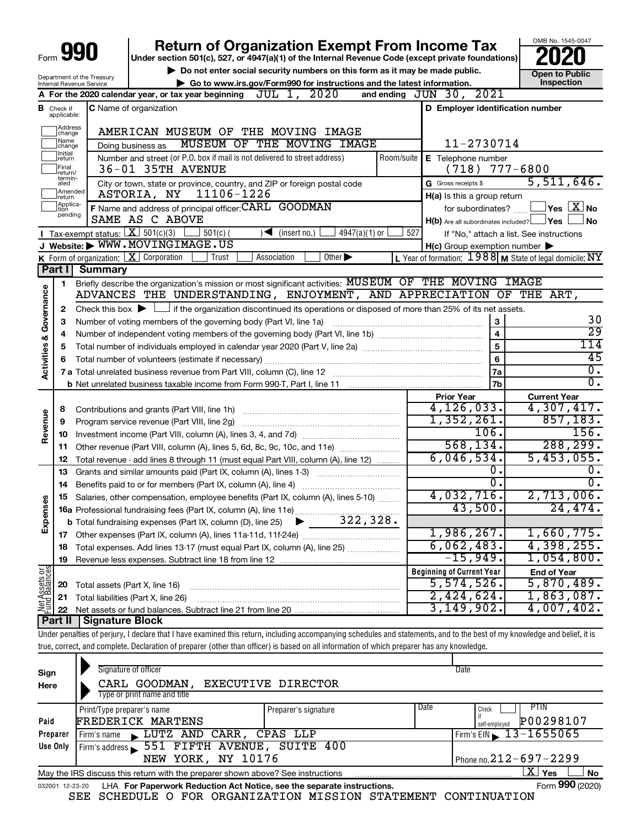|                         |                               | Form 990                                    | <b>Return of Organization Exempt From Income Tax</b>                                                                                                                          |                                                                                                                | OMB No. 1545-0047                                                     |
|-------------------------|-------------------------------|---------------------------------------------|-------------------------------------------------------------------------------------------------------------------------------------------------------------------------------|----------------------------------------------------------------------------------------------------------------|-----------------------------------------------------------------------|
|                         |                               |                                             | Under section 501(c), 527, or 4947(a)(1) of the Internal Revenue Code (except private foundations)                                                                            |                                                                                                                |                                                                       |
|                         |                               | Department of the Treasury                  | Do not enter social security numbers on this form as it may be made public.                                                                                                   |                                                                                                                | Open to Public<br><b>Inspection</b>                                   |
|                         |                               | Internal Revenue Service                    | Go to www.irs.gov/Form990 for instructions and the latest information.<br>JUL 1, 2020<br>A For the 2020 calendar year, or tax year beginning                                  | and ending JUN 30, 2021                                                                                        |                                                                       |
|                         |                               |                                             |                                                                                                                                                                               |                                                                                                                |                                                                       |
|                         | <b>B</b> Check if applicable: |                                             | <b>C</b> Name of organization                                                                                                                                                 | D Employer identification number                                                                               |                                                                       |
|                         | Address<br>change             |                                             | AMERICAN MUSEUM OF THE MOVING IMAGE                                                                                                                                           |                                                                                                                |                                                                       |
|                         | Name<br>change                |                                             | MUSEUM OF THE MOVING IMAGE<br>Doing business as                                                                                                                               | 11-2730714                                                                                                     |                                                                       |
|                         | Initial<br>return<br>Final    |                                             | Number and street (or P.O. box if mail is not delivered to street address)<br>Room/suite<br>36-01 35TH AVENUE                                                                 | E Telephone number<br>$(718)$ $777-6800$                                                                       |                                                                       |
|                         | return/<br>termin-            |                                             |                                                                                                                                                                               |                                                                                                                | 5,511,646.                                                            |
|                         | ated<br>Amended               |                                             | City or town, state or province, country, and ZIP or foreign postal code<br>11106-1226<br>ASTORIA, NY                                                                         | G Gross receipts \$                                                                                            |                                                                       |
|                         | return<br>Applica-            |                                             | F Name and address of principal officer: CARL GOODMAN                                                                                                                         | H(a) Is this a group return                                                                                    | $\mathsf{\lvert}$ Yes $\mathsf{\lvert} \mathsf{X} \mathsf{\lvert}$ No |
|                         | tion<br>pending               |                                             | SAME AS C ABOVE                                                                                                                                                               | for subordinates?                                                                                              |                                                                       |
|                         |                               | Tax-exempt status: $X \over 301(c)(3)$      |                                                                                                                                                                               | $H(b)$ Are all subordinates included? $\Box$ Yes<br>527                                                        | <b>No</b>                                                             |
|                         |                               |                                             | $501(c)$ (<br>$4947(a)(1)$ or<br>$\blacktriangleleft$ (insert no.)<br>J Website: WWW.MOVINGIMAGE.US                                                                           |                                                                                                                | If "No," attach a list. See instructions                              |
|                         |                               |                                             | K Form of organization: $X$ Corporation<br>Association<br>Other $\blacktriangleright$<br>Trust                                                                                | $H(c)$ Group exemption number $\blacktriangleright$<br>L Year of formation: 1988 M State of legal domicile: NY |                                                                       |
|                         | Part I                        | <b>Summary</b>                              |                                                                                                                                                                               |                                                                                                                |                                                                       |
|                         |                               |                                             |                                                                                                                                                                               |                                                                                                                |                                                                       |
|                         | 1                             |                                             | Briefly describe the organization's mission or most significant activities: MUSEUM OF THE MOVING IMAGE<br>ADVANCES THE UNDERSTANDING, ENJOYMENT, AND APPRECIATION OF THE ART, |                                                                                                                |                                                                       |
|                         |                               |                                             |                                                                                                                                                                               |                                                                                                                |                                                                       |
| Governance              | 2                             | Check this box $\blacktriangleright$ $\Box$ | $\rfloor$ if the organization discontinued its operations or disposed of more than 25% of its net assets.                                                                     |                                                                                                                |                                                                       |
|                         | з                             |                                             | Number of voting members of the governing body (Part VI, line 1a)                                                                                                             | 3                                                                                                              | 30                                                                    |
|                         | 4                             |                                             |                                                                                                                                                                               | 4                                                                                                              | $\overline{29}$                                                       |
|                         | 5                             |                                             |                                                                                                                                                                               | 5                                                                                                              | 114                                                                   |
| <b>Activities &amp;</b> |                               |                                             |                                                                                                                                                                               | 6                                                                                                              | 45                                                                    |
|                         |                               |                                             |                                                                                                                                                                               | 7a                                                                                                             | $\overline{0}$ .                                                      |
|                         |                               |                                             | b Net unrelated business taxable income from Form 990-T, Part I, line 11 [1] [1] [1] [1] Net unrelated business taxable income from Form 990-T, Part I, line 11               | 7b                                                                                                             | $\overline{0}$ .                                                      |
|                         |                               |                                             |                                                                                                                                                                               | <b>Prior Year</b>                                                                                              | <b>Current Year</b>                                                   |
|                         | 8                             |                                             |                                                                                                                                                                               | 4, 126, 033.                                                                                                   | 4,307,417.                                                            |
| Revenue                 | 9                             |                                             | Program service revenue (Part VIII, line 2g)                                                                                                                                  | 1,352,261.                                                                                                     | 857,183.                                                              |
|                         | 10                            |                                             |                                                                                                                                                                               | 106.                                                                                                           | 156.                                                                  |
|                         | 11                            |                                             |                                                                                                                                                                               | 568, 134.                                                                                                      | 288, 299.                                                             |
|                         | 12                            |                                             | Total revenue - add lines 8 through 11 (must equal Part VIII, column (A), line 12)                                                                                            | 6,046,534.                                                                                                     | 5,453,055.                                                            |
|                         | 13                            |                                             | Grants and similar amounts paid (Part IX, column (A), lines 1-3)                                                                                                              | о.                                                                                                             | 0.                                                                    |
|                         | 14                            |                                             |                                                                                                                                                                               | σ.                                                                                                             | $\overline{0}$ .                                                      |
|                         |                               |                                             | 15 Salaries, other compensation, employee benefits (Part IX, column (A), lines 5-10)                                                                                          | 4,032,716.<br>Δ                                                                                                | 2,713,006.                                                            |
| Expense                 |                               |                                             | 16a Professional fundraising fees (Part IX, column (A), line 11e)                                                                                                             | 43,500.                                                                                                        | 24,474.                                                               |
|                         |                               |                                             | 322,328.<br><b>b</b> Total fundraising expenses (Part IX, column (D), line 25)                                                                                                |                                                                                                                |                                                                       |
|                         |                               |                                             |                                                                                                                                                                               | 1,986,267.                                                                                                     | 1,660,775.                                                            |
|                         | 18                            |                                             | Total expenses. Add lines 13-17 (must equal Part IX, column (A), line 25) <i></i>                                                                                             | 6,062,483.                                                                                                     | 4,398,255.                                                            |
|                         | 19                            |                                             |                                                                                                                                                                               | $-15,949.$                                                                                                     | 1,054,800.                                                            |
|                         |                               |                                             |                                                                                                                                                                               | <b>Beginning of Current Year</b>                                                                               | <b>End of Year</b>                                                    |
|                         | 20                            | Total assets (Part X, line 16)              |                                                                                                                                                                               | 5,574,526.                                                                                                     | 5,870,489.                                                            |
| Net Assets or           | 21                            |                                             | Total liabilities (Part X, line 26)                                                                                                                                           | 2,424,624.                                                                                                     | 1,863,087.                                                            |
|                         | 22                            |                                             |                                                                                                                                                                               | 3,149,902.                                                                                                     | 4,007,402.                                                            |
|                         | <b>Part II</b>                | Signature Block                             |                                                                                                                                                                               |                                                                                                                |                                                                       |
|                         |                               |                                             | Under penalties of perjury, I declare that I have examined this return, including accompanying schedules and statements, and to the best of my knowledge and belief, it is    |                                                                                                                |                                                                       |
|                         |                               |                                             | true, correct, and complete. Declaration of preparer (other than officer) is based on all information of which preparer has any knowledge.                                    |                                                                                                                |                                                                       |

| Sign<br>Here    | Signature of officer<br>CARL GOODMAN,<br>Type or print name and title           | <b>EXECUTIVE DIRECTOR</b> |      | Date                           |
|-----------------|---------------------------------------------------------------------------------|---------------------------|------|--------------------------------|
|                 | Print/Type preparer's name                                                      | Preparer's signature      | Date | PTIN<br>Check                  |
| Paid            | FREDERICK MARTENS                                                               |                           |      | P00298107<br>self-emploved     |
| Preparer        | LUTZ AND CARR, CPAS LLP<br>Firm's name                                          |                           |      | Firm's EIN $\sqrt{13-1655065}$ |
| Use Only        | Firm's address 551 FIFTH AVENUE, SUITE 400                                      |                           |      |                                |
|                 | NEW YORK, NY 10176                                                              |                           |      | Phone no. $212 - 697 - 2299$   |
|                 | May the IRS discuss this return with the preparer shown above? See instructions |                           |      | x.<br>Yes<br><b>No</b>         |
| 032001 12-23-20 | LHA For Paperwork Reduction Act Notice, see the separate instructions.          |                           |      | Form 990 (2020)                |

SEE SCHEDULE O FOR ORGANIZATION MISSION STATEMENT CONTINUATION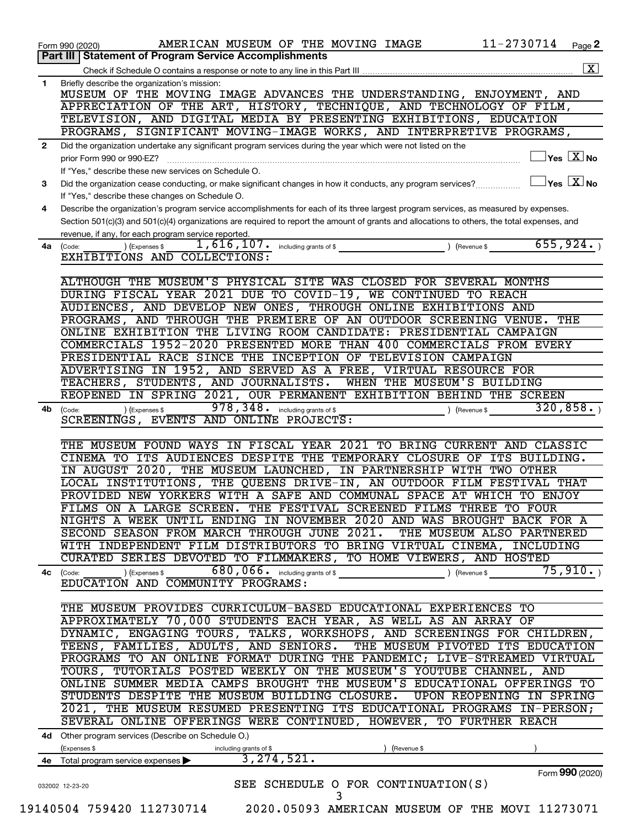|              | 11-2730714<br>AMERICAN MUSEUM OF THE MOVING IMAGE<br>Page 2<br>Form 990 (2020)                                                               |
|--------------|----------------------------------------------------------------------------------------------------------------------------------------------|
|              | Part III   Statement of Program Service Accomplishments                                                                                      |
|              | $\boxed{\mathbf{X}}$                                                                                                                         |
| 1            | Briefly describe the organization's mission:                                                                                                 |
|              | MUSEUM OF THE MOVING IMAGE ADVANCES THE UNDERSTANDING, ENJOYMENT, AND                                                                        |
|              | APPRECIATION OF THE ART, HISTORY, TECHNIQUE, AND TECHNOLOGY OF FILM,                                                                         |
|              | TELEVISION, AND DIGITAL MEDIA BY PRESENTING EXHIBITIONS, EDUCATION                                                                           |
|              | PROGRAMS, SIGNIFICANT MOVING-IMAGE WORKS, AND INTERPRETIVE PROGRAMS,                                                                         |
| $\mathbf{2}$ | Did the organization undertake any significant program services during the year which were not listed on the                                 |
|              | $\exists$ Yes $\boxed{\text{X}}$ No<br>prior Form 990 or 990-EZ?                                                                             |
|              | If "Yes," describe these new services on Schedule O.                                                                                         |
| 3            | $Yes$ $X$ No<br>Did the organization cease conducting, or make significant changes in how it conducts, any program services?                 |
|              | If "Yes," describe these changes on Schedule O.                                                                                              |
| 4            | Describe the organization's program service accomplishments for each of its three largest program services, as measured by expenses.         |
|              | Section 501(c)(3) and 501(c)(4) organizations are required to report the amount of grants and allocations to others, the total expenses, and |
|              | revenue, if any, for each program service reported.                                                                                          |
| 4a l         | 655,924.<br>$1,616,107$ .<br>including grants of \$<br>) (Revenue \$<br>(Expenses \$<br>(Code:                                               |
|              | EXHIBITIONS AND COLLECTIONS:                                                                                                                 |
|              |                                                                                                                                              |
|              | ALTHOUGH THE MUSEUM'S PHYSICAL SITE WAS CLOSED FOR SEVERAL MONTHS                                                                            |
|              | DURING FISCAL YEAR 2021 DUE TO COVID-19, WE CONTINUED TO REACH                                                                               |
|              | AUDIENCES, AND DEVELOP NEW ONES, THROUGH ONLINE EXHIBITIONS AND                                                                              |
|              | PROGRAMS, AND THROUGH THE PREMIERE OF AN OUTDOOR SCREENING VENUE.<br>THE                                                                     |
|              | ONLINE EXHIBITION THE LIVING ROOM CANDIDATE: PRESIDENTIAL CAMPAIGN                                                                           |
|              | COMMERCIALS 1952-2020 PRESENTED MORE THAN 400 COMMERCIALS FROM EVERY                                                                         |
|              | PRESIDENTIAL RACE SINCE THE INCEPTION OF TELEVISION CAMPAIGN                                                                                 |
|              |                                                                                                                                              |
|              | ADVERTISING IN 1952, AND SERVED AS A FREE, VIRTUAL RESOURCE FOR                                                                              |
|              | TEACHERS, STUDENTS, AND JOURNALISTS.<br>WHEN THE MUSEUM'S BUILDING                                                                           |
|              | REOPENED IN SPRING 2021, OUR PERMANENT EXHIBITION BEHIND THE SCREEN                                                                          |
| 4b.          | 978, 348. including grants of \$<br>320,858.<br>) (Expenses \$<br>(Code:<br>(Revenue \$                                                      |
|              | SCREENINGS, EVENTS AND ONLINE PROJECTS:                                                                                                      |
|              |                                                                                                                                              |
|              | THE MUSEUM FOUND WAYS IN FISCAL YEAR 2021<br>TO BRING CURRENT AND<br>CLASSIC                                                                 |
|              | CINEMA TO ITS AUDIENCES DESPITE THE TEMPORARY CLOSURE<br>OF<br>ITS BUILDING.                                                                 |
|              | IN AUGUST 2020, THE MUSEUM LAUNCHED, IN PARTNERSHIP<br>WITH TWO OTHER                                                                        |
|              | LOCAL INSTITUTIONS, THE QUEENS DRIVE-IN, AN OUTDOOR FILM FESTIVAL THAT                                                                       |
|              | PROVIDED NEW YORKERS WITH A SAFE AND COMMUNAL SPACE AT WHICH TO ENJOY                                                                        |
|              | FILMS ON A LARGE SCREEN. THE FESTIVAL SCREENED FILMS THREE TO FOUR                                                                           |
|              | NIGHTS A WEEK UNTIL ENDING IN NOVEMBER 2020 AND WAS BROUGHT BACK FOR A                                                                       |
|              | SECOND SEASON FROM MARCH THROUGH JUNE 2021. THE MUSEUM ALSO PARTNERED                                                                        |
|              | WITH INDEPENDENT FILM DISTRIBUTORS TO BRING VIRTUAL CINEMA, INCLUDING                                                                        |
|              | CURATED SERIES DEVOTED TO FILMMAKERS, TO HOME VIEWERS, AND HOSTED                                                                            |
|              | 75,910.<br>680,066. including grants of \$<br>) (Expenses \$<br>) (Revenue \$<br>4c (Code:                                                   |
|              | EDUCATION AND COMMUNITY PROGRAMS:                                                                                                            |
|              |                                                                                                                                              |
|              | THE MUSEUM PROVIDES CURRICULUM-BASED EDUCATIONAL EXPERIENCES TO                                                                              |
|              | APPROXIMATELY 70,000 STUDENTS EACH YEAR, AS WELL AS AN ARRAY OF                                                                              |
|              | DYNAMIC, ENGAGING TOURS, TALKS, WORKSHOPS, AND SCREENINGS FOR CHILDREN,                                                                      |
|              | TEENS, FAMILIES, ADULTS, AND SENIORS. THE MUSEUM PIVOTED ITS EDUCATION                                                                       |
|              | PROGRAMS TO AN ONLINE FORMAT DURING THE PANDEMIC; LIVE-STREAMED VIRTUAL                                                                      |
|              |                                                                                                                                              |
|              | TOURS, TUTORIALS POSTED WEEKLY ON THE MUSEUM'S YOUTUBE CHANNEL, AND                                                                          |
|              | ONLINE SUMMER MEDIA CAMPS BROUGHT THE MUSEUM'S EDUCATIONAL OFFERINGS TO                                                                      |
|              | STUDENTS DESPITE THE MUSEUM BUILDING CLOSURE. UPON REOPENING IN SPRING                                                                       |
|              | 2021, THE MUSEUM RESUMED PRESENTING ITS EDUCATIONAL PROGRAMS IN-PERSON;                                                                      |
|              | SEVERAL ONLINE OFFERINGS WERE CONTINUED, HOWEVER, TO FURTHER REACH                                                                           |
|              | 4d Other program services (Describe on Schedule O.)                                                                                          |
|              | (Expenses \$<br>including grants of \$<br>Revenue \$                                                                                         |
|              | 3, 274, 521.<br>4e Total program service expenses                                                                                            |
|              | Form 990 (2020)                                                                                                                              |
|              | SEE SCHEDULE O FOR CONTINUATION(S)<br>032002 12-23-20                                                                                        |
|              | 3                                                                                                                                            |
|              | 19140504 759420 112730714 2020.05093 AMERICAN MUSEUM OF THE MOVI 11273071                                                                    |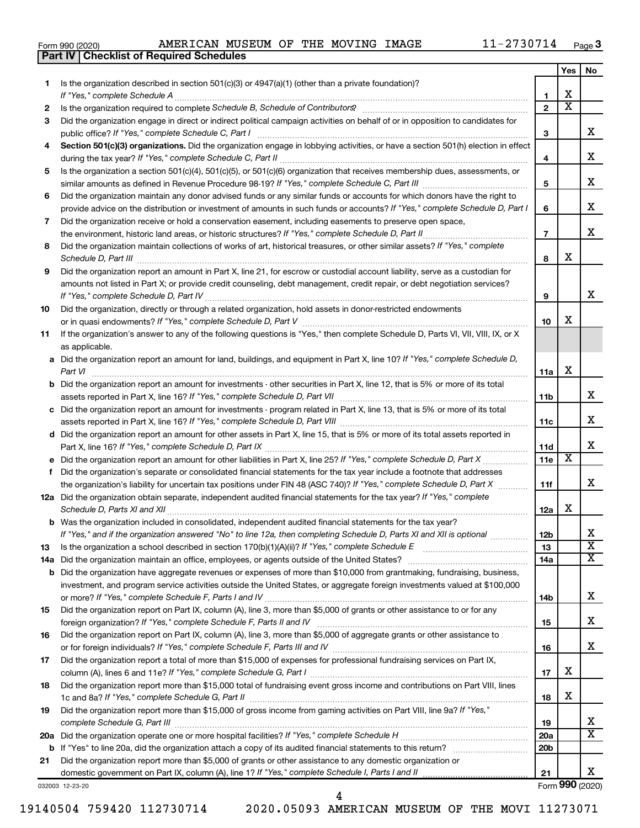|  | Form 990 (2020) |
|--|-----------------|
|  |                 |

**Part IV Checklist of Required Schedules**

|    |                                                                                                                                                                 |                 | Yes                     | No                      |
|----|-----------------------------------------------------------------------------------------------------------------------------------------------------------------|-----------------|-------------------------|-------------------------|
| 1. | Is the organization described in section 501(c)(3) or $4947(a)(1)$ (other than a private foundation)?                                                           |                 |                         |                         |
|    |                                                                                                                                                                 | 1               | х                       |                         |
| 2  | Is the organization required to complete Schedule B, Schedule of Contributors? [11] the organization required to complete Schedule B, Schedule of Contributors? | $\overline{2}$  | $\overline{\text{x}}$   |                         |
| 3  | Did the organization engage in direct or indirect political campaign activities on behalf of or in opposition to candidates for                                 |                 |                         |                         |
|    |                                                                                                                                                                 | 3               |                         | x                       |
| 4  | Section 501(c)(3) organizations. Did the organization engage in lobbying activities, or have a section 501(h) election in effect                                |                 |                         |                         |
|    |                                                                                                                                                                 | 4               |                         | х                       |
| 5  | Is the organization a section 501(c)(4), 501(c)(5), or 501(c)(6) organization that receives membership dues, assessments, or                                    |                 |                         |                         |
|    |                                                                                                                                                                 | 5               |                         | x                       |
| 6  | Did the organization maintain any donor advised funds or any similar funds or accounts for which donors have the right to                                       |                 |                         |                         |
|    | provide advice on the distribution or investment of amounts in such funds or accounts? If "Yes," complete Schedule D, Part I                                    | 6               |                         | x                       |
| 7  | Did the organization receive or hold a conservation easement, including easements to preserve open space,                                                       |                 |                         |                         |
|    |                                                                                                                                                                 | $\overline{7}$  |                         | х                       |
| 8  | Did the organization maintain collections of works of art, historical treasures, or other similar assets? If "Yes," complete                                    |                 |                         |                         |
|    |                                                                                                                                                                 | 8               | х                       |                         |
| 9  | Did the organization report an amount in Part X, line 21, for escrow or custodial account liability, serve as a custodian for                                   |                 |                         |                         |
|    | amounts not listed in Part X; or provide credit counseling, debt management, credit repair, or debt negotiation services?                                       |                 |                         |                         |
|    |                                                                                                                                                                 | 9               |                         | x                       |
| 10 | Did the organization, directly or through a related organization, hold assets in donor-restricted endowments                                                    |                 |                         |                         |
|    |                                                                                                                                                                 | 10              | x                       |                         |
| 11 | If the organization's answer to any of the following questions is "Yes," then complete Schedule D, Parts VI, VII, VIII, IX, or X                                |                 |                         |                         |
|    | as applicable.                                                                                                                                                  |                 |                         |                         |
|    | a Did the organization report an amount for land, buildings, and equipment in Part X, line 10? If "Yes," complete Schedule D,                                   |                 |                         |                         |
|    | Part VI                                                                                                                                                         | 11a             | х                       |                         |
|    | <b>b</b> Did the organization report an amount for investments - other securities in Part X, line 12, that is 5% or more of its total                           |                 |                         |                         |
|    |                                                                                                                                                                 | 11b             |                         | x                       |
|    | c Did the organization report an amount for investments - program related in Part X, line 13, that is 5% or more of its total                                   |                 |                         |                         |
|    |                                                                                                                                                                 | 11c             |                         | x                       |
|    | d Did the organization report an amount for other assets in Part X, line 15, that is 5% or more of its total assets reported in                                 |                 |                         |                         |
|    |                                                                                                                                                                 | 11d             |                         | x                       |
|    | e Did the organization report an amount for other liabilities in Part X, line 25? If "Yes," complete Schedule D, Part X                                         | 11e             | $\overline{\textbf{x}}$ |                         |
| f. | Did the organization's separate or consolidated financial statements for the tax year include a footnote that addresses                                         |                 |                         |                         |
|    | the organization's liability for uncertain tax positions under FIN 48 (ASC 740)? If "Yes," complete Schedule D, Part X                                          | 11f             |                         | x                       |
|    | 12a Did the organization obtain separate, independent audited financial statements for the tax year? If "Yes," complete                                         |                 |                         |                         |
|    |                                                                                                                                                                 | 12a             | х                       |                         |
|    | <b>b</b> Was the organization included in consolidated, independent audited financial statements for the tax year?                                              |                 |                         |                         |
|    | If "Yes," and if the organization answered "No" to line 12a, then completing Schedule D, Parts XI and XII is optional                                           | 12D             |                         | ▵                       |
| 13 | Is the organization a school described in section $170(b)(1)(A)(ii)?$ If "Yes," complete Schedule E                                                             | 13              |                         | $\overline{\mathbf{X}}$ |
|    | 14a Did the organization maintain an office, employees, or agents outside of the United States?                                                                 | 14a             |                         | х                       |
|    | <b>b</b> Did the organization have aggregate revenues or expenses of more than \$10,000 from grantmaking, fundraising, business,                                |                 |                         |                         |
|    | investment, and program service activities outside the United States, or aggregate foreign investments valued at \$100,000                                      |                 |                         | x                       |
|    |                                                                                                                                                                 | 14b             |                         |                         |
| 15 | Did the organization report on Part IX, column (A), line 3, more than \$5,000 of grants or other assistance to or for any                                       |                 |                         | x                       |
|    |                                                                                                                                                                 | 15              |                         |                         |
| 16 | Did the organization report on Part IX, column (A), line 3, more than \$5,000 of aggregate grants or other assistance to                                        |                 |                         | x                       |
|    |                                                                                                                                                                 | 16              |                         |                         |
| 17 | Did the organization report a total of more than \$15,000 of expenses for professional fundraising services on Part IX,                                         |                 | х                       |                         |
|    | Did the organization report more than \$15,000 total of fundraising event gross income and contributions on Part VIII, lines                                    | 17              |                         |                         |
| 18 |                                                                                                                                                                 | 18              | х                       |                         |
| 19 | Did the organization report more than \$15,000 of gross income from gaming activities on Part VIII, line 9a? If "Yes,"                                          |                 |                         |                         |
|    |                                                                                                                                                                 | 19              |                         | x                       |
|    |                                                                                                                                                                 | 20a             |                         | X                       |
|    |                                                                                                                                                                 | 20 <sub>b</sub> |                         |                         |
| 21 | Did the organization report more than \$5,000 of grants or other assistance to any domestic organization or                                                     |                 |                         |                         |
|    |                                                                                                                                                                 | 21              |                         | x                       |
|    |                                                                                                                                                                 |                 |                         |                         |

032003 12-23-20

Form (2020) **990**

4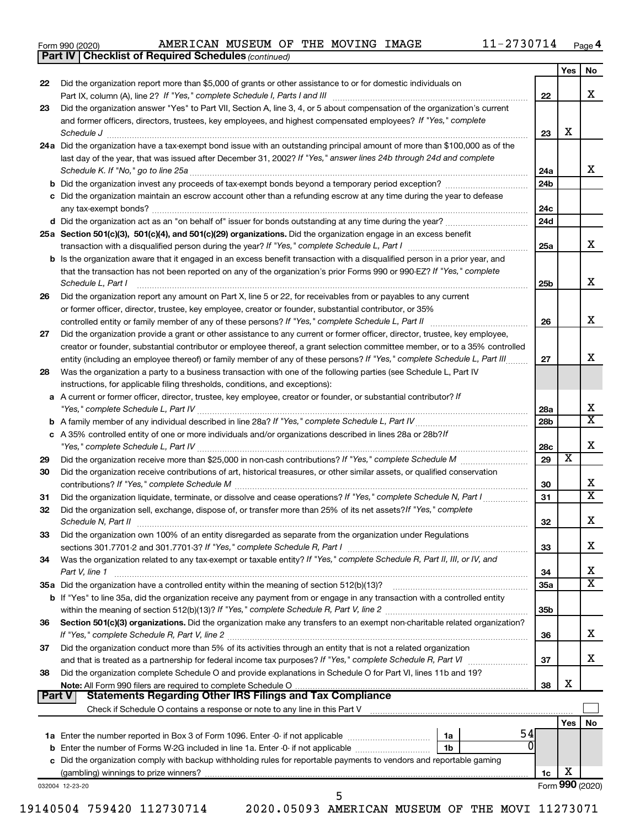| Form 990 (2020) |  |
|-----------------|--|
|-----------------|--|

*(continued)* **Part IV Checklist of Required Schedules**

|               |                                                                                                                              |                        | Yes             | No                      |
|---------------|------------------------------------------------------------------------------------------------------------------------------|------------------------|-----------------|-------------------------|
| 22            | Did the organization report more than \$5,000 of grants or other assistance to or for domestic individuals on                |                        |                 |                         |
|               |                                                                                                                              | 22                     |                 | x                       |
| 23            | Did the organization answer "Yes" to Part VII, Section A, line 3, 4, or 5 about compensation of the organization's current   |                        |                 |                         |
|               | and former officers, directors, trustees, key employees, and highest compensated employees? If "Yes," complete               |                        |                 |                         |
|               | Schedule J                                                                                                                   | 23                     | х               |                         |
|               | 24a Did the organization have a tax-exempt bond issue with an outstanding principal amount of more than \$100,000 as of the  |                        |                 |                         |
|               | last day of the year, that was issued after December 31, 2002? If "Yes," answer lines 24b through 24d and complete           |                        |                 | x                       |
|               | Schedule K. If "No," go to line 25a                                                                                          | 24a<br>24 <sub>b</sub> |                 |                         |
|               | c Did the organization maintain an escrow account other than a refunding escrow at any time during the year to defease       |                        |                 |                         |
|               |                                                                                                                              | 24c                    |                 |                         |
|               |                                                                                                                              | 24d                    |                 |                         |
|               | 25a Section 501(c)(3), 501(c)(4), and 501(c)(29) organizations. Did the organization engage in an excess benefit             |                        |                 |                         |
|               |                                                                                                                              | 25a                    |                 | x                       |
|               | b Is the organization aware that it engaged in an excess benefit transaction with a disqualified person in a prior year, and |                        |                 |                         |
|               | that the transaction has not been reported on any of the organization's prior Forms 990 or 990-EZ? If "Yes," complete        |                        |                 |                         |
|               | Schedule L, Part I                                                                                                           | 25b                    |                 | х                       |
| 26            | Did the organization report any amount on Part X, line 5 or 22, for receivables from or payables to any current              |                        |                 |                         |
|               | or former officer, director, trustee, key employee, creator or founder, substantial contributor, or 35%                      |                        |                 |                         |
|               |                                                                                                                              | 26                     |                 | х                       |
| 27            | Did the organization provide a grant or other assistance to any current or former officer, director, trustee, key employee,  |                        |                 |                         |
|               | creator or founder, substantial contributor or employee thereof, a grant selection committee member, or to a 35% controlled  |                        |                 |                         |
|               | entity (including an employee thereof) or family member of any of these persons? If "Yes," complete Schedule L, Part III     | 27                     |                 | x                       |
| 28            | Was the organization a party to a business transaction with one of the following parties (see Schedule L, Part IV            |                        |                 |                         |
|               | instructions, for applicable filing thresholds, conditions, and exceptions):                                                 |                        |                 |                         |
|               | a A current or former officer, director, trustee, key employee, creator or founder, or substantial contributor? If           |                        |                 | х                       |
|               |                                                                                                                              | 28a<br>28 <sub>b</sub> |                 | $\overline{\texttt{x}}$ |
|               | c A 35% controlled entity of one or more individuals and/or organizations described in lines 28a or 28b?If                   |                        |                 |                         |
|               |                                                                                                                              | 28c                    |                 | х                       |
| 29            |                                                                                                                              | 29                     | х               |                         |
| 30            | Did the organization receive contributions of art, historical treasures, or other similar assets, or qualified conservation  |                        |                 |                         |
|               |                                                                                                                              | 30                     |                 | x                       |
| 31            | Did the organization liquidate, terminate, or dissolve and cease operations? If "Yes," complete Schedule N, Part I           | 31                     |                 | $\overline{\texttt{x}}$ |
| 32            | Did the organization sell, exchange, dispose of, or transfer more than 25% of its net assets? If "Yes," complete             |                        |                 |                         |
|               | Schedule N, Part II                                                                                                          | 32                     |                 | х                       |
| 33            | Did the organization own 100% of an entity disregarded as separate from the organization under Regulations                   |                        |                 |                         |
|               |                                                                                                                              | 33                     |                 | х                       |
| 34            | Was the organization related to any tax-exempt or taxable entity? If "Yes," complete Schedule R, Part II, III, or IV, and    |                        |                 |                         |
|               | Part V, line 1                                                                                                               | 34                     |                 | х                       |
|               |                                                                                                                              | 35a                    |                 | $\overline{\text{X}}$   |
|               | b If "Yes" to line 35a, did the organization receive any payment from or engage in any transaction with a controlled entity  |                        |                 |                         |
| 36            | Section 501(c)(3) organizations. Did the organization make any transfers to an exempt non-charitable related organization?   | 35b                    |                 |                         |
|               |                                                                                                                              | 36                     |                 | x                       |
| 37            | Did the organization conduct more than 5% of its activities through an entity that is not a related organization             |                        |                 |                         |
|               | and that is treated as a partnership for federal income tax purposes? If "Yes," complete Schedule R, Part VI                 | 37                     |                 | x                       |
| 38            | Did the organization complete Schedule O and provide explanations in Schedule O for Part VI, lines 11b and 19?               |                        |                 |                         |
|               |                                                                                                                              | 38                     | х               |                         |
| <b>Part V</b> | <b>Statements Regarding Other IRS Filings and Tax Compliance</b>                                                             |                        |                 |                         |
|               |                                                                                                                              |                        |                 |                         |
|               |                                                                                                                              |                        | Yes             | No                      |
|               | 54<br>1a                                                                                                                     |                        |                 |                         |
|               | $\Omega$<br>1b                                                                                                               |                        |                 |                         |
|               | c Did the organization comply with backup withholding rules for reportable payments to vendors and reportable gaming         |                        | х               |                         |
|               |                                                                                                                              | 1c                     | Form 990 (2020) |                         |
|               | 032004 12-23-20                                                                                                              |                        |                 |                         |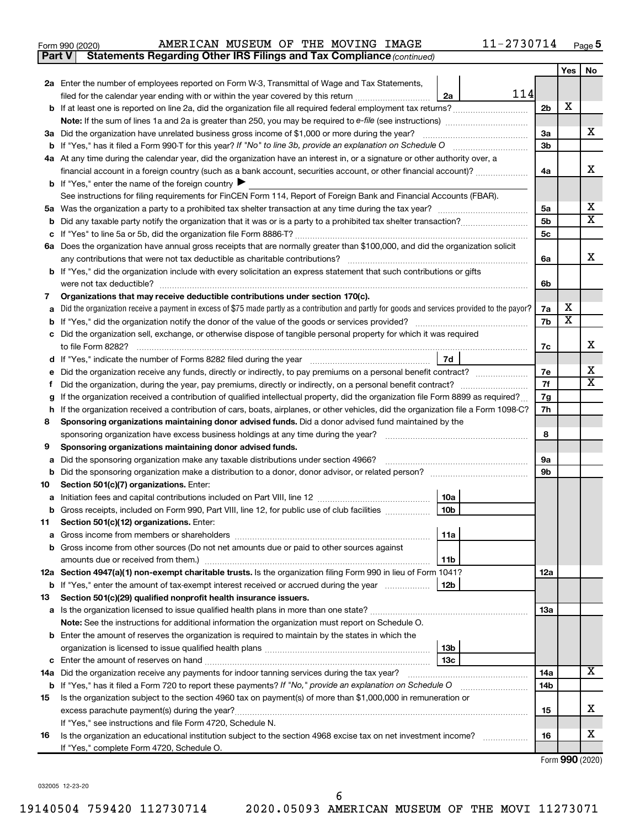| Form 990 (2020) |  |  | AMERICAN MUSEUM OF THE MOVING | IMAGE | ?730714<br>$1 - 21$ | Page |
|-----------------|--|--|-------------------------------|-------|---------------------|------|
|-----------------|--|--|-------------------------------|-------|---------------------|------|

**Part V Statements Regarding Other IRS Filings and Tax Compliance**

*(continued)*

|        |                                                                                                                                                 |                        |                                                                                                                 |                                  | Yes                     | No                      |
|--------|-------------------------------------------------------------------------------------------------------------------------------------------------|------------------------|-----------------------------------------------------------------------------------------------------------------|----------------------------------|-------------------------|-------------------------|
|        | 2a Enter the number of employees reported on Form W-3, Transmittal of Wage and Tax Statements,                                                  |                        |                                                                                                                 |                                  |                         |                         |
|        | filed for the calendar year ending with or within the year covered by this return                                                               | 2a                     | 114                                                                                                             |                                  |                         |                         |
|        |                                                                                                                                                 |                        |                                                                                                                 | 2 <sub>b</sub>                   | х                       |                         |
|        | <b>Note:</b> If the sum of lines 1a and 2a is greater than 250, you may be required to e-file (see instructions)                                |                        |                                                                                                                 |                                  |                         |                         |
|        | 3a Did the organization have unrelated business gross income of \$1,000 or more during the year?                                                |                        |                                                                                                                 | За                               |                         | X.                      |
|        |                                                                                                                                                 |                        |                                                                                                                 | 3b                               |                         |                         |
|        | 4a At any time during the calendar year, did the organization have an interest in, or a signature or other authority over, a                    |                        |                                                                                                                 |                                  |                         |                         |
|        | financial account in a foreign country (such as a bank account, securities account, or other financial account)?                                |                        |                                                                                                                 | 4a                               |                         | x                       |
|        | <b>b</b> If "Yes," enter the name of the foreign country $\blacktriangleright$                                                                  |                        |                                                                                                                 |                                  |                         |                         |
|        | See instructions for filing requirements for FinCEN Form 114, Report of Foreign Bank and Financial Accounts (FBAR).                             |                        |                                                                                                                 |                                  |                         |                         |
|        |                                                                                                                                                 |                        |                                                                                                                 | 5а                               |                         | х<br>X                  |
| b      |                                                                                                                                                 |                        |                                                                                                                 | 5 <sub>b</sub><br>5 <sub>c</sub> |                         |                         |
| c      | 6a Does the organization have annual gross receipts that are normally greater than \$100,000, and did the organization solicit                  |                        |                                                                                                                 |                                  |                         |                         |
|        | any contributions that were not tax deductible as charitable contributions?                                                                     |                        |                                                                                                                 | 6а                               |                         | x                       |
|        | b If "Yes," did the organization include with every solicitation an express statement that such contributions or gifts                          |                        |                                                                                                                 |                                  |                         |                         |
|        | were not tax deductible?                                                                                                                        |                        |                                                                                                                 | 6b                               |                         |                         |
| 7      | Organizations that may receive deductible contributions under section 170(c).                                                                   |                        |                                                                                                                 |                                  |                         |                         |
| a      | Did the organization receive a payment in excess of \$75 made partly as a contribution and partly for goods and services provided to the payor? |                        |                                                                                                                 | 7a                               | x                       |                         |
| b      |                                                                                                                                                 |                        |                                                                                                                 | 7b                               | $\overline{\textbf{x}}$ |                         |
| с      | Did the organization sell, exchange, or otherwise dispose of tangible personal property for which it was required                               |                        |                                                                                                                 |                                  |                         |                         |
|        | to file Form 8282?                                                                                                                              |                        |                                                                                                                 | 7c                               |                         | x                       |
| d      |                                                                                                                                                 | 7d                     |                                                                                                                 |                                  |                         |                         |
|        | Did the organization receive any funds, directly or indirectly, to pay premiums on a personal benefit contract?                                 |                        |                                                                                                                 | 7е                               |                         | x                       |
|        |                                                                                                                                                 |                        |                                                                                                                 |                                  |                         | $\overline{\textbf{X}}$ |
| g      | If the organization received a contribution of qualified intellectual property, did the organization file Form 8899 as required?                |                        |                                                                                                                 | 7g                               |                         |                         |
| h      | If the organization received a contribution of cars, boats, airplanes, or other vehicles, did the organization file a Form 1098-C?              |                        |                                                                                                                 | 7h                               |                         |                         |
| 8      | Sponsoring organizations maintaining donor advised funds. Did a donor advised fund maintained by the                                            |                        |                                                                                                                 |                                  |                         |                         |
|        | sponsoring organization have excess business holdings at any time during the year?                                                              |                        | and a series of the contract of the contract of the contract of the contract of the contract of the contract of | 8                                |                         |                         |
| 9      | Sponsoring organizations maintaining donor advised funds.                                                                                       |                        |                                                                                                                 |                                  |                         |                         |
| а      | Did the sponsoring organization make any taxable distributions under section 4966?                                                              |                        |                                                                                                                 | 9а                               |                         |                         |
| b      |                                                                                                                                                 |                        |                                                                                                                 | 9b                               |                         |                         |
| 10     | Section 501(c)(7) organizations. Enter:                                                                                                         |                        |                                                                                                                 |                                  |                         |                         |
| а<br>b | Gross receipts, included on Form 990, Part VIII, line 12, for public use of club facilities                                                     | 10a<br>10 <sub>b</sub> |                                                                                                                 |                                  |                         |                         |
| 11     | Section 501(c)(12) organizations. Enter:                                                                                                        |                        |                                                                                                                 |                                  |                         |                         |
|        |                                                                                                                                                 | 11a                    |                                                                                                                 |                                  |                         |                         |
| b      | Gross income from other sources (Do not net amounts due or paid to other sources against                                                        |                        |                                                                                                                 |                                  |                         |                         |
|        | amounts due or received from them.)                                                                                                             | 11b                    |                                                                                                                 |                                  |                         |                         |
|        | 12a Section 4947(a)(1) non-exempt charitable trusts. Is the organization filing Form 990 in lieu of Form 1041?                                  |                        |                                                                                                                 | 12a                              |                         |                         |
|        | <b>b</b> If "Yes," enter the amount of tax-exempt interest received or accrued during the year                                                  | 12 <sub>b</sub>        |                                                                                                                 |                                  |                         |                         |
| 13     | Section 501(c)(29) qualified nonprofit health insurance issuers.                                                                                |                        |                                                                                                                 |                                  |                         |                         |
|        | a Is the organization licensed to issue qualified health plans in more than one state?                                                          |                        |                                                                                                                 | 13a                              |                         |                         |
|        | Note: See the instructions for additional information the organization must report on Schedule O.                                               |                        |                                                                                                                 |                                  |                         |                         |
|        | <b>b</b> Enter the amount of reserves the organization is required to maintain by the states in which the                                       |                        |                                                                                                                 |                                  |                         |                         |
|        |                                                                                                                                                 | 13 <sub>b</sub>        |                                                                                                                 |                                  |                         |                         |
| с      | Enter the amount of reserves on hand                                                                                                            | 13c                    |                                                                                                                 |                                  |                         |                         |
|        | 14a Did the organization receive any payments for indoor tanning services during the tax year?                                                  |                        |                                                                                                                 | 14a                              |                         | х                       |
|        | <b>b</b> If "Yes," has it filed a Form 720 to report these payments? If "No," provide an explanation on Schedule O                              |                        |                                                                                                                 | 14b                              |                         |                         |
| 15     | Is the organization subject to the section 4960 tax on payment(s) of more than \$1,000,000 in remuneration or                                   |                        |                                                                                                                 |                                  |                         |                         |
|        |                                                                                                                                                 |                        |                                                                                                                 | 15                               |                         | x.                      |
|        | If "Yes," see instructions and file Form 4720, Schedule N.                                                                                      |                        |                                                                                                                 |                                  |                         |                         |
| 16     | Is the organization an educational institution subject to the section 4968 excise tax on net investment income?                                 |                        |                                                                                                                 | 16                               |                         | х                       |
|        | If "Yes," complete Form 4720, Schedule O.                                                                                                       |                        |                                                                                                                 |                                  |                         |                         |

Form (2020) **990**

032005 12-23-20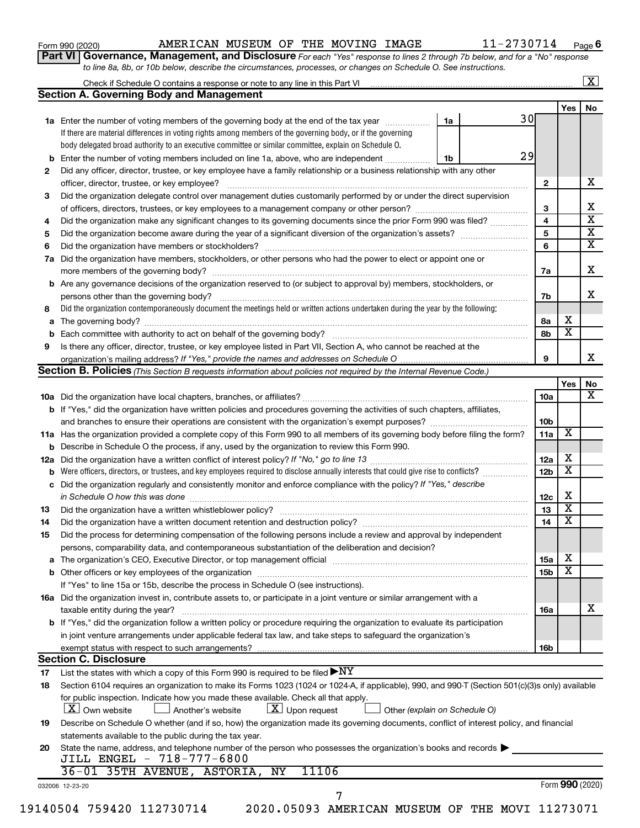| Form 990 (2020) |  |
|-----------------|--|
|-----------------|--|

# Form 990 (2020) Page AMERICAN MUSEUM OF THE MOVING IMAGE 11-2730714

**Part VI** Governance, Management, and Disclosure For each "Yes" response to lines 2 through 7b below, and for a "No" response *to line 8a, 8b, or 10b below, describe the circumstances, processes, or changes on Schedule O. See instructions.*

|     | Check if Schedule O contains a response or note to any line in this Part VI [11] [12] [12] Check if Schedule O contains a response or note to any line in this Part VI                                                         |    |                 |                         | $\mathbf{X}$            |
|-----|--------------------------------------------------------------------------------------------------------------------------------------------------------------------------------------------------------------------------------|----|-----------------|-------------------------|-------------------------|
|     | <b>Section A. Governing Body and Management</b>                                                                                                                                                                                |    |                 |                         |                         |
|     |                                                                                                                                                                                                                                |    |                 | Yes                     | No                      |
|     | 1a Enter the number of voting members of the governing body at the end of the tax year                                                                                                                                         | 1a | 30              |                         |                         |
|     | If there are material differences in voting rights among members of the governing body, or if the governing                                                                                                                    |    |                 |                         |                         |
|     | body delegated broad authority to an executive committee or similar committee, explain on Schedule O.                                                                                                                          |    |                 |                         |                         |
| b   | Enter the number of voting members included on line 1a, above, who are independent                                                                                                                                             | 1b | 29              |                         |                         |
| 2   | Did any officer, director, trustee, or key employee have a family relationship or a business relationship with any other                                                                                                       |    |                 |                         |                         |
|     | officer, director, trustee, or key employee?                                                                                                                                                                                   |    | 2               |                         | х                       |
| 3   | Did the organization delegate control over management duties customarily performed by or under the direct supervision                                                                                                          |    |                 |                         |                         |
|     |                                                                                                                                                                                                                                |    | 3               |                         | х                       |
| 4   |                                                                                                                                                                                                                                |    | 4               |                         | $\overline{\mathbf{x}}$ |
| 5   |                                                                                                                                                                                                                                |    | 5               |                         | $\overline{\mathbf{x}}$ |
| 6   |                                                                                                                                                                                                                                |    | 6               |                         | $\overline{\mathbf{x}}$ |
| 7a  | Did the organization have members, stockholders, or other persons who had the power to elect or appoint one or                                                                                                                 |    |                 |                         |                         |
|     |                                                                                                                                                                                                                                |    | 7a              |                         | X                       |
|     |                                                                                                                                                                                                                                |    |                 |                         |                         |
| b   | Are any governance decisions of the organization reserved to (or subject to approval by) members, stockholders, or                                                                                                             |    |                 |                         | x                       |
|     |                                                                                                                                                                                                                                |    | 7b              |                         |                         |
| 8   | Did the organization contemporaneously document the meetings held or written actions undertaken during the year by the following:                                                                                              |    |                 |                         |                         |
| а   |                                                                                                                                                                                                                                |    | 8a              | х                       |                         |
|     |                                                                                                                                                                                                                                |    | 8b              | $\overline{\textbf{x}}$ |                         |
| 9   | Is there any officer, director, trustee, or key employee listed in Part VII, Section A, who cannot be reached at the                                                                                                           |    |                 |                         |                         |
|     |                                                                                                                                                                                                                                |    | 9               |                         | х                       |
|     | <b>Section B. Policies</b> (This Section B requests information about policies not required by the Internal Revenue Code.)                                                                                                     |    |                 |                         |                         |
|     |                                                                                                                                                                                                                                |    |                 | Yes                     | No                      |
|     |                                                                                                                                                                                                                                |    | 10a             |                         | х                       |
|     | <b>b</b> If "Yes," did the organization have written policies and procedures governing the activities of such chapters, affiliates,                                                                                            |    |                 |                         |                         |
|     |                                                                                                                                                                                                                                |    | 10b             |                         |                         |
|     | 11a Has the organization provided a complete copy of this Form 990 to all members of its governing body before filing the form?                                                                                                |    | 11a             | X                       |                         |
|     | Describe in Schedule O the process, if any, used by the organization to review this Form 990.                                                                                                                                  |    |                 |                         |                         |
| 12a |                                                                                                                                                                                                                                |    | 12a             | х                       |                         |
|     | Were officers, directors, or trustees, and key employees required to disclose annually interests that could give rise to conflicts?                                                                                            |    | 12 <sub>b</sub> | X                       |                         |
| с   | Did the organization regularly and consistently monitor and enforce compliance with the policy? If "Yes," describe                                                                                                             |    |                 |                         |                         |
|     | in Schedule O how this was done manufactured and continuum and contact the was done manufactured and contact t                                                                                                                 |    | 12c             | X                       |                         |
| 13  |                                                                                                                                                                                                                                |    | 13              | $\overline{\mathbf{x}}$ |                         |
| 14  |                                                                                                                                                                                                                                |    | 14              | X                       |                         |
| 15  | Did the process for determining compensation of the following persons include a review and approval by independent                                                                                                             |    |                 |                         |                         |
|     | persons, comparability data, and contemporaneous substantiation of the deliberation and decision?                                                                                                                              |    |                 |                         |                         |
|     |                                                                                                                                                                                                                                |    |                 | х                       |                         |
| а   | The organization's CEO, Executive Director, or top management official manufactured content of the organization's CEO, Executive Director, or top management official manufactured content of the organization's CEO, Executiv |    | 15a             | х                       |                         |
|     |                                                                                                                                                                                                                                |    | 15b             |                         |                         |
|     | If "Yes" to line 15a or 15b, describe the process in Schedule O (see instructions).                                                                                                                                            |    |                 |                         |                         |
|     | 16a Did the organization invest in, contribute assets to, or participate in a joint venture or similar arrangement with a                                                                                                      |    |                 |                         |                         |
|     | taxable entity during the year?                                                                                                                                                                                                |    | 16a             |                         | x                       |
|     | b If "Yes," did the organization follow a written policy or procedure requiring the organization to evaluate its participation                                                                                                 |    |                 |                         |                         |
|     | in joint venture arrangements under applicable federal tax law, and take steps to safeguard the organization's                                                                                                                 |    |                 |                         |                         |
|     | exempt status with respect to such arrangements?                                                                                                                                                                               |    | 16b             |                         |                         |
|     | <b>Section C. Disclosure</b>                                                                                                                                                                                                   |    |                 |                         |                         |
| 17  | List the states with which a copy of this Form 990 is required to be filed $\blacktriangleright\text{NY}$                                                                                                                      |    |                 |                         |                         |
| 18  | Section 6104 requires an organization to make its Forms 1023 (1024 or 1024-A, if applicable), 990, and 990-T (Section 501(c)(3)s only) available                                                                               |    |                 |                         |                         |
|     | for public inspection. Indicate how you made these available. Check all that apply.                                                                                                                                            |    |                 |                         |                         |
|     | $\lfloor x \rfloor$ Upon request<br>  X   Own website<br>Another's website<br>Other (explain on Schedule O)                                                                                                                    |    |                 |                         |                         |
| 19  | Describe on Schedule O whether (and if so, how) the organization made its governing documents, conflict of interest policy, and financial                                                                                      |    |                 |                         |                         |
|     | statements available to the public during the tax year.                                                                                                                                                                        |    |                 |                         |                         |
| 20  | State the name, address, and telephone number of the person who possesses the organization's books and records                                                                                                                 |    |                 |                         |                         |
|     | JILL ENGEL - 718-777-6800                                                                                                                                                                                                      |    |                 |                         |                         |
|     | 11106<br>36-01 35TH AVENUE, ASTORIA, NY                                                                                                                                                                                        |    |                 |                         |                         |
|     | 032006 12-23-20                                                                                                                                                                                                                |    |                 | Form 990 (2020)         |                         |
|     | 7                                                                                                                                                                                                                              |    |                 |                         |                         |
|     | 19140504 759420 112730714<br>2020.05093 AMERICAN MUSEUM OF THE MOVI 11273071                                                                                                                                                   |    |                 |                         |                         |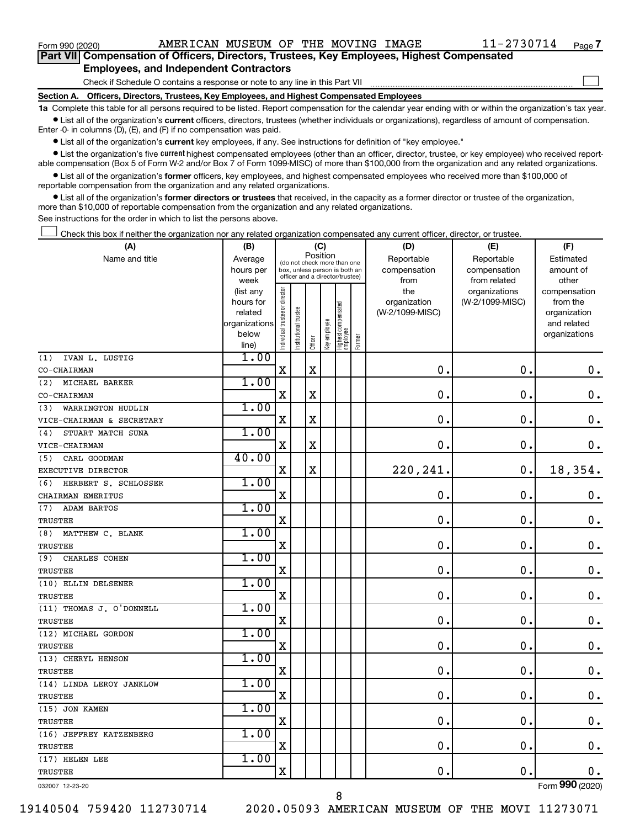$\Box$ 

| Part VII Compensation of Officers, Directors, Trustees, Key Employees, Highest Compensated |
|--------------------------------------------------------------------------------------------|
| <b>Employees, and Independent Contractors</b>                                              |

Check if Schedule O contains a response or note to any line in this Part VII

**Section A. Officers, Directors, Trustees, Key Employees, and Highest Compensated Employees**

**1a**  Complete this table for all persons required to be listed. Report compensation for the calendar year ending with or within the organization's tax year.  $\bullet$  List all of the organization's current officers, directors, trustees (whether individuals or organizations), regardless of amount of compensation.

Enter -0- in columns (D), (E), and (F) if no compensation was paid.

**•** List all of the organization's current key employees, if any. See instructions for definition of "key employee."

• List the organization's five *current* highest compensated employees (other than an officer, director, trustee, or key employee) who received reportable compensation (Box 5 of Form W-2 and/or Box 7 of Form 1099-MISC) of more than \$100,000 from the organization and any related organizations.

 $\bullet$  List all of the organization's former officers, key employees, and highest compensated employees who received more than \$100,000 of reportable compensation from the organization and any related organizations.

**•** List all of the organization's former directors or trustees that received, in the capacity as a former director or trustee of the organization, more than \$10,000 of reportable compensation from the organization and any related organizations.

See instructions for the order in which to list the persons above.

Check this box if neither the organization nor any related organization compensated any current officer, director, or trustee.  $\Box$ 

| (A)                         | (B)                    |                                |                                 | (C)         |              |                                 |        | (D)             | (E)             | (F)             |
|-----------------------------|------------------------|--------------------------------|---------------------------------|-------------|--------------|---------------------------------|--------|-----------------|-----------------|-----------------|
| Name and title              | Average                |                                | (do not check more than one     |             | Position     |                                 |        | Reportable      | Reportable      | Estimated       |
|                             | hours per              |                                | box, unless person is both an   |             |              |                                 |        | compensation    | compensation    | amount of       |
|                             | week                   |                                | officer and a director/trustee) |             |              |                                 |        | from            | from related    | other           |
|                             | (list any              |                                |                                 |             |              |                                 |        | the             | organizations   | compensation    |
|                             | hours for              |                                |                                 |             |              |                                 |        | organization    | (W-2/1099-MISC) | from the        |
|                             | related                |                                |                                 |             |              |                                 |        | (W-2/1099-MISC) |                 | organization    |
|                             | organizations<br>below |                                |                                 |             |              |                                 |        |                 |                 | and related     |
|                             | line)                  | Individual trustee or director | Institutional trustee           | Officer     | Key employee | Highest compensated<br>employee | Former |                 |                 | organizations   |
| IVAN L. LUSTIG<br>(1)       | 1.00                   |                                |                                 |             |              |                                 |        |                 |                 |                 |
| CO-CHAIRMAN                 |                        | $\mathbf X$                    |                                 | $\mathbf X$ |              |                                 |        | 0.              | $\mathbf 0$ .   | $\mathbf 0$ .   |
| MICHAEL BARKER<br>(2)       | 1.00                   |                                |                                 |             |              |                                 |        |                 |                 |                 |
| CO-CHAIRMAN                 |                        | $\mathbf X$                    |                                 | $\mathbf X$ |              |                                 |        | $\mathbf{0}$ .  | $\mathbf 0$ .   | $\mathbf 0$ .   |
| WARRINGTON HUDLIN<br>(3)    | 1.00                   |                                |                                 |             |              |                                 |        |                 |                 |                 |
| VICE-CHAIRMAN & SECRETARY   |                        | $\mathbf X$                    |                                 | X           |              |                                 |        | 0.              | $\mathbf 0$ .   | $\mathbf 0$ .   |
| STUART MATCH SUNA<br>(4)    | 1.00                   |                                |                                 |             |              |                                 |        |                 |                 |                 |
| VICE-CHAIRMAN               |                        | $\mathbf X$                    |                                 | X           |              |                                 |        | 0.              | $\mathbf 0$ .   | 0.              |
| CARL GOODMAN<br>(5)         | 40.00                  |                                |                                 |             |              |                                 |        |                 |                 |                 |
| EXECUTIVE DIRECTOR          |                        | $\mathbf X$                    |                                 | X           |              |                                 |        | 220, 241.       | $\mathbf 0$ .   | 18,354.         |
| HERBERT S. SCHLOSSER<br>(6) | 1.00                   |                                |                                 |             |              |                                 |        |                 |                 |                 |
| CHAIRMAN EMERITUS           |                        | $\mathbf X$                    |                                 |             |              |                                 |        | $\mathbf 0$ .   | $\mathbf 0$ .   | 0.              |
| (7)<br><b>ADAM BARTOS</b>   | 1.00                   |                                |                                 |             |              |                                 |        |                 |                 |                 |
| <b>TRUSTEE</b>              |                        | $\mathbf X$                    |                                 |             |              |                                 |        | 0.              | $\mathbf 0$ .   | $\mathbf 0$ .   |
| MATTHEW C. BLANK<br>(8)     | 1.00                   |                                |                                 |             |              |                                 |        |                 |                 |                 |
| <b>TRUSTEE</b>              |                        | $\mathbf X$                    |                                 |             |              |                                 |        | $\mathbf 0$ .   | 0.              | $\mathbf 0$ .   |
| (9)<br>CHARLES COHEN        | 1.00                   |                                |                                 |             |              |                                 |        |                 |                 |                 |
| <b>TRUSTEE</b>              |                        | X                              |                                 |             |              |                                 |        | $\mathbf 0$ .   | $\mathbf 0$ .   | $\mathbf 0$ .   |
| (10) ELLIN DELSENER         | 1.00                   |                                |                                 |             |              |                                 |        |                 |                 |                 |
| <b>TRUSTEE</b>              |                        | X                              |                                 |             |              |                                 |        | $\mathbf 0$ .   | $\mathbf 0$ .   | $\mathbf 0$ .   |
| (11) THOMAS J. O'DONNELL    | 1.00                   |                                |                                 |             |              |                                 |        |                 |                 |                 |
| <b>TRUSTEE</b>              |                        | $\mathbf X$                    |                                 |             |              |                                 |        | 0.              | $\mathbf 0$ .   | $\mathbf 0$ .   |
| (12) MICHAEL GORDON         | 1.00                   |                                |                                 |             |              |                                 |        |                 |                 |                 |
| <b>TRUSTEE</b>              |                        | X                              |                                 |             |              |                                 |        | $\mathbf 0$     | $\mathbf 0$ .   | $\mathbf 0$ .   |
| (13) CHERYL HENSON          | 1.00                   |                                |                                 |             |              |                                 |        |                 |                 |                 |
| <b>TRUSTEE</b>              |                        | $\mathbf X$                    |                                 |             |              |                                 |        | 0.              | $\mathbf 0$     | $\mathbf 0$ .   |
| (14) LINDA LEROY JANKLOW    | 1.00                   |                                |                                 |             |              |                                 |        |                 |                 |                 |
| <b>TRUSTEE</b>              |                        | $\mathbf X$                    |                                 |             |              |                                 |        | $\mathbf 0$ .   | $\mathbf 0$ .   | $\mathbf 0$ .   |
| (15) JON KAMEN              | 1.00                   |                                |                                 |             |              |                                 |        |                 |                 |                 |
| <b>TRUSTEE</b>              |                        | $\mathbf X$                    |                                 |             |              |                                 |        | 0.              | $\mathbf 0$ .   | $0$ .           |
| (16) JEFFREY KATZENBERG     | 1.00                   |                                |                                 |             |              |                                 |        |                 |                 |                 |
| TRUSTEE                     |                        | $\mathbf X$                    |                                 |             |              |                                 |        | $\mathbf 0$ .   | $\mathbf 0$ .   | $\mathbf 0$ .   |
| (17) HELEN LEE              | 1.00                   |                                |                                 |             |              |                                 |        |                 |                 |                 |
| TRUSTEE                     |                        | X                              |                                 |             |              |                                 |        | $\mathbf 0$ .   | $\mathbf 0$ .   | 0.              |
| 032007 12-23-20             |                        |                                |                                 |             |              |                                 |        |                 |                 | Form 990 (2020) |

8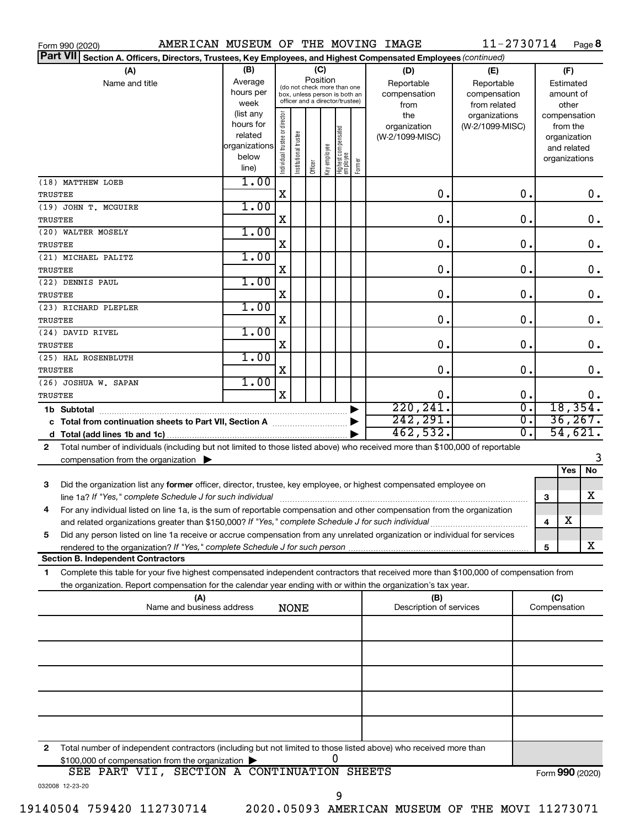|                 | Form 990 (2020)                                                                                                                      |                        |                                |                       |          |              |                                                              |        | AMERICAN MUSEUM OF THE MOVING IMAGE | 11-2730714       |              | Page 8          |
|-----------------|--------------------------------------------------------------------------------------------------------------------------------------|------------------------|--------------------------------|-----------------------|----------|--------------|--------------------------------------------------------------|--------|-------------------------------------|------------------|--------------|-----------------|
| <b>Part VII</b> | Section A. Officers, Directors, Trustees, Key Employees, and Highest Compensated Employees (continued)                               |                        |                                |                       |          |              |                                                              |        |                                     |                  |              |                 |
|                 | (A)                                                                                                                                  | (B)                    |                                |                       |          | (C)          |                                                              |        | (D)                                 | (E)              |              | (F)             |
|                 | Name and title                                                                                                                       | Average                |                                |                       | Position |              |                                                              |        | Reportable                          | Reportable       |              | Estimated       |
|                 |                                                                                                                                      | hours per              |                                |                       |          |              | (do not check more than one<br>box, unless person is both an |        | compensation                        | compensation     |              | amount of       |
|                 |                                                                                                                                      | week                   |                                |                       |          |              | officer and a director/trustee)                              |        | from                                | from related     |              | other           |
|                 |                                                                                                                                      | (list any              |                                |                       |          |              |                                                              |        | the                                 | organizations    |              | compensation    |
|                 |                                                                                                                                      | hours for              |                                |                       |          |              |                                                              |        | organization                        | (W-2/1099-MISC)  |              | from the        |
|                 |                                                                                                                                      | related                |                                |                       |          |              |                                                              |        | (W-2/1099-MISC)                     |                  |              | organization    |
|                 |                                                                                                                                      | organizations<br>below |                                |                       |          |              |                                                              |        |                                     |                  |              | and related     |
|                 |                                                                                                                                      | line)                  | Individual trustee or director | Institutional trustee | Officer  | Key employee | Highest compensated<br>  employee                            | Former |                                     |                  |              | organizations   |
|                 | (18) MATTHEW LOEB                                                                                                                    | 1.00                   |                                |                       |          |              |                                                              |        |                                     |                  |              |                 |
| TRUSTEE         |                                                                                                                                      |                        | X                              |                       |          |              |                                                              |        | 0.                                  | 0.               |              | 0.              |
|                 | (19) JOHN T. MCGUIRE                                                                                                                 | 1.00                   |                                |                       |          |              |                                                              |        |                                     |                  |              |                 |
| TRUSTEE         |                                                                                                                                      |                        | X                              |                       |          |              |                                                              |        | 0.                                  | 0.               |              | 0.              |
|                 | (20) WALTER MOSELY                                                                                                                   | 1.00                   |                                |                       |          |              |                                                              |        |                                     |                  |              |                 |
|                 |                                                                                                                                      |                        | X                              |                       |          |              |                                                              |        | 0.                                  | 0.               |              | 0.              |
| TRUSTEE         |                                                                                                                                      | 1.00                   |                                |                       |          |              |                                                              |        |                                     |                  |              |                 |
|                 | (21) MICHAEL PALITZ                                                                                                                  |                        | X                              |                       |          |              |                                                              |        | 0.                                  | 0.               |              |                 |
| TRUSTEE         |                                                                                                                                      |                        |                                |                       |          |              |                                                              |        |                                     |                  |              | 0.              |
|                 | (22) DENNIS PAUL                                                                                                                     | 1.00                   |                                |                       |          |              |                                                              |        |                                     |                  |              |                 |
| TRUSTEE         |                                                                                                                                      |                        | X                              |                       |          |              |                                                              |        | 0.                                  | 0.               |              | 0.              |
|                 | (23) RICHARD PLEPLER                                                                                                                 | 1.00                   |                                |                       |          |              |                                                              |        |                                     |                  |              |                 |
| TRUSTEE         |                                                                                                                                      |                        | X                              |                       |          |              |                                                              |        | 0.                                  | 0.               |              | 0.              |
|                 | (24) DAVID RIVEL                                                                                                                     | 1.00                   |                                |                       |          |              |                                                              |        |                                     |                  |              |                 |
| TRUSTEE         |                                                                                                                                      |                        | X                              |                       |          |              |                                                              |        | 0.                                  | 0.               |              | 0.              |
|                 | (25) HAL ROSENBLUTH                                                                                                                  | 1.00                   |                                |                       |          |              |                                                              |        |                                     |                  |              |                 |
| TRUSTEE         |                                                                                                                                      |                        | X                              |                       |          |              |                                                              |        | 0.                                  | $\mathbf 0$ .    |              | 0.              |
|                 | (26) JOSHUA W. SAPAN                                                                                                                 | 1.00                   |                                |                       |          |              |                                                              |        |                                     |                  |              |                 |
| TRUSTEE         |                                                                                                                                      |                        | $\mathbf x$                    |                       |          |              |                                                              |        | 0.                                  | 0.               |              | $0$ .           |
|                 |                                                                                                                                      |                        |                                |                       |          |              |                                                              | ▶      | 220, 241.                           | $\overline{0}$ . |              | 18,354.         |
|                 | c Total from continuation sheets to Part VII, Section A manuscription                                                                |                        |                                |                       |          |              |                                                              | ▶      | 242, 291.                           | $\overline{0}$ . |              | 36, 267.        |
|                 |                                                                                                                                      |                        |                                |                       |          |              |                                                              |        | 462,532.                            | $\overline{0}$ . |              | 54,621.         |
| 2               | Total number of individuals (including but not limited to those listed above) who received more than \$100,000 of reportable         |                        |                                |                       |          |              |                                                              |        |                                     |                  |              |                 |
|                 | compensation from the organization $\blacktriangleright$                                                                             |                        |                                |                       |          |              |                                                              |        |                                     |                  |              |                 |
|                 |                                                                                                                                      |                        |                                |                       |          |              |                                                              |        |                                     |                  |              | No<br>Yes       |
| 3               | Did the organization list any former officer, director, trustee, key employee, or highest compensated employee on                    |                        |                                |                       |          |              |                                                              |        |                                     |                  |              |                 |
|                 | line 1a? If "Yes," complete Schedule J for such individual manufactured content to the set of the set of the s                       |                        |                                |                       |          |              |                                                              |        |                                     |                  | 3            | X               |
|                 | For any individual listed on line 1a, is the sum of reportable compensation and other compensation from the organization             |                        |                                |                       |          |              |                                                              |        |                                     |                  |              |                 |
|                 | and related organizations greater than \$150,000? If "Yes," complete Schedule J for such individual                                  |                        |                                |                       |          |              |                                                              |        |                                     |                  | 4            | х               |
| 5               | Did any person listed on line 1a receive or accrue compensation from any unrelated organization or individual for services           |                        |                                |                       |          |              |                                                              |        |                                     |                  |              |                 |
|                 |                                                                                                                                      |                        |                                |                       |          |              |                                                              |        |                                     |                  | 5            | x               |
|                 | <b>Section B. Independent Contractors</b>                                                                                            |                        |                                |                       |          |              |                                                              |        |                                     |                  |              |                 |
| 1.              | Complete this table for your five highest compensated independent contractors that received more than \$100,000 of compensation from |                        |                                |                       |          |              |                                                              |        |                                     |                  |              |                 |
|                 | the organization. Report compensation for the calendar year ending with or within the organization's tax year.                       |                        |                                |                       |          |              |                                                              |        |                                     |                  |              |                 |
|                 | (A)                                                                                                                                  |                        |                                |                       |          |              |                                                              |        | (B)                                 |                  | (C)          |                 |
|                 | Name and business address                                                                                                            |                        |                                | <b>NONE</b>           |          |              |                                                              |        | Description of services             |                  | Compensation |                 |
|                 |                                                                                                                                      |                        |                                |                       |          |              |                                                              |        |                                     |                  |              |                 |
|                 |                                                                                                                                      |                        |                                |                       |          |              |                                                              |        |                                     |                  |              |                 |
|                 |                                                                                                                                      |                        |                                |                       |          |              |                                                              |        |                                     |                  |              |                 |
|                 |                                                                                                                                      |                        |                                |                       |          |              |                                                              |        |                                     |                  |              |                 |
|                 |                                                                                                                                      |                        |                                |                       |          |              |                                                              |        |                                     |                  |              |                 |
|                 |                                                                                                                                      |                        |                                |                       |          |              |                                                              |        |                                     |                  |              |                 |
|                 |                                                                                                                                      |                        |                                |                       |          |              |                                                              |        |                                     |                  |              |                 |
|                 |                                                                                                                                      |                        |                                |                       |          |              |                                                              |        |                                     |                  |              |                 |
|                 |                                                                                                                                      |                        |                                |                       |          |              |                                                              |        |                                     |                  |              |                 |
|                 |                                                                                                                                      |                        |                                |                       |          |              |                                                              |        |                                     |                  |              |                 |
| 2               | Total number of independent contractors (including but not limited to those listed above) who received more than                     |                        |                                |                       |          |              |                                                              |        |                                     |                  |              |                 |
|                 | \$100,000 of compensation from the organization                                                                                      |                        |                                |                       |          |              |                                                              |        |                                     |                  |              |                 |
|                 | SEE PART VII, SECTION A CONTINUATION SHEETS                                                                                          |                        |                                |                       |          |              |                                                              |        |                                     |                  |              | Form 990 (2020) |
|                 | 032008 12-23-20                                                                                                                      |                        |                                |                       |          |              |                                                              |        |                                     |                  |              |                 |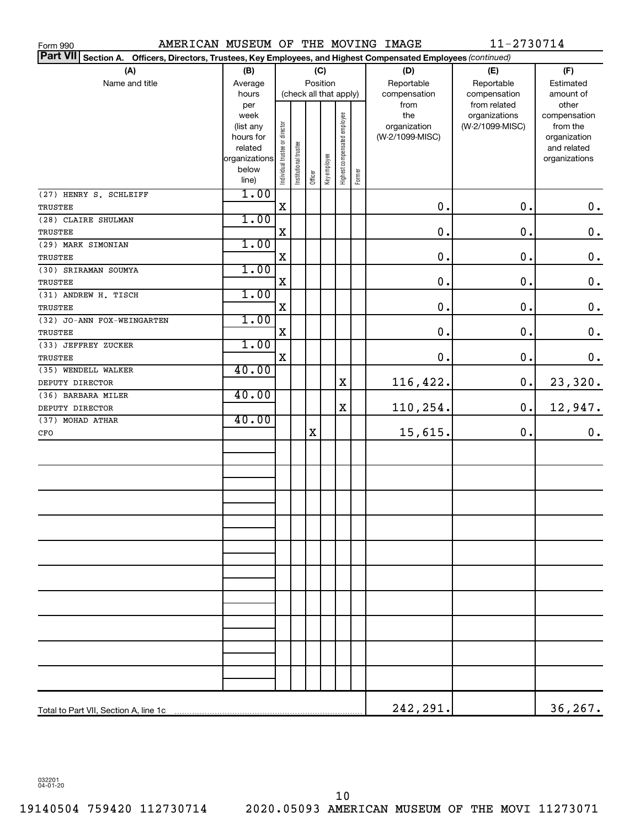| AMERICAN MUSEUM OF THE MOVING IMAGE<br>Form 990                                                                                     |                   |                                |                       |         |              |                              |        |                 | 11-2730714                       |                          |
|-------------------------------------------------------------------------------------------------------------------------------------|-------------------|--------------------------------|-----------------------|---------|--------------|------------------------------|--------|-----------------|----------------------------------|--------------------------|
| <b>Part VII</b><br><b>Section A.</b><br>Officers, Directors, Trustees, Key Employees, and Highest Compensated Employees (continued) |                   |                                |                       |         |              |                              |        |                 |                                  |                          |
| (A)                                                                                                                                 | (B)               |                                |                       |         | (C)          |                              |        | (D)             | (E)                              | (F)                      |
| Name and title                                                                                                                      | Average           |                                |                       |         | Position     |                              |        | Reportable      | Reportable                       | Estimated                |
|                                                                                                                                     | hours             |                                |                       |         |              | (check all that apply)       |        | compensation    | compensation                     | amount of                |
|                                                                                                                                     | per               |                                |                       |         |              |                              |        | from<br>the     | from related                     | other                    |
|                                                                                                                                     | week<br>(list any |                                |                       |         |              | Highest compensated employee |        | organization    | organizations<br>(W-2/1099-MISC) | compensation<br>from the |
|                                                                                                                                     | hours for         |                                |                       |         |              |                              |        | (W-2/1099-MISC) |                                  | organization             |
|                                                                                                                                     | related           |                                |                       |         |              |                              |        |                 |                                  | and related              |
|                                                                                                                                     | organizations     |                                |                       |         |              |                              |        |                 |                                  | organizations            |
|                                                                                                                                     | below             | Individual trustee or director | Institutional trustee | Officer | Key employee |                              | Former |                 |                                  |                          |
|                                                                                                                                     | line)             |                                |                       |         |              |                              |        |                 |                                  |                          |
| (27) HENRY S. SCHLEIFF                                                                                                              | 1.00              | $\mathbf X$                    |                       |         |              |                              |        | $\mathbf 0$ .   | 0.                               | $\boldsymbol{0}$ .       |
| TRUSTEE                                                                                                                             | 1.00              |                                |                       |         |              |                              |        |                 |                                  |                          |
| (28) CLAIRE SHULMAN                                                                                                                 |                   | $\mathbf X$                    |                       |         |              |                              |        | $\mathbf 0$ .   | $\mathbf 0$ .                    |                          |
| TRUSTEE                                                                                                                             |                   |                                |                       |         |              |                              |        |                 |                                  | $\mathbf 0$ .            |
| (29) MARK SIMONIAN                                                                                                                  | 1.00              | $\mathbf X$                    |                       |         |              |                              |        | $\mathbf 0$ .   | $\mathbf 0$ .                    |                          |
| <b>TRUSTEE</b>                                                                                                                      | 1.00              |                                |                       |         |              |                              |        |                 |                                  | $\mathbf 0$ .            |
| (30) SRIRAMAN SOUMYA                                                                                                                |                   | $\mathbf X$                    |                       |         |              |                              |        | $\mathbf 0$ .   | $\mathbf 0$ .                    | $\mathbf 0$ .            |
| TRUSTEE<br>(31) ANDREW H. TISCH                                                                                                     | 1.00              |                                |                       |         |              |                              |        |                 |                                  |                          |
| TRUSTEE                                                                                                                             |                   | $\mathbf X$                    |                       |         |              |                              |        | $\mathbf 0$ .   | $\mathbf 0$ .                    | $\mathbf 0$ .            |
| (32) JO-ANN FOX-WEINGARTEN                                                                                                          | 1.00              |                                |                       |         |              |                              |        |                 |                                  |                          |
| TRUSTEE                                                                                                                             |                   | $\mathbf X$                    |                       |         |              |                              |        | $\mathbf 0$ .   | $\mathbf 0$ .                    | $\mathbf 0$ .            |
| (33) JEFFREY ZUCKER                                                                                                                 | 1.00              |                                |                       |         |              |                              |        |                 |                                  |                          |
| TRUSTEE                                                                                                                             |                   | $\mathbf X$                    |                       |         |              |                              |        | $\mathbf 0$ .   | 0.                               | 0.                       |
| (35) WENDELL WALKER                                                                                                                 | 40.00             |                                |                       |         |              |                              |        |                 |                                  |                          |
| DEPUTY DIRECTOR                                                                                                                     |                   |                                |                       |         |              | $\mathbf X$                  |        | 116,422.        | 0.                               | 23,320.                  |
| (36) BARBARA MILER                                                                                                                  | 40.00             |                                |                       |         |              |                              |        |                 |                                  |                          |
| DEPUTY DIRECTOR                                                                                                                     |                   |                                |                       |         |              | $\mathbf X$                  |        | 110,254.        | 0.                               | 12,947.                  |
| (37) MOHAD ATHAR                                                                                                                    | 40.00             |                                |                       |         |              |                              |        |                 |                                  |                          |
| CFO                                                                                                                                 |                   |                                |                       | X       |              |                              |        | 15,615.         | 0.                               | $\mathbf 0$ .            |
|                                                                                                                                     |                   |                                |                       |         |              |                              |        |                 |                                  |                          |
|                                                                                                                                     |                   |                                |                       |         |              |                              |        |                 |                                  |                          |
|                                                                                                                                     |                   |                                |                       |         |              |                              |        |                 |                                  |                          |
|                                                                                                                                     |                   |                                |                       |         |              |                              |        |                 |                                  |                          |
|                                                                                                                                     |                   |                                |                       |         |              |                              |        |                 |                                  |                          |
|                                                                                                                                     |                   |                                |                       |         |              |                              |        |                 |                                  |                          |
|                                                                                                                                     |                   |                                |                       |         |              |                              |        |                 |                                  |                          |
|                                                                                                                                     |                   |                                |                       |         |              |                              |        |                 |                                  |                          |
|                                                                                                                                     |                   |                                |                       |         |              |                              |        |                 |                                  |                          |
|                                                                                                                                     |                   |                                |                       |         |              |                              |        |                 |                                  |                          |
|                                                                                                                                     |                   |                                |                       |         |              |                              |        |                 |                                  |                          |
|                                                                                                                                     |                   |                                |                       |         |              |                              |        |                 |                                  |                          |
|                                                                                                                                     |                   |                                |                       |         |              |                              |        |                 |                                  |                          |
|                                                                                                                                     |                   |                                |                       |         |              |                              |        |                 |                                  |                          |
|                                                                                                                                     |                   |                                |                       |         |              |                              |        |                 |                                  |                          |
|                                                                                                                                     |                   |                                |                       |         |              |                              |        |                 |                                  |                          |
|                                                                                                                                     |                   |                                |                       |         |              |                              |        |                 |                                  |                          |
|                                                                                                                                     |                   |                                |                       |         |              |                              |        |                 |                                  |                          |
|                                                                                                                                     |                   |                                |                       |         |              |                              |        |                 |                                  |                          |
|                                                                                                                                     |                   |                                |                       |         |              |                              |        |                 |                                  |                          |
|                                                                                                                                     |                   |                                |                       |         |              |                              |        | 242,291.        |                                  | 36,267.                  |

032201 04-01-20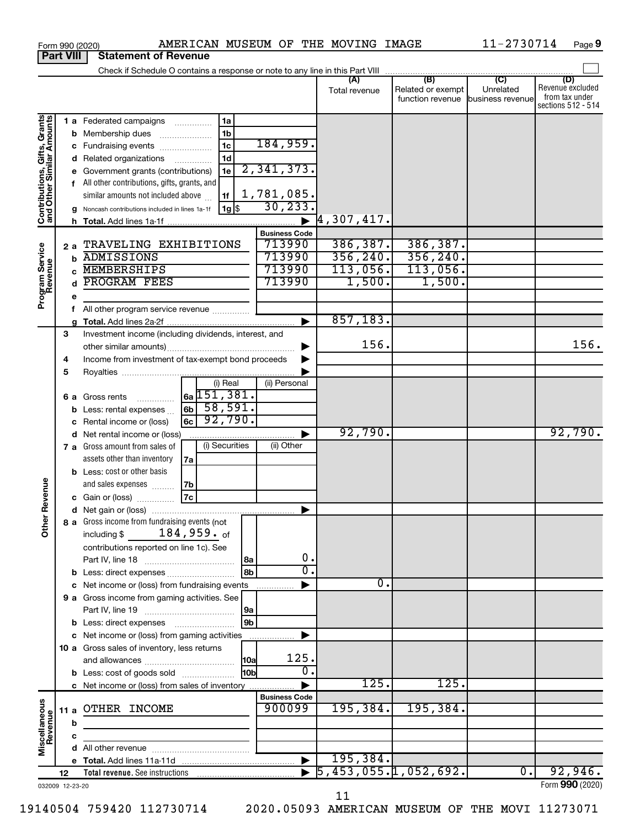|                                                           |                  | AMERICAN MUSEUM OF THE MOVING IMAGE<br>Form 990 (2020)                             |                                |                      |                                                     | 11-2730714       | Page 9                  |
|-----------------------------------------------------------|------------------|------------------------------------------------------------------------------------|--------------------------------|----------------------|-----------------------------------------------------|------------------|-------------------------|
|                                                           | <b>Part VIII</b> | <b>Statement of Revenue</b>                                                        |                                |                      |                                                     |                  |                         |
|                                                           |                  | Check if Schedule O contains a response or note to any line in this Part VIII      |                                |                      | $\overline{(\mathsf{B})}$ $\overline{(\mathsf{C})}$ |                  |                         |
|                                                           |                  |                                                                                    |                                | (A)<br>Total revenue | Related or exempt                                   | Unrelated        | (D)<br>Revenue excluded |
|                                                           |                  |                                                                                    |                                |                      | function revenue business revenue                   |                  | from tax under          |
|                                                           |                  |                                                                                    |                                |                      |                                                     |                  | sections 512 - 514      |
| Contributions, Gifts, Grants<br>and Other Similar Amounts |                  | 1a<br>1 a Federated campaigns                                                      |                                |                      |                                                     |                  |                         |
|                                                           |                  | 1 <sub>b</sub><br><b>b</b> Membership dues<br>$\ldots \ldots \ldots \ldots \ldots$ |                                |                      |                                                     |                  |                         |
|                                                           |                  | 1 <sub>c</sub><br>c Fundraising events                                             | 184,959.                       |                      |                                                     |                  |                         |
|                                                           |                  | 1 <sub>d</sub><br>Related organizations                                            |                                |                      |                                                     |                  |                         |
|                                                           |                  | 1e<br>Government grants (contributions)                                            | 2,341,373.                     |                      |                                                     |                  |                         |
|                                                           |                  | f All other contributions, gifts, grants, and                                      |                                |                      |                                                     |                  |                         |
|                                                           |                  | similar amounts not included above<br>1f                                           | $\frac{1,781,085.}{30,233.}$   |                      |                                                     |                  |                         |
|                                                           |                  | $ 1g $ \$<br>Noncash contributions included in lines 1a-1f                         |                                |                      |                                                     |                  |                         |
|                                                           |                  |                                                                                    |                                | $ 4,307,417$ .       |                                                     |                  |                         |
|                                                           |                  |                                                                                    | <b>Business Code</b>           |                      |                                                     |                  |                         |
|                                                           | 2a               | TRAVELING EXHIBITIONS                                                              | 713990                         | 386, 387.            | 386,387.                                            |                  |                         |
|                                                           | b                | <b>ADMISSIONS</b>                                                                  | 713990                         | 356, 240.            | 356, 240.                                           |                  |                         |
|                                                           |                  | <b>MEMBERSHIPS</b>                                                                 | 713990                         | 113,056.             | 113,056.                                            |                  |                         |
|                                                           |                  | PROGRAM FEES                                                                       | 713990                         | 1,500.               | 1,500.                                              |                  |                         |
| Program Service<br>Revenue                                | е                |                                                                                    |                                |                      |                                                     |                  |                         |
|                                                           | f                |                                                                                    |                                |                      |                                                     |                  |                         |
|                                                           | a                |                                                                                    |                                | 857,183.             |                                                     |                  |                         |
|                                                           | 3                | Investment income (including dividends, interest, and                              |                                |                      |                                                     |                  |                         |
|                                                           |                  |                                                                                    |                                | 156.                 |                                                     |                  | 156.                    |
|                                                           | 4                | Income from investment of tax-exempt bond proceeds                                 |                                |                      |                                                     |                  |                         |
|                                                           | 5                |                                                                                    |                                |                      |                                                     |                  |                         |
|                                                           |                  | (i) Real                                                                           | (ii) Personal                  |                      |                                                     |                  |                         |
|                                                           |                  | $6a$ 151, 381.<br><b>6 a</b> Gross rents                                           |                                |                      |                                                     |                  |                         |
|                                                           | b                | $6b$ 58,591.<br>Less: rental expenses                                              |                                |                      |                                                     |                  |                         |
|                                                           |                  | 92,790.<br>6c<br>Rental income or (loss)                                           |                                |                      |                                                     |                  |                         |
|                                                           | d                | Net rental income or (loss)                                                        |                                | 92,790.              |                                                     |                  | 92,790.                 |
|                                                           |                  | (i) Securities<br>7 a Gross amount from sales of                                   | (ii) Other                     |                      |                                                     |                  |                         |
|                                                           |                  | assets other than inventory<br>7а                                                  |                                |                      |                                                     |                  |                         |
|                                                           |                  | <b>b</b> Less: cost or other basis                                                 |                                |                      |                                                     |                  |                         |
|                                                           |                  | and sales expenses<br>7b                                                           |                                |                      |                                                     |                  |                         |
| evenue                                                    |                  | 7c<br>c Gain or (loss)                                                             |                                |                      |                                                     |                  |                         |
|                                                           |                  |                                                                                    |                                |                      |                                                     |                  |                         |
| Other <sub>R</sub>                                        |                  | 8 a Gross income from fundraising events (not                                      |                                |                      |                                                     |                  |                         |
|                                                           |                  | $184,959.$ of<br>including \$                                                      |                                |                      |                                                     |                  |                         |
|                                                           |                  | contributions reported on line 1c). See                                            |                                |                      |                                                     |                  |                         |
|                                                           |                  | 8a                                                                                 | 0.                             |                      |                                                     |                  |                         |
|                                                           | b                | 8 <sub>b</sub><br>Less: direct expenses                                            | σ.                             |                      |                                                     |                  |                         |
|                                                           | с                | Net income or (loss) from fundraising events                                       |                                | о.                   |                                                     |                  |                         |
|                                                           |                  | 9 a Gross income from gaming activities. See                                       |                                |                      |                                                     |                  |                         |
|                                                           |                  | 9a                                                                                 |                                |                      |                                                     |                  |                         |
|                                                           |                  | 9 <sub>b</sub>                                                                     |                                |                      |                                                     |                  |                         |
|                                                           |                  | c Net income or (loss) from gaming activities                                      |                                |                      |                                                     |                  |                         |
|                                                           |                  | 10 a Gross sales of inventory, less returns                                        |                                |                      |                                                     |                  |                         |
|                                                           |                  | <b>10a</b>                                                                         | 125.                           |                      |                                                     |                  |                         |
|                                                           |                  | l10bl<br><b>b</b> Less: cost of goods sold                                         | о.                             |                      |                                                     |                  |                         |
|                                                           |                  | c Net income or (loss) from sales of inventory                                     |                                | 125.                 | 125.                                                |                  |                         |
|                                                           |                  |                                                                                    | <b>Business Code</b><br>900099 | 195,384.             | 195,384.                                            |                  |                         |
| Miscellaneous<br>Revenue                                  | 11 a             | OTHER INCOME                                                                       |                                |                      |                                                     |                  |                         |
|                                                           | b                |                                                                                    |                                |                      |                                                     |                  |                         |
|                                                           | c                |                                                                                    |                                |                      |                                                     |                  |                         |
|                                                           |                  |                                                                                    |                                | 195, 384.            |                                                     |                  |                         |
|                                                           | 12               |                                                                                    |                                |                      | $\overline{5}$ , 453, 055.1, 052, 692.              | $\overline{0}$ . | 92,946.                 |
|                                                           | 032009 12-23-20  |                                                                                    |                                |                      |                                                     |                  | Form 990 (2020)         |
|                                                           |                  |                                                                                    |                                |                      |                                                     |                  |                         |

11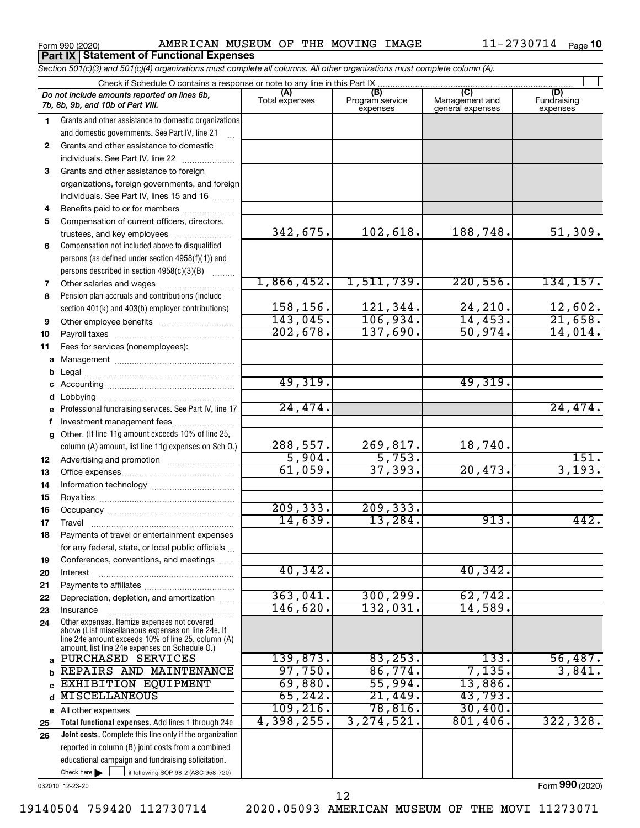**Part IX Statement of Functional Expenses**

Form 990 (2020) Page AMERICAN MUSEUM OF THE MOVING IMAGE 11-2730714

|              | Section 501(c)(3) and 501(c)(4) organizations must complete all columns. All other organizations must complete column (A).                               |                    |                             |                                    |                         |
|--------------|----------------------------------------------------------------------------------------------------------------------------------------------------------|--------------------|-----------------------------|------------------------------------|-------------------------|
|              | Check if Schedule O contains a response or note to any line in this Part IX                                                                              | (A)                | (B)                         | (C)                                | (D)                     |
|              | Do not include amounts reported on lines 6b,<br>7b, 8b, 9b, and 10b of Part VIII.                                                                        | Total expenses     | Program service<br>expenses | Management and<br>general expenses | Fundraising<br>expenses |
| 1.           | Grants and other assistance to domestic organizations                                                                                                    |                    |                             |                                    |                         |
|              | and domestic governments. See Part IV, line 21                                                                                                           |                    |                             |                                    |                         |
| 2            | Grants and other assistance to domestic                                                                                                                  |                    |                             |                                    |                         |
|              | individuals. See Part IV, line 22                                                                                                                        |                    |                             |                                    |                         |
| 3            | Grants and other assistance to foreign                                                                                                                   |                    |                             |                                    |                         |
|              | organizations, foreign governments, and foreign                                                                                                          |                    |                             |                                    |                         |
|              | individuals. See Part IV, lines 15 and 16                                                                                                                |                    |                             |                                    |                         |
| 4            | Benefits paid to or for members                                                                                                                          |                    |                             |                                    |                         |
| 5            | Compensation of current officers, directors,                                                                                                             |                    |                             |                                    |                         |
|              | trustees, and key employees                                                                                                                              | 342,675.           | 102,618.                    | 188,748.                           | 51,309.                 |
| 6            | Compensation not included above to disqualified                                                                                                          |                    |                             |                                    |                         |
|              | persons (as defined under section 4958(f)(1)) and                                                                                                        |                    |                             |                                    |                         |
|              | persons described in section 4958(c)(3)(B)                                                                                                               |                    |                             |                                    |                         |
| 7            | Other salaries and wages                                                                                                                                 | 1,866,452.         | 1,511,739.                  | 220,556.                           | 134, 157.               |
| 8            | Pension plan accruals and contributions (include)                                                                                                        |                    |                             |                                    |                         |
|              | section 401(k) and 403(b) employer contributions)                                                                                                        | 158,156.           | 121,344.                    | 24,210.                            | 12,602.                 |
| 9            |                                                                                                                                                          | 143,045.           | 106,934.                    | 14,453.                            | 21,658.                 |
| 10           |                                                                                                                                                          | 202,678.           | 137,690.                    | 50,974.                            | 14,014.                 |
| 11           | Fees for services (nonemployees):                                                                                                                        |                    |                             |                                    |                         |
|              |                                                                                                                                                          |                    |                             |                                    |                         |
| b            |                                                                                                                                                          |                    |                             |                                    |                         |
|              |                                                                                                                                                          | 49,319.            |                             | 49,319.                            |                         |
| d            |                                                                                                                                                          |                    |                             |                                    |                         |
| е            | Professional fundraising services. See Part IV, line 17                                                                                                  | 24,474.            |                             |                                    | 24,474.                 |
| f            | Investment management fees                                                                                                                               |                    |                             |                                    |                         |
| $\mathbf{q}$ | Other. (If line 11g amount exceeds 10% of line 25,                                                                                                       |                    |                             |                                    |                         |
|              | column (A) amount, list line 11g expenses on Sch O.)                                                                                                     | 288,557.<br>5,904. | 269,817.<br>5,753.          | 18,740.                            | 151.                    |
| 12           |                                                                                                                                                          | 61,059.            | 37, 393.                    | 20,473.                            | 3,193.                  |
| 13           |                                                                                                                                                          |                    |                             |                                    |                         |
| 14           |                                                                                                                                                          |                    |                             |                                    |                         |
| 15           |                                                                                                                                                          | 209, 333.          | 209, 333.                   |                                    |                         |
| 16           |                                                                                                                                                          | 14,639.            | 13,284.                     | 913.                               | 442.                    |
| 17           |                                                                                                                                                          |                    |                             |                                    |                         |
|              | Payments of travel or entertainment expenses                                                                                                             |                    |                             |                                    |                         |
|              | for any federal, state, or local public officials                                                                                                        |                    |                             |                                    |                         |
| 19           | Conferences, conventions, and meetings                                                                                                                   | 40, 342.           |                             | 40, 342.                           |                         |
| 20           | Interest                                                                                                                                                 |                    |                             |                                    |                         |
| 21<br>22     | Depreciation, depletion, and amortization                                                                                                                | 363,041.           | 300, 299.                   | 62,742.                            |                         |
| 23           | Insurance                                                                                                                                                | 146,620.           | 132,031.                    | 14,589.                            |                         |
| 24           | Other expenses. Itemize expenses not covered<br>above (List miscellaneous expenses on line 24e. If<br>line 24e amount exceeds 10% of line 25, column (A) |                    |                             |                                    |                         |
|              | amount, list line 24e expenses on Schedule O.)                                                                                                           |                    |                             |                                    |                         |
|              | a PURCHASED SERVICES                                                                                                                                     | 139,873.           | 83, 253.                    | 133.                               | 56,487.                 |
| b            | REPAIRS AND MAINTENANCE                                                                                                                                  | 97,750.            | 86,774.                     | 7,135.                             | 3,841.                  |
| c            | EXHIBITION EQUIPMENT                                                                                                                                     | 69,880.            | 55,994.                     | 13,886.                            |                         |
| d            | <b>MISCELLANEOUS</b>                                                                                                                                     | 65, 242.           | 21,449.                     | 43,793.                            |                         |
|              | e All other expenses                                                                                                                                     | 109, 216.          | 78,816.                     | 30,400.                            |                         |
| 25           | Total functional expenses. Add lines 1 through 24e                                                                                                       | 4,398,255.         | 3, 274, 521.                | 801,406.                           | 322, 328.               |
| 26           | <b>Joint costs.</b> Complete this line only if the organization                                                                                          |                    |                             |                                    |                         |
|              | reported in column (B) joint costs from a combined                                                                                                       |                    |                             |                                    |                         |
|              | educational campaign and fundraising solicitation.                                                                                                       |                    |                             |                                    |                         |

032010 12-23-20

Check here

Form (2020) **990**

19140504 759420 112730714 2020.05093 AMERICAN MUSEUM OF THE MOVI 11273071

 $\Box$ 

if following SOP 98-2 (ASC 958-720)

12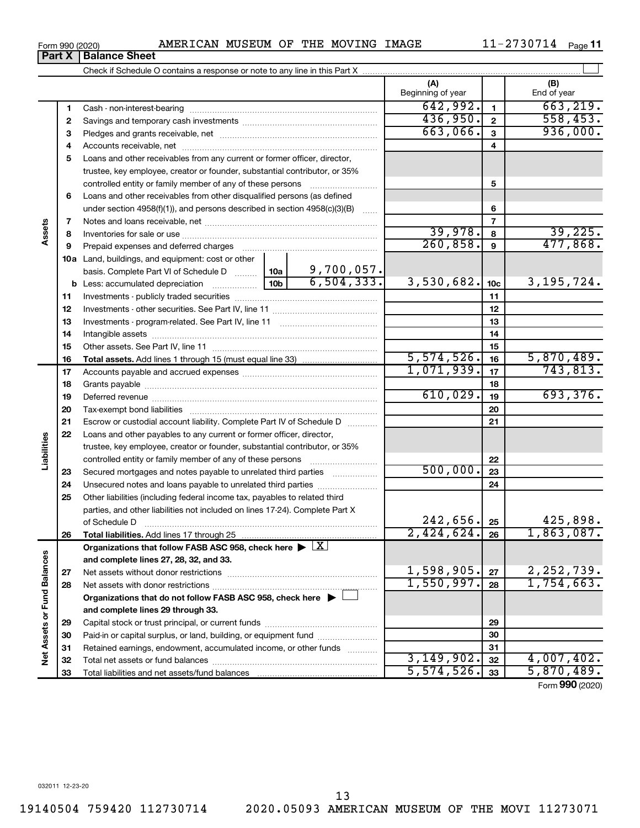**Part X Balance Sheet**

# Form 990 (2020)  $\,$  AMERICAN MUSEUM OF THE MOVING IMAGE  $\,$  11-2730714  $\,$  Page

11-2730714 Page 11

|                             |    |                                                                                                                                                            |                 |              | (A)<br>Beginning of year |                 | (B)<br>End of year |
|-----------------------------|----|------------------------------------------------------------------------------------------------------------------------------------------------------------|-----------------|--------------|--------------------------|-----------------|--------------------|
|                             | 1  |                                                                                                                                                            |                 |              | 642,992.                 | $\mathbf{1}$    | 663, 219.          |
|                             | 2  |                                                                                                                                                            |                 |              | 436,950.                 | $\overline{2}$  | 558, 453.          |
|                             | з  |                                                                                                                                                            |                 |              | 663,066.                 | 3               | 936,000.           |
|                             | 4  |                                                                                                                                                            |                 |              |                          | 4               |                    |
|                             | 5  | Loans and other receivables from any current or former officer, director,                                                                                  |                 |              |                          |                 |                    |
|                             |    | trustee, key employee, creator or founder, substantial contributor, or 35%                                                                                 |                 |              |                          |                 |                    |
|                             |    | controlled entity or family member of any of these persons                                                                                                 |                 | .            |                          | 5               |                    |
|                             | 6  | Loans and other receivables from other disqualified persons (as defined                                                                                    |                 |              |                          |                 |                    |
|                             |    | under section $4958(f)(1)$ , and persons described in section $4958(c)(3)(B)$                                                                              |                 | 1.1.1.1      |                          | 6               |                    |
|                             | 7  |                                                                                                                                                            |                 |              |                          | $\overline{7}$  |                    |
| Assets                      | 8  |                                                                                                                                                            |                 | 39,978.      | 8                        | 39,225.         |                    |
|                             | 9  | Prepaid expenses and deferred charges                                                                                                                      |                 | 260, 858.    | $\mathbf{9}$             | 477,868.        |                    |
|                             |    | 10a Land, buildings, and equipment: cost or other                                                                                                          |                 |              |                          |                 |                    |
|                             |    | basis. Complete Part VI of Schedule D                                                                                                                      | 10a             | 9,700,057.   |                          |                 |                    |
|                             |    | <b>b</b> Less: accumulated depreciation <i></i>                                                                                                            | 10 <sub>b</sub> | 6, 504, 333. | 3,530,682.               | 10 <sub>c</sub> | 3, 195, 724.       |
|                             | 11 |                                                                                                                                                            |                 |              | 11                       |                 |                    |
|                             | 12 |                                                                                                                                                            |                 | 12           |                          |                 |                    |
|                             | 13 |                                                                                                                                                            |                 | 13           |                          |                 |                    |
|                             | 14 |                                                                                                                                                            |                 |              | 14                       |                 |                    |
|                             | 15 |                                                                                                                                                            |                 |              |                          | 15              |                    |
|                             | 16 |                                                                                                                                                            |                 |              | 5,574,526.               | 16              | 5,870,489.         |
|                             | 17 |                                                                                                                                                            |                 |              | 1,071,939.               | 17              | 743,813.           |
|                             | 18 |                                                                                                                                                            |                 | 18           |                          |                 |                    |
|                             | 19 |                                                                                                                                                            | 610,029.        | 19           | 693,376.                 |                 |                    |
|                             | 20 |                                                                                                                                                            |                 |              |                          | 20              |                    |
|                             | 21 | Escrow or custodial account liability. Complete Part IV of Schedule D                                                                                      |                 |              |                          | 21              |                    |
| Liabilities                 | 22 | Loans and other payables to any current or former officer, director,                                                                                       |                 |              |                          |                 |                    |
|                             |    | trustee, key employee, creator or founder, substantial contributor, or 35%                                                                                 |                 |              |                          |                 |                    |
|                             |    |                                                                                                                                                            |                 |              | 500,000.                 | 22              |                    |
|                             | 23 | Secured mortgages and notes payable to unrelated third parties                                                                                             |                 |              |                          | 23              |                    |
|                             | 24 | Unsecured notes and loans payable to unrelated third parties                                                                                               |                 |              |                          | 24              |                    |
|                             | 25 | Other liabilities (including federal income tax, payables to related third<br>parties, and other liabilities not included on lines 17-24). Complete Part X |                 |              |                          |                 |                    |
|                             |    |                                                                                                                                                            |                 |              | 242,656.                 | 25              | 425,898.           |
|                             | 26 |                                                                                                                                                            |                 |              | $2,424,624.$ 26          |                 | 1,863,087.         |
|                             |    | Organizations that follow FASB ASC 958, check here $\blacktriangleright \lfloor \underline{X} \rfloor$                                                     |                 |              |                          |                 |                    |
|                             |    | and complete lines 27, 28, 32, and 33.                                                                                                                     |                 |              |                          |                 |                    |
|                             | 27 | Net assets without donor restrictions                                                                                                                      |                 |              | 1,598,905.               | 27              | 2, 252, 739.       |
|                             | 28 |                                                                                                                                                            |                 |              | 1,550,997.               | 28              | 1,754,663.         |
|                             |    | Organizations that do not follow FASB ASC 958, check here $\blacktriangleright$                                                                            |                 |              |                          |                 |                    |
|                             |    | and complete lines 29 through 33.                                                                                                                          |                 |              |                          |                 |                    |
| Net Assets or Fund Balances | 29 |                                                                                                                                                            |                 |              | 29                       |                 |                    |
|                             | 30 | Paid-in or capital surplus, or land, building, or equipment fund                                                                                           |                 |              | 30                       |                 |                    |
|                             | 31 | Retained earnings, endowment, accumulated income, or other funds                                                                                           |                 |              |                          | 31              |                    |
|                             | 32 |                                                                                                                                                            |                 |              | 3,149,902.               | 32              | 4,007,402.         |
|                             | 33 |                                                                                                                                                            |                 |              | 5,574,526.               | 33              | 5,870,489.         |
|                             |    |                                                                                                                                                            |                 |              |                          |                 |                    |

Form (2020) **990**

19140504 759420 112730714 2020.05093 AMERICAN MUSEUM OF THE MOVI 11273071

13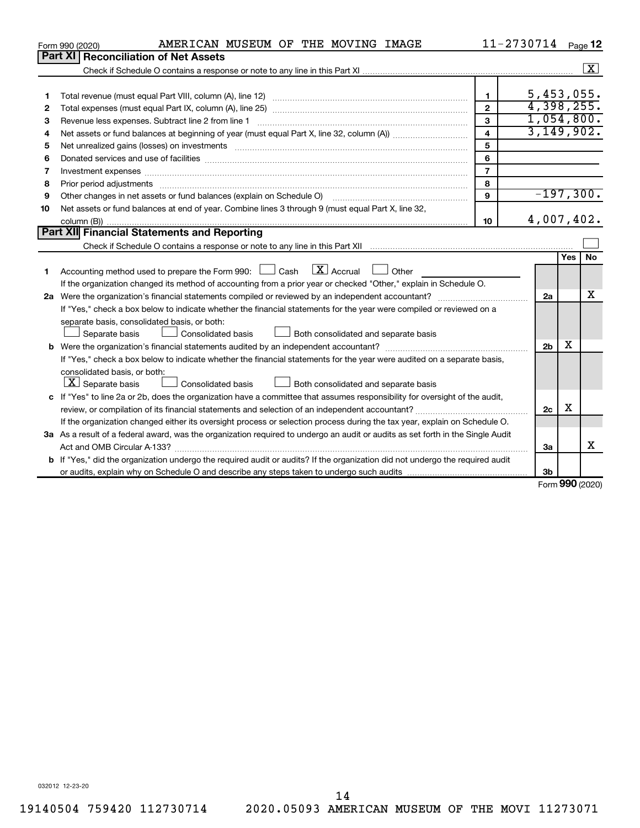|    | AMERICAN MUSEUM OF THE MOVING IMAGE<br>Form 990 (2020)                                                                                                                                                                        |                | 11-2730714     |     | Page 12              |
|----|-------------------------------------------------------------------------------------------------------------------------------------------------------------------------------------------------------------------------------|----------------|----------------|-----|----------------------|
|    | Part XI   Reconciliation of Net Assets                                                                                                                                                                                        |                |                |     |                      |
|    |                                                                                                                                                                                                                               |                |                |     | $\boxed{\textbf{X}}$ |
|    |                                                                                                                                                                                                                               |                |                |     |                      |
| 1  |                                                                                                                                                                                                                               | 1.             |                |     | 5,453,055.           |
| 2  |                                                                                                                                                                                                                               | $\overline{2}$ |                |     | 4,398,255.           |
| 3  | Revenue less expenses. Subtract line 2 from line 1                                                                                                                                                                            | 3              |                |     | 1,054,800.           |
| 4  |                                                                                                                                                                                                                               | 4              |                |     | 3,149,902.           |
| 5  |                                                                                                                                                                                                                               | 5              |                |     |                      |
| 6  | Donated services and use of facilities [[111][12] matter is a series and service in the services and use of facilities [[11][12] matter is a service of facilities [[11] matter is a service of the service of the service of | 6              |                |     |                      |
| 7  |                                                                                                                                                                                                                               | $\overline{7}$ |                |     |                      |
| 8  |                                                                                                                                                                                                                               | 8              |                |     |                      |
| 9  | Other changes in net assets or fund balances (explain on Schedule O)                                                                                                                                                          | 9              |                |     | $-197,300.$          |
| 10 | Net assets or fund balances at end of year. Combine lines 3 through 9 (must equal Part X, line 32,                                                                                                                            |                |                |     |                      |
|    |                                                                                                                                                                                                                               | 10             |                |     | 4,007,402.           |
|    | Part XII Financial Statements and Reporting                                                                                                                                                                                   |                |                |     |                      |
|    |                                                                                                                                                                                                                               |                |                |     |                      |
|    |                                                                                                                                                                                                                               |                |                | Yes | No                   |
| 1  | $\lfloor x \rfloor$ Accrual<br>Accounting method used to prepare the Form 990: $\Box$ Cash<br>$\Box$ Other                                                                                                                    |                |                |     |                      |
|    | If the organization changed its method of accounting from a prior year or checked "Other," explain in Schedule O.                                                                                                             |                |                |     |                      |
|    |                                                                                                                                                                                                                               |                | 2a             |     | x                    |
|    | If "Yes," check a box below to indicate whether the financial statements for the year were compiled or reviewed on a                                                                                                          |                |                |     |                      |
|    | separate basis, consolidated basis, or both:                                                                                                                                                                                  |                |                |     |                      |
|    | Both consolidated and separate basis<br>Separate basis<br>Consolidated basis                                                                                                                                                  |                |                |     |                      |
|    |                                                                                                                                                                                                                               |                | 2 <sub>b</sub> | x   |                      |
|    | If "Yes," check a box below to indicate whether the financial statements for the year were audited on a separate basis,                                                                                                       |                |                |     |                      |
|    | consolidated basis, or both:                                                                                                                                                                                                  |                |                |     |                      |
|    | $ \mathbf{X} $ Separate basis<br>Consolidated basis<br>Both consolidated and separate basis                                                                                                                                   |                |                |     |                      |
|    | c If "Yes" to line 2a or 2b, does the organization have a committee that assumes responsibility for oversight of the audit,                                                                                                   |                |                |     |                      |
|    |                                                                                                                                                                                                                               |                | 2 <sub>c</sub> | x   |                      |
|    | If the organization changed either its oversight process or selection process during the tax year, explain on Schedule O.                                                                                                     |                |                |     |                      |
|    | 3a As a result of a federal award, was the organization required to undergo an audit or audits as set forth in the Single Audit                                                                                               |                |                |     |                      |
|    |                                                                                                                                                                                                                               |                | 3a             |     | x                    |
|    | <b>b</b> If "Yes," did the organization undergo the required audit or audits? If the organization did not undergo the required audit                                                                                          |                |                |     |                      |
|    |                                                                                                                                                                                                                               |                | 3b             |     | $\sim$               |

Form (2020) **990**

032012 12-23-20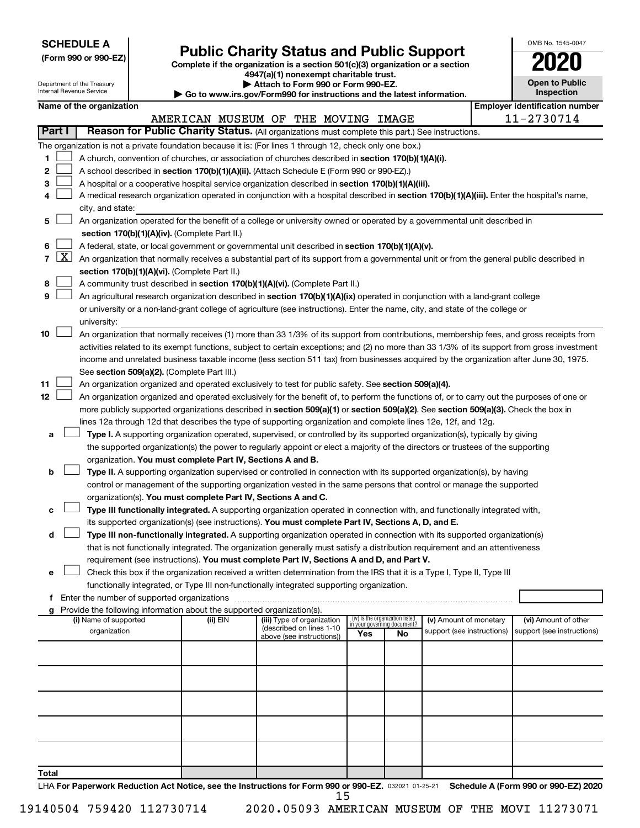| <b>SCHEDULE A</b> |  |
|-------------------|--|
|-------------------|--|

| (Form 990 or 990-EZ) |  |  |  |  |
|----------------------|--|--|--|--|
|----------------------|--|--|--|--|

# Form 990 or 990-EZ) **Public Charity Status and Public Support**<br>
Complete if the organization is a section 501(c)(3) organization or a section<br> **2020**

| OMB No. 1545-0047     |
|-----------------------|
| 2020                  |
| <b>Open to Public</b> |

|                |                     | Department of the Treasury |                                                                        | 4947(a)(1) nonexempt charitable trust.<br>Attach to Form 990 or Form 990-EZ.                                                                 |     |                                                                |                            | <b>Open to Public</b>                 |
|----------------|---------------------|----------------------------|------------------------------------------------------------------------|----------------------------------------------------------------------------------------------------------------------------------------------|-----|----------------------------------------------------------------|----------------------------|---------------------------------------|
|                |                     | Internal Revenue Service   |                                                                        | Go to www.irs.gov/Form990 for instructions and the latest information.                                                                       |     |                                                                |                            | Inspection                            |
|                |                     | Name of the organization   |                                                                        |                                                                                                                                              |     |                                                                |                            | <b>Employer identification number</b> |
|                |                     |                            |                                                                        | AMERICAN MUSEUM OF THE MOVING IMAGE                                                                                                          |     |                                                                |                            | 11-2730714                            |
|                | Part I              |                            |                                                                        | Reason for Public Charity Status. (All organizations must complete this part.) See instructions.                                             |     |                                                                |                            |                                       |
|                |                     |                            |                                                                        | The organization is not a private foundation because it is: (For lines 1 through 12, check only one box.)                                    |     |                                                                |                            |                                       |
| 1              |                     |                            |                                                                        | A church, convention of churches, or association of churches described in section 170(b)(1)(A)(i).                                           |     |                                                                |                            |                                       |
| 2              |                     |                            |                                                                        | A school described in section 170(b)(1)(A)(ii). (Attach Schedule E (Form 990 or 990-EZ).)                                                    |     |                                                                |                            |                                       |
| З              |                     |                            |                                                                        | A hospital or a cooperative hospital service organization described in section 170(b)(1)(A)(iii).                                            |     |                                                                |                            |                                       |
|                |                     |                            |                                                                        | A medical research organization operated in conjunction with a hospital described in section 170(b)(1)(A)(iii). Enter the hospital's name,   |     |                                                                |                            |                                       |
|                |                     | city, and state:           |                                                                        |                                                                                                                                              |     |                                                                |                            |                                       |
| 5              |                     |                            |                                                                        | An organization operated for the benefit of a college or university owned or operated by a governmental unit described in                    |     |                                                                |                            |                                       |
|                |                     |                            | section 170(b)(1)(A)(iv). (Complete Part II.)                          |                                                                                                                                              |     |                                                                |                            |                                       |
| 6              |                     |                            |                                                                        | A federal, state, or local government or governmental unit described in section 170(b)(1)(A)(v).                                             |     |                                                                |                            |                                       |
| $\overline{7}$ | $\lfloor x \rfloor$ |                            |                                                                        | An organization that normally receives a substantial part of its support from a governmental unit or from the general public described in    |     |                                                                |                            |                                       |
|                |                     |                            | section 170(b)(1)(A)(vi). (Complete Part II.)                          |                                                                                                                                              |     |                                                                |                            |                                       |
| 8              |                     |                            |                                                                        | A community trust described in section 170(b)(1)(A)(vi). (Complete Part II.)                                                                 |     |                                                                |                            |                                       |
| 9              |                     |                            |                                                                        | An agricultural research organization described in section 170(b)(1)(A)(ix) operated in conjunction with a land-grant college                |     |                                                                |                            |                                       |
|                |                     |                            |                                                                        | or university or a non-land-grant college of agriculture (see instructions). Enter the name, city, and state of the college or               |     |                                                                |                            |                                       |
|                |                     | university:                |                                                                        |                                                                                                                                              |     |                                                                |                            |                                       |
| 10             |                     |                            |                                                                        | An organization that normally receives (1) more than 33 1/3% of its support from contributions, membership fees, and gross receipts from     |     |                                                                |                            |                                       |
|                |                     |                            |                                                                        | activities related to its exempt functions, subject to certain exceptions; and (2) no more than 33 1/3% of its support from gross investment |     |                                                                |                            |                                       |
|                |                     |                            |                                                                        | income and unrelated business taxable income (less section 511 tax) from businesses acquired by the organization after June 30, 1975.        |     |                                                                |                            |                                       |
|                |                     |                            | See section 509(a)(2). (Complete Part III.)                            |                                                                                                                                              |     |                                                                |                            |                                       |
| 11             |                     |                            |                                                                        | An organization organized and operated exclusively to test for public safety. See section 509(a)(4).                                         |     |                                                                |                            |                                       |
| 12             |                     |                            |                                                                        | An organization organized and operated exclusively for the benefit of, to perform the functions of, or to carry out the purposes of one or   |     |                                                                |                            |                                       |
|                |                     |                            |                                                                        | more publicly supported organizations described in section 509(a)(1) or section 509(a)(2). See section 509(a)(3). Check the box in           |     |                                                                |                            |                                       |
|                |                     |                            |                                                                        | lines 12a through 12d that describes the type of supporting organization and complete lines 12e, 12f, and 12g.                               |     |                                                                |                            |                                       |
| а              |                     |                            |                                                                        | Type I. A supporting organization operated, supervised, or controlled by its supported organization(s), typically by giving                  |     |                                                                |                            |                                       |
|                |                     |                            |                                                                        | the supported organization(s) the power to regularly appoint or elect a majority of the directors or trustees of the supporting              |     |                                                                |                            |                                       |
|                |                     |                            | organization. You must complete Part IV, Sections A and B.             |                                                                                                                                              |     |                                                                |                            |                                       |
| b              |                     |                            |                                                                        | Type II. A supporting organization supervised or controlled in connection with its supported organization(s), by having                      |     |                                                                |                            |                                       |
|                |                     |                            |                                                                        | control or management of the supporting organization vested in the same persons that control or manage the supported                         |     |                                                                |                            |                                       |
|                |                     |                            |                                                                        | organization(s). You must complete Part IV, Sections A and C.                                                                                |     |                                                                |                            |                                       |
| с              |                     |                            |                                                                        | Type III functionally integrated. A supporting organization operated in connection with, and functionally integrated with,                   |     |                                                                |                            |                                       |
|                |                     |                            |                                                                        | its supported organization(s) (see instructions). You must complete Part IV, Sections A, D, and E.                                           |     |                                                                |                            |                                       |
| d              |                     |                            |                                                                        | Type III non-functionally integrated. A supporting organization operated in connection with its supported organization(s)                    |     |                                                                |                            |                                       |
|                |                     |                            |                                                                        | that is not functionally integrated. The organization generally must satisfy a distribution requirement and an attentiveness                 |     |                                                                |                            |                                       |
|                |                     |                            |                                                                        | requirement (see instructions). You must complete Part IV, Sections A and D, and Part V.                                                     |     |                                                                |                            |                                       |
| е              |                     |                            |                                                                        | Check this box if the organization received a written determination from the IRS that it is a Type I, Type II, Type III                      |     |                                                                |                            |                                       |
|                |                     |                            |                                                                        | functionally integrated, or Type III non-functionally integrated supporting organization.                                                    |     |                                                                |                            |                                       |
|                |                     |                            | Enter the number of supported organizations                            |                                                                                                                                              |     |                                                                |                            |                                       |
|                |                     |                            | Provide the following information about the supported organization(s). |                                                                                                                                              |     |                                                                |                            |                                       |
|                |                     | (i) Name of supported      | (ii) EIN                                                               | (iii) Type of organization                                                                                                                   |     | (iv) Is the organization listed<br>in your governing document? | (v) Amount of monetary     | (vi) Amount of other                  |
|                |                     | organization               |                                                                        | (described on lines 1-10<br>above (see instructions))                                                                                        | Yes | No                                                             | support (see instructions) | support (see instructions)            |
|                |                     |                            |                                                                        |                                                                                                                                              |     |                                                                |                            |                                       |
|                |                     |                            |                                                                        |                                                                                                                                              |     |                                                                |                            |                                       |
|                |                     |                            |                                                                        |                                                                                                                                              |     |                                                                |                            |                                       |
|                |                     |                            |                                                                        |                                                                                                                                              |     |                                                                |                            |                                       |
|                |                     |                            |                                                                        |                                                                                                                                              |     |                                                                |                            |                                       |
|                |                     |                            |                                                                        |                                                                                                                                              |     |                                                                |                            |                                       |
|                |                     |                            |                                                                        |                                                                                                                                              |     |                                                                |                            |                                       |
|                |                     |                            |                                                                        |                                                                                                                                              |     |                                                                |                            |                                       |
|                |                     |                            |                                                                        |                                                                                                                                              |     |                                                                |                            |                                       |
|                |                     |                            |                                                                        |                                                                                                                                              |     |                                                                |                            |                                       |
| Total          |                     |                            |                                                                        |                                                                                                                                              |     |                                                                |                            |                                       |

LHA For Paperwork Reduction Act Notice, see the Instructions for Form 990 or 990-EZ. 032021 01-25-21 Schedule A (Form 990 or 990-EZ) 2020 15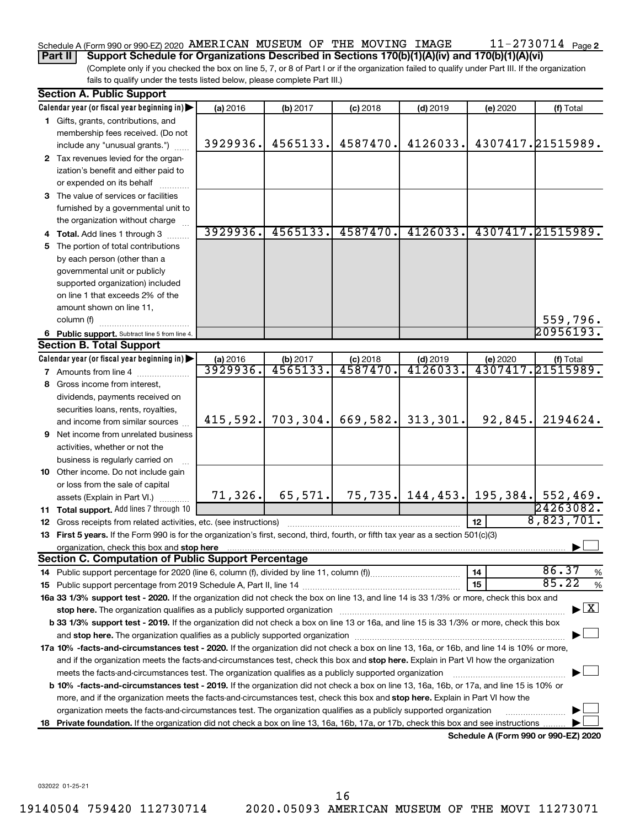#### 11-2730714 Page 2 Schedule A (Form 990 or 990-EZ) 2020 AMERICAN MUSEUM OF THE MOVING IMAGE  $11$  –  $2730714$  Page

**Part II Support Schedule for Organizations Described in Sections 170(b)(1)(A)(iv) and 170(b)(1)(A)(vi)**

(Complete only if you checked the box on line 5, 7, or 8 of Part I or if the organization failed to qualify under Part III. If the organization fails to qualify under the tests listed below, please complete Part III.)

|    | <b>Section A. Public Support</b>                                                                                                                                                                                                                                                                                                                                           |          |           |            |            |          |                                        |  |  |
|----|----------------------------------------------------------------------------------------------------------------------------------------------------------------------------------------------------------------------------------------------------------------------------------------------------------------------------------------------------------------------------|----------|-----------|------------|------------|----------|----------------------------------------|--|--|
|    | Calendar year (or fiscal year beginning in)                                                                                                                                                                                                                                                                                                                                | (a) 2016 | (b) 2017  | $(c)$ 2018 | $(d)$ 2019 | (e) 2020 | (f) Total                              |  |  |
|    | 1 Gifts, grants, contributions, and                                                                                                                                                                                                                                                                                                                                        |          |           |            |            |          |                                        |  |  |
|    | membership fees received. (Do not                                                                                                                                                                                                                                                                                                                                          |          |           |            |            |          |                                        |  |  |
|    | include any "unusual grants.")                                                                                                                                                                                                                                                                                                                                             | 3929936. | 4565133.  | 4587470.   | 4126033.   |          | 4307417.21515989.                      |  |  |
|    | 2 Tax revenues levied for the organ-                                                                                                                                                                                                                                                                                                                                       |          |           |            |            |          |                                        |  |  |
|    | ization's benefit and either paid to                                                                                                                                                                                                                                                                                                                                       |          |           |            |            |          |                                        |  |  |
|    | or expended on its behalf                                                                                                                                                                                                                                                                                                                                                  |          |           |            |            |          |                                        |  |  |
|    | 3 The value of services or facilities                                                                                                                                                                                                                                                                                                                                      |          |           |            |            |          |                                        |  |  |
|    | furnished by a governmental unit to                                                                                                                                                                                                                                                                                                                                        |          |           |            |            |          |                                        |  |  |
|    | the organization without charge                                                                                                                                                                                                                                                                                                                                            |          |           |            |            |          |                                        |  |  |
|    | 4 Total. Add lines 1 through 3                                                                                                                                                                                                                                                                                                                                             | 3929936. | 4565133.  | 4587470.   | 4126033.   |          | 4307417.21515989.                      |  |  |
|    | 5 The portion of total contributions                                                                                                                                                                                                                                                                                                                                       |          |           |            |            |          |                                        |  |  |
|    | by each person (other than a                                                                                                                                                                                                                                                                                                                                               |          |           |            |            |          |                                        |  |  |
|    | governmental unit or publicly                                                                                                                                                                                                                                                                                                                                              |          |           |            |            |          |                                        |  |  |
|    | supported organization) included                                                                                                                                                                                                                                                                                                                                           |          |           |            |            |          |                                        |  |  |
|    | on line 1 that exceeds 2% of the                                                                                                                                                                                                                                                                                                                                           |          |           |            |            |          |                                        |  |  |
|    | amount shown on line 11,                                                                                                                                                                                                                                                                                                                                                   |          |           |            |            |          |                                        |  |  |
|    | column (f)                                                                                                                                                                                                                                                                                                                                                                 |          |           |            |            |          | 559,796.                               |  |  |
|    | 6 Public support. Subtract line 5 from line 4.                                                                                                                                                                                                                                                                                                                             |          |           |            |            |          | 20956193.                              |  |  |
|    | <b>Section B. Total Support</b>                                                                                                                                                                                                                                                                                                                                            |          |           |            |            |          |                                        |  |  |
|    | Calendar year (or fiscal year beginning in)                                                                                                                                                                                                                                                                                                                                | (a) 2016 | (b) 2017  | $(c)$ 2018 | $(d)$ 2019 | (e) 2020 | (f) Total                              |  |  |
|    | 7 Amounts from line 4                                                                                                                                                                                                                                                                                                                                                      | 3929936. | 4565133   | 4587470    | 4126033    |          | 4307417.21515989.                      |  |  |
|    | 8 Gross income from interest,                                                                                                                                                                                                                                                                                                                                              |          |           |            |            |          |                                        |  |  |
|    | dividends, payments received on                                                                                                                                                                                                                                                                                                                                            |          |           |            |            |          |                                        |  |  |
|    | securities loans, rents, royalties,                                                                                                                                                                                                                                                                                                                                        |          |           |            |            |          |                                        |  |  |
|    | and income from similar sources                                                                                                                                                                                                                                                                                                                                            | 415,592. | 703, 304. | 669,582.   | 313,301.   | 92,845.  | 2194624.                               |  |  |
|    | <b>9</b> Net income from unrelated business                                                                                                                                                                                                                                                                                                                                |          |           |            |            |          |                                        |  |  |
|    | activities, whether or not the                                                                                                                                                                                                                                                                                                                                             |          |           |            |            |          |                                        |  |  |
|    | business is regularly carried on                                                                                                                                                                                                                                                                                                                                           |          |           |            |            |          |                                        |  |  |
|    | 10 Other income. Do not include gain                                                                                                                                                                                                                                                                                                                                       |          |           |            |            |          |                                        |  |  |
|    | or loss from the sale of capital                                                                                                                                                                                                                                                                                                                                           |          |           |            |            |          |                                        |  |  |
|    | assets (Explain in Part VI.)                                                                                                                                                                                                                                                                                                                                               | 71, 326. | 65, 571.  |            |            |          | 75, 735. 144, 453. 195, 384. 552, 469. |  |  |
|    | 11 Total support. Add lines 7 through 10                                                                                                                                                                                                                                                                                                                                   |          |           |            |            |          | 24263082.                              |  |  |
|    | <b>12</b> Gross receipts from related activities, etc. (see instructions)                                                                                                                                                                                                                                                                                                  |          |           |            |            | 12       | 8,823,701.                             |  |  |
|    | 13 First 5 years. If the Form 990 is for the organization's first, second, third, fourth, or fifth tax year as a section 501(c)(3)                                                                                                                                                                                                                                         |          |           |            |            |          |                                        |  |  |
|    | <b>Section C. Computation of Public Support Percentage</b>                                                                                                                                                                                                                                                                                                                 |          |           |            |            |          |                                        |  |  |
|    |                                                                                                                                                                                                                                                                                                                                                                            |          |           |            |            |          | 86.37                                  |  |  |
|    |                                                                                                                                                                                                                                                                                                                                                                            |          |           |            |            | 14<br>15 | %<br>85.22                             |  |  |
|    | 16a 33 1/3% support test - 2020. If the organization did not check the box on line 13, and line 14 is 33 1/3% or more, check this box and                                                                                                                                                                                                                                  |          |           |            |            |          | %                                      |  |  |
|    |                                                                                                                                                                                                                                                                                                                                                                            |          |           |            |            |          | $\blacktriangleright$ $\mathbf{X}$     |  |  |
|    | stop here. The organization qualifies as a publicly supported organization manufaction manufacture or the organization manufacture or the organization manufacture or the organization manufacture or the state of the state o<br>b 33 1/3% support test - 2019. If the organization did not check a box on line 13 or 16a, and line 15 is 33 1/3% or more, check this box |          |           |            |            |          |                                        |  |  |
|    |                                                                                                                                                                                                                                                                                                                                                                            |          |           |            |            |          |                                        |  |  |
|    | 17a 10% -facts-and-circumstances test - 2020. If the organization did not check a box on line 13, 16a, or 16b, and line 14 is 10% or more,                                                                                                                                                                                                                                 |          |           |            |            |          |                                        |  |  |
|    |                                                                                                                                                                                                                                                                                                                                                                            |          |           |            |            |          |                                        |  |  |
|    | and if the organization meets the facts-and-circumstances test, check this box and stop here. Explain in Part VI how the organization<br>meets the facts-and-circumstances test. The organization qualifies as a publicly supported organization                                                                                                                           |          |           |            |            |          |                                        |  |  |
|    | <b>b 10%</b> -facts-and-circumstances test - 2019. If the organization did not check a box on line 13, 16a, 16b, or 17a, and line 15 is 10% or                                                                                                                                                                                                                             |          |           |            |            |          |                                        |  |  |
|    | more, and if the organization meets the facts-and-circumstances test, check this box and <b>stop here.</b> Explain in Part VI how the                                                                                                                                                                                                                                      |          |           |            |            |          |                                        |  |  |
|    | organization meets the facts-and-circumstances test. The organization qualifies as a publicly supported organization                                                                                                                                                                                                                                                       |          |           |            |            |          |                                        |  |  |
| 18 | Private foundation. If the organization did not check a box on line 13, 16a, 16b, 17a, or 17b, check this box and see instructions.                                                                                                                                                                                                                                        |          |           |            |            |          |                                        |  |  |
|    |                                                                                                                                                                                                                                                                                                                                                                            |          |           |            |            |          | Schedule A (Form 990 or 990-EZ) 2020   |  |  |

032022 01-25-21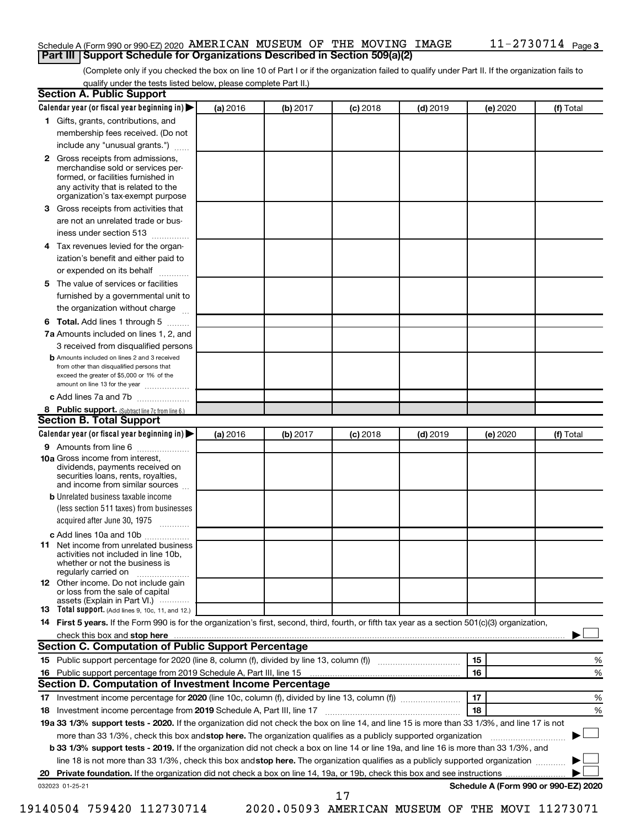## Schedule A (Form 990 or 990-EZ) 2020 AMERICAN MUSEUM OF THE MOVING IMAGE  $11$  –  $2730714$  Page **Part III Support Schedule for Organizations Described in Section 509(a)(2)**

(Complete only if you checked the box on line 10 of Part I or if the organization failed to qualify under Part II. If the organization fails to qualify under the tests listed below, please complete Part II.)

|    | <b>Section A. Public Support</b>                                                                                                                                                                                               |          |          |            |            |          |                                      |
|----|--------------------------------------------------------------------------------------------------------------------------------------------------------------------------------------------------------------------------------|----------|----------|------------|------------|----------|--------------------------------------|
|    | Calendar year (or fiscal year beginning in)                                                                                                                                                                                    | (a) 2016 | (b) 2017 | (c) 2018   | $(d)$ 2019 | (e) 2020 | (f) Total                            |
|    | 1 Gifts, grants, contributions, and                                                                                                                                                                                            |          |          |            |            |          |                                      |
|    | membership fees received. (Do not                                                                                                                                                                                              |          |          |            |            |          |                                      |
|    | include any "unusual grants.")                                                                                                                                                                                                 |          |          |            |            |          |                                      |
|    | <b>2</b> Gross receipts from admissions,<br>merchandise sold or services per-<br>formed, or facilities furnished in<br>any activity that is related to the<br>organization's tax-exempt purpose                                |          |          |            |            |          |                                      |
|    | 3 Gross receipts from activities that                                                                                                                                                                                          |          |          |            |            |          |                                      |
|    | are not an unrelated trade or bus-                                                                                                                                                                                             |          |          |            |            |          |                                      |
|    | iness under section 513                                                                                                                                                                                                        |          |          |            |            |          |                                      |
|    | 4 Tax revenues levied for the organ-                                                                                                                                                                                           |          |          |            |            |          |                                      |
|    | ization's benefit and either paid to                                                                                                                                                                                           |          |          |            |            |          |                                      |
|    | or expended on its behalf                                                                                                                                                                                                      |          |          |            |            |          |                                      |
|    | 5 The value of services or facilities                                                                                                                                                                                          |          |          |            |            |          |                                      |
|    | furnished by a governmental unit to                                                                                                                                                                                            |          |          |            |            |          |                                      |
|    | the organization without charge                                                                                                                                                                                                |          |          |            |            |          |                                      |
|    | <b>6 Total.</b> Add lines 1 through 5                                                                                                                                                                                          |          |          |            |            |          |                                      |
|    | 7a Amounts included on lines 1, 2, and                                                                                                                                                                                         |          |          |            |            |          |                                      |
|    | 3 received from disqualified persons                                                                                                                                                                                           |          |          |            |            |          |                                      |
|    | <b>b</b> Amounts included on lines 2 and 3 received<br>from other than disqualified persons that<br>exceed the greater of \$5,000 or 1% of the<br>amount on line 13 for the year                                               |          |          |            |            |          |                                      |
|    | c Add lines 7a and 7b                                                                                                                                                                                                          |          |          |            |            |          |                                      |
|    | 8 Public support. (Subtract line 7c from line 6.)                                                                                                                                                                              |          |          |            |            |          |                                      |
|    | <b>Section B. Total Support</b>                                                                                                                                                                                                |          |          |            |            |          |                                      |
|    | Calendar year (or fiscal year beginning in)                                                                                                                                                                                    | (a) 2016 | (b) 2017 | $(c)$ 2018 | $(d)$ 2019 | (e) 2020 | (f) Total                            |
|    | 9 Amounts from line 6                                                                                                                                                                                                          |          |          |            |            |          |                                      |
|    | <b>10a</b> Gross income from interest,<br>dividends, payments received on<br>securities loans, rents, royalties,<br>and income from similar sources                                                                            |          |          |            |            |          |                                      |
|    | <b>b</b> Unrelated business taxable income                                                                                                                                                                                     |          |          |            |            |          |                                      |
|    | (less section 511 taxes) from businesses                                                                                                                                                                                       |          |          |            |            |          |                                      |
|    | acquired after June 30, 1975                                                                                                                                                                                                   |          |          |            |            |          |                                      |
|    | c Add lines 10a and 10b                                                                                                                                                                                                        |          |          |            |            |          |                                      |
|    | <b>11</b> Net income from unrelated business<br>activities not included in line 10b.<br>whether or not the business is<br>regularly carried on                                                                                 |          |          |            |            |          |                                      |
|    | 12 Other income. Do not include gain<br>or loss from the sale of capital<br>assets (Explain in Part VI.)                                                                                                                       |          |          |            |            |          |                                      |
|    | <b>13</b> Total support. (Add lines 9, 10c, 11, and 12.)                                                                                                                                                                       |          |          |            |            |          |                                      |
|    | 14 First 5 years. If the Form 990 is for the organization's first, second, third, fourth, or fifth tax year as a section 501(c)(3) organization,                                                                               |          |          |            |            |          |                                      |
|    | check this box and stop here measurements and contact the state of the state of the state of the state of the state of the state of the state of the state of the state of the state of the state of the state of the state of |          |          |            |            |          |                                      |
|    | Section C. Computation of Public Support Percentage                                                                                                                                                                            |          |          |            |            |          |                                      |
|    | 15 Public support percentage for 2020 (line 8, column (f), divided by line 13, column (f) <i></i>                                                                                                                              |          |          |            |            | 15       | %                                    |
|    |                                                                                                                                                                                                                                |          |          |            |            | 16       | %                                    |
|    | Section D. Computation of Investment Income Percentage                                                                                                                                                                         |          |          |            |            |          |                                      |
|    | 17 Investment income percentage for 2020 (line 10c, column (f), divided by line 13, column (f))                                                                                                                                |          |          |            |            | 17       | %                                    |
|    | 18 Investment income percentage from 2019 Schedule A, Part III, line 17                                                                                                                                                        |          |          |            |            | 18       | %                                    |
|    | 19a 33 1/3% support tests - 2020. If the organization did not check the box on line 14, and line 15 is more than 33 1/3%, and line 17 is not                                                                                   |          |          |            |            |          |                                      |
|    | more than 33 1/3%, check this box and stop here. The organization qualifies as a publicly supported organization                                                                                                               |          |          |            |            |          |                                      |
|    | b 33 1/3% support tests - 2019. If the organization did not check a box on line 14 or line 19a, and line 16 is more than 33 1/3%, and                                                                                          |          |          |            |            |          |                                      |
|    | line 18 is not more than 33 1/3%, check this box and stop here. The organization qualifies as a publicly supported organization                                                                                                |          |          |            |            |          |                                      |
| 20 |                                                                                                                                                                                                                                |          |          |            |            |          |                                      |
|    | 032023 01-25-21                                                                                                                                                                                                                |          |          |            |            |          | Schedule A (Form 990 or 990-EZ) 2020 |
|    |                                                                                                                                                                                                                                |          |          | 17         |            |          |                                      |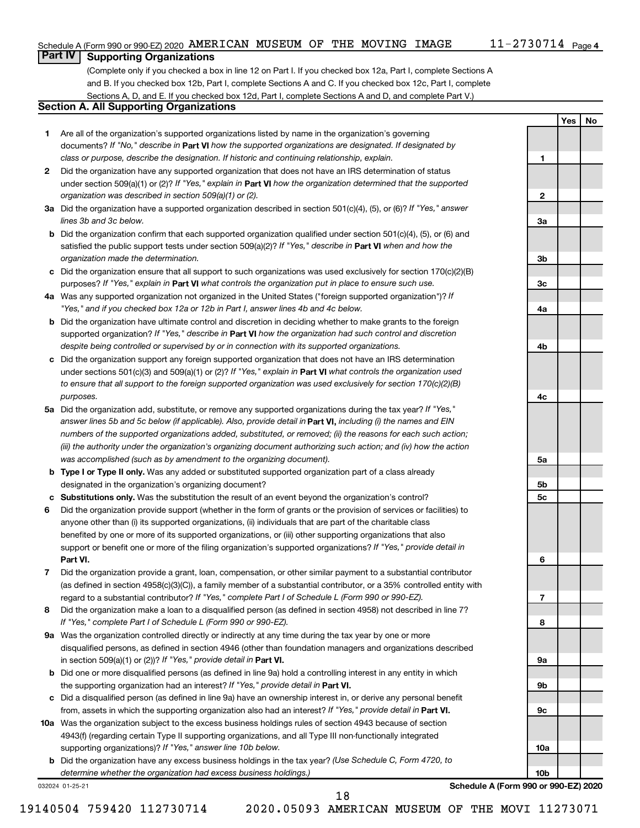**1**

**2**

**3a**

**3b**

**3c**

**4a**

**4b**

**4c**

**5a**

**5b 5c**

**6**

**7**

**8**

**9a**

**9b**

**9c**

**10a**

**10b**

**Yes No**

# **Part IV Supporting Organizations**

(Complete only if you checked a box in line 12 on Part I. If you checked box 12a, Part I, complete Sections A and B. If you checked box 12b, Part I, complete Sections A and C. If you checked box 12c, Part I, complete Sections A, D, and E. If you checked box 12d, Part I, complete Sections A and D, and complete Part V.)

# **Section A. All Supporting Organizations**

- **1** Are all of the organization's supported organizations listed by name in the organization's governing documents? If "No," describe in Part VI how the supported organizations are designated. If designated by *class or purpose, describe the designation. If historic and continuing relationship, explain.*
- **2** Did the organization have any supported organization that does not have an IRS determination of status under section 509(a)(1) or (2)? If "Yes," explain in Part **VI** how the organization determined that the supported *organization was described in section 509(a)(1) or (2).*
- **3a** Did the organization have a supported organization described in section 501(c)(4), (5), or (6)? If "Yes," answer *lines 3b and 3c below.*
- **b** Did the organization confirm that each supported organization qualified under section 501(c)(4), (5), or (6) and satisfied the public support tests under section 509(a)(2)? If "Yes," describe in Part VI when and how the *organization made the determination.*
- **c** Did the organization ensure that all support to such organizations was used exclusively for section 170(c)(2)(B) purposes? If "Yes," explain in Part VI what controls the organization put in place to ensure such use.
- **4 a** *If* Was any supported organization not organized in the United States ("foreign supported organization")? *"Yes," and if you checked box 12a or 12b in Part I, answer lines 4b and 4c below.*
- **b** Did the organization have ultimate control and discretion in deciding whether to make grants to the foreign supported organization? If "Yes," describe in Part VI how the organization had such control and discretion *despite being controlled or supervised by or in connection with its supported organizations.*
- **c** Did the organization support any foreign supported organization that does not have an IRS determination under sections 501(c)(3) and 509(a)(1) or (2)? If "Yes," explain in Part VI what controls the organization used *to ensure that all support to the foreign supported organization was used exclusively for section 170(c)(2)(B) purposes.*
- **5a** Did the organization add, substitute, or remove any supported organizations during the tax year? If "Yes," answer lines 5b and 5c below (if applicable). Also, provide detail in **Part VI,** including (i) the names and EIN *numbers of the supported organizations added, substituted, or removed; (ii) the reasons for each such action; (iii) the authority under the organization's organizing document authorizing such action; and (iv) how the action was accomplished (such as by amendment to the organizing document).*
- **b Type I or Type II only.** Was any added or substituted supported organization part of a class already designated in the organization's organizing document?
- **c Substitutions only.**  Was the substitution the result of an event beyond the organization's control?
- **6** Did the organization provide support (whether in the form of grants or the provision of services or facilities) to **Part VI.** support or benefit one or more of the filing organization's supported organizations? If "Yes," provide detail in anyone other than (i) its supported organizations, (ii) individuals that are part of the charitable class benefited by one or more of its supported organizations, or (iii) other supporting organizations that also
- **7** Did the organization provide a grant, loan, compensation, or other similar payment to a substantial contributor regard to a substantial contributor? If "Yes," complete Part I of Schedule L (Form 990 or 990-EZ). (as defined in section 4958(c)(3)(C)), a family member of a substantial contributor, or a 35% controlled entity with
- **8** Did the organization make a loan to a disqualified person (as defined in section 4958) not described in line 7? *If "Yes," complete Part I of Schedule L (Form 990 or 990-EZ).*
- **9 a** Was the organization controlled directly or indirectly at any time during the tax year by one or more in section 509(a)(1) or (2))? If "Yes," provide detail in **Part VI.** disqualified persons, as defined in section 4946 (other than foundation managers and organizations described
- **b** Did one or more disqualified persons (as defined in line 9a) hold a controlling interest in any entity in which the supporting organization had an interest? If "Yes," provide detail in Part VI.
- **c** Did a disqualified person (as defined in line 9a) have an ownership interest in, or derive any personal benefit from, assets in which the supporting organization also had an interest? If "Yes," provide detail in Part VI.
- **10 a** Was the organization subject to the excess business holdings rules of section 4943 because of section supporting organizations)? If "Yes," answer line 10b below. 4943(f) (regarding certain Type II supporting organizations, and all Type III non-functionally integrated
	- **b** Did the organization have any excess business holdings in the tax year? (Use Schedule C, Form 4720, to *determine whether the organization had excess business holdings.)*

032024 01-25-21

**Schedule A (Form 990 or 990-EZ) 2020**

18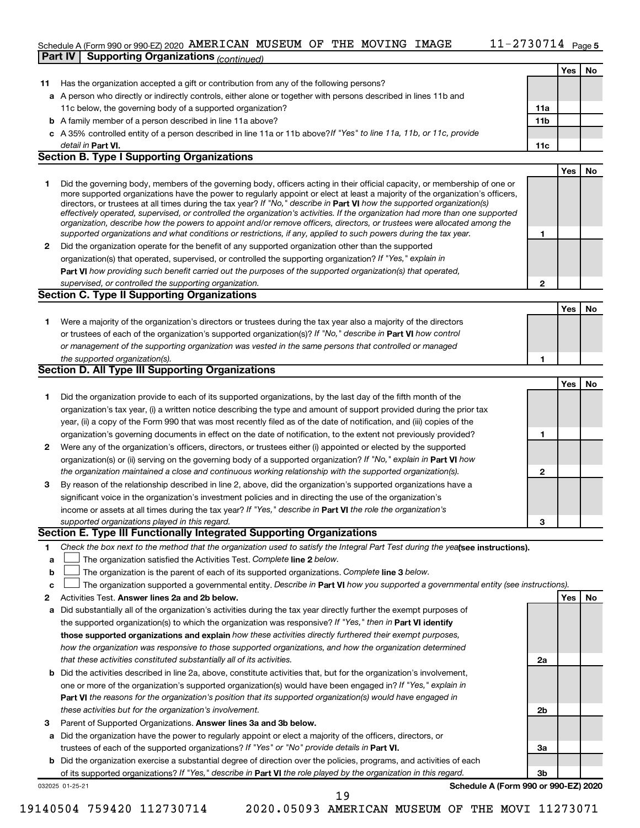# Schedule A (Form 990 or 990-EZ) 2020 AMERICAN MUSEUM OF THE MOVING IMAGE  $11$  –  $2730714$  Page **Part IV Supporting Organizations** *(continued)*

| $\mathbf{2}$ | Did the organization operate for the benefit of any supported organization other than the supported                                                                                                                                  |              |     |    |
|--------------|--------------------------------------------------------------------------------------------------------------------------------------------------------------------------------------------------------------------------------------|--------------|-----|----|
|              | organization(s) that operated, supervised, or controlled the supporting organization? If "Yes," explain in<br>Part VI how providing such benefit carried out the purposes of the supported organization(s) that operated,            |              |     |    |
|              | supervised, or controlled the supporting organization.                                                                                                                                                                               | $\mathbf{2}$ |     |    |
|              | <b>Section C. Type II Supporting Organizations</b>                                                                                                                                                                                   |              |     |    |
|              |                                                                                                                                                                                                                                      |              | Yes | No |
| 1            | Were a majority of the organization's directors or trustees during the tax year also a majority of the directors                                                                                                                     |              |     |    |
|              | or trustees of each of the organization's supported organization(s)? If "No," describe in Part VI how control                                                                                                                        |              |     |    |
|              | or management of the supporting organization was vested in the same persons that controlled or managed                                                                                                                               |              |     |    |
|              | the supported organization(s).                                                                                                                                                                                                       | 1            |     |    |
|              | Section D. All Type III Supporting Organizations                                                                                                                                                                                     |              |     |    |
|              |                                                                                                                                                                                                                                      |              | Yes | No |
| 1            | Did the organization provide to each of its supported organizations, by the last day of the fifth month of the                                                                                                                       |              |     |    |
|              | organization's tax year, (i) a written notice describing the type and amount of support provided during the prior tax                                                                                                                |              |     |    |
|              | year, (ii) a copy of the Form 990 that was most recently filed as of the date of notification, and (iii) copies of the                                                                                                               |              |     |    |
| 2            | organization's governing documents in effect on the date of notification, to the extent not previously provided?<br>Were any of the organization's officers, directors, or trustees either (i) appointed or elected by the supported | 1            |     |    |
|              | organization(s) or (ii) serving on the governing body of a supported organization? If "No," explain in Part VI how                                                                                                                   |              |     |    |
|              | the organization maintained a close and continuous working relationship with the supported organization(s).                                                                                                                          | $\mathbf{2}$ |     |    |
| 3            | By reason of the relationship described in line 2, above, did the organization's supported organizations have a                                                                                                                      |              |     |    |
|              | significant voice in the organization's investment policies and in directing the use of the organization's                                                                                                                           |              |     |    |
|              | income or assets at all times during the tax year? If "Yes," describe in Part VI the role the organization's                                                                                                                         |              |     |    |
|              | supported organizations played in this regard.                                                                                                                                                                                       | 3            |     |    |
|              | Section E. Type III Functionally Integrated Supporting Organizations                                                                                                                                                                 |              |     |    |
| 1            | Check the box next to the method that the organization used to satisfy the Integral Part Test during the yealsee instructions).                                                                                                      |              |     |    |
| a            | The organization satisfied the Activities Test. Complete line 2 below.                                                                                                                                                               |              |     |    |
| b<br>с       | The organization is the parent of each of its supported organizations. Complete line 3 below.<br>The organization supported a governmental entity. Describe in Part VI how you supported a governmental entity (see instructions).   |              |     |    |
| 2            | Activities Test. Answer lines 2a and 2b below.                                                                                                                                                                                       |              | Yes | No |
| а            | Did substantially all of the organization's activities during the tax year directly further the exempt purposes of                                                                                                                   |              |     |    |
|              | the supported organization(s) to which the organization was responsive? If "Yes," then in Part VI identify                                                                                                                           |              |     |    |
|              | those supported organizations and explain how these activities directly furthered their exempt purposes,                                                                                                                             |              |     |    |
|              | how the organization was responsive to those supported organizations, and how the organization determined                                                                                                                            |              |     |    |
|              | that these activities constituted substantially all of its activities.                                                                                                                                                               | 2a           |     |    |
| b            | Did the activities described in line 2a, above, constitute activities that, but for the organization's involvement,                                                                                                                  |              |     |    |
|              | one or more of the organization's supported organization(s) would have been engaged in? If "Yes," explain in                                                                                                                         |              |     |    |
|              | <b>Part VI</b> the reasons for the organization's position that its supported organization(s) would have engaged in                                                                                                                  |              |     |    |
|              | these activities but for the organization's involvement.                                                                                                                                                                             | 2b           |     |    |
| з            | Parent of Supported Organizations. Answer lines 3a and 3b below.<br>Did the organization have the power to regularly appoint or elect a majority of the officers, directors, or                                                      |              |     |    |
| а            | trustees of each of the supported organizations? If "Yes" or "No" provide details in Part VI.                                                                                                                                        | За           |     |    |
| b            | Did the organization exercise a substantial degree of direction over the policies, programs, and activities of each                                                                                                                  |              |     |    |
|              | of its supported organizations? If "Yes," describe in Part VI the role played by the organization in this regard.                                                                                                                    | 3b           |     |    |
|              | Schedule A (Form 990 or 990-EZ) 2020<br>032025 01-25-21                                                                                                                                                                              |              |     |    |
|              | 19                                                                                                                                                                                                                                   |              |     |    |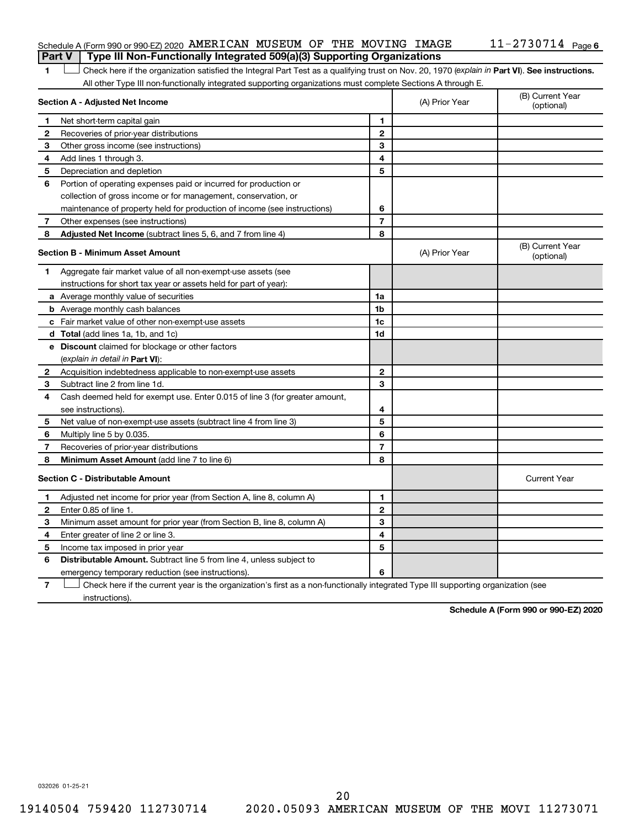## Schedule A (Form 990 or 990-EZ) 2020 AMERICAN MUSEUM OF THE MOVING IMAGE  $11$  –  $2730714$  Page **Part V Type III Non-Functionally Integrated 509(a)(3) Supporting Organizations**

1 **Letter See instructions.** Check here if the organization satisfied the Integral Part Test as a qualifying trust on Nov. 20, 1970 (*explain in* Part **VI**). See instructions. All other Type III non-functionally integrated supporting organizations must complete Sections A through E.

|    | Section A - Adjusted Net Income                                                                                                   |                | (A) Prior Year | (B) Current Year<br>(optional) |
|----|-----------------------------------------------------------------------------------------------------------------------------------|----------------|----------------|--------------------------------|
| 1. | Net short-term capital gain                                                                                                       | 1              |                |                                |
| 2  | Recoveries of prior-year distributions                                                                                            | $\mathbf{2}$   |                |                                |
| З  | Other gross income (see instructions)                                                                                             | 3              |                |                                |
| 4  | Add lines 1 through 3.                                                                                                            | 4              |                |                                |
| 5  | Depreciation and depletion                                                                                                        | 5              |                |                                |
| 6  | Portion of operating expenses paid or incurred for production or                                                                  |                |                |                                |
|    | collection of gross income or for management, conservation, or                                                                    |                |                |                                |
|    | maintenance of property held for production of income (see instructions)                                                          | 6              |                |                                |
| 7  | Other expenses (see instructions)                                                                                                 | 7              |                |                                |
| 8  | <b>Adjusted Net Income</b> (subtract lines 5, 6, and 7 from line 4)                                                               | 8              |                |                                |
|    | <b>Section B - Minimum Asset Amount</b>                                                                                           |                | (A) Prior Year | (B) Current Year<br>(optional) |
| 1. | Aggregate fair market value of all non-exempt-use assets (see                                                                     |                |                |                                |
|    | instructions for short tax year or assets held for part of year):                                                                 |                |                |                                |
|    | <b>a</b> Average monthly value of securities                                                                                      | 1a             |                |                                |
|    | <b>b</b> Average monthly cash balances                                                                                            | 1b             |                |                                |
|    | c Fair market value of other non-exempt-use assets                                                                                | 1 <sub>c</sub> |                |                                |
|    | d Total (add lines 1a, 1b, and 1c)                                                                                                | 1d             |                |                                |
|    | e Discount claimed for blockage or other factors                                                                                  |                |                |                                |
|    | (explain in detail in <b>Part VI</b> ):                                                                                           |                |                |                                |
| 2  | Acquisition indebtedness applicable to non-exempt-use assets                                                                      | 2              |                |                                |
| з  | Subtract line 2 from line 1d.                                                                                                     | 3              |                |                                |
| 4  | Cash deemed held for exempt use. Enter 0.015 of line 3 (for greater amount,                                                       |                |                |                                |
|    | see instructions).                                                                                                                | 4              |                |                                |
| 5  | Net value of non-exempt-use assets (subtract line 4 from line 3)                                                                  | 5              |                |                                |
| 6  | Multiply line 5 by 0.035.                                                                                                         | 6              |                |                                |
| 7  | Recoveries of prior-year distributions                                                                                            | $\overline{7}$ |                |                                |
| 8  | Minimum Asset Amount (add line 7 to line 6)                                                                                       | 8              |                |                                |
|    | <b>Section C - Distributable Amount</b>                                                                                           |                |                | <b>Current Year</b>            |
| 1  | Adjusted net income for prior year (from Section A, line 8, column A)                                                             | 1              |                |                                |
| 2  | Enter 0.85 of line 1.                                                                                                             | $\overline{2}$ |                |                                |
| з  | Minimum asset amount for prior year (from Section B, line 8, column A)                                                            | 3              |                |                                |
| 4  | Enter greater of line 2 or line 3.                                                                                                | 4              |                |                                |
| 5  | Income tax imposed in prior year                                                                                                  | 5              |                |                                |
| 6  | <b>Distributable Amount.</b> Subtract line 5 from line 4, unless subject to                                                       |                |                |                                |
|    | emergency temporary reduction (see instructions).                                                                                 | 6              |                |                                |
| 7  | Check here if the current year is the organization's first as a non-functionally integrated Type III supporting organization (see |                |                |                                |

instructions).

**Schedule A (Form 990 or 990-EZ) 2020**

032026 01-25-21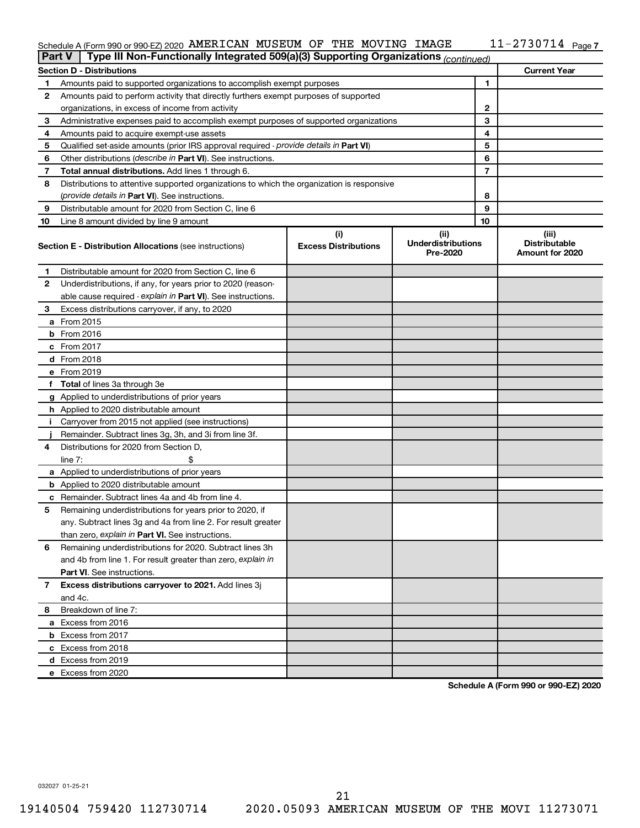#### Schedule A (Form 990 or 990-EZ) 2020 AMERICAN MUSEUM OF THE MOVING IMAGE THI-Z 7 3 U 7 I 4 Page AMERICAN MUSEUM OF THE MOVING IMAGE 11-2730714

| <b>Part V</b> | Type III Non-Functionally Integrated 509(a)(3) Supporting Organizations (continued)        |                             |                                       |    |                                         |
|---------------|--------------------------------------------------------------------------------------------|-----------------------------|---------------------------------------|----|-----------------------------------------|
|               | <b>Section D - Distributions</b>                                                           |                             |                                       |    | <b>Current Year</b>                     |
| 1             | Amounts paid to supported organizations to accomplish exempt purposes                      |                             |                                       | 1  |                                         |
| 2             | Amounts paid to perform activity that directly furthers exempt purposes of supported       |                             |                                       |    |                                         |
|               | organizations, in excess of income from activity                                           |                             |                                       | 2  |                                         |
| 3             | Administrative expenses paid to accomplish exempt purposes of supported organizations      |                             |                                       | 3  |                                         |
| 4             | Amounts paid to acquire exempt-use assets                                                  |                             |                                       | 4  |                                         |
| 5             | Qualified set-aside amounts (prior IRS approval required - provide details in Part VI)     |                             |                                       | 5  |                                         |
| 6             | Other distributions ( <i>describe in Part VI</i> ). See instructions.                      |                             |                                       | 6  |                                         |
| 7             | Total annual distributions. Add lines 1 through 6.                                         |                             |                                       | 7  |                                         |
| 8             | Distributions to attentive supported organizations to which the organization is responsive |                             |                                       |    |                                         |
|               | (provide details in Part VI). See instructions.                                            |                             |                                       | 8  |                                         |
| 9             | Distributable amount for 2020 from Section C, line 6                                       |                             |                                       | 9  |                                         |
| 10            | Line 8 amount divided by line 9 amount                                                     |                             |                                       | 10 |                                         |
|               |                                                                                            | (i)                         | (ii)                                  |    | (iii)                                   |
|               | <b>Section E - Distribution Allocations (see instructions)</b>                             | <b>Excess Distributions</b> | <b>Underdistributions</b><br>Pre-2020 |    | <b>Distributable</b><br>Amount for 2020 |
| 1             | Distributable amount for 2020 from Section C, line 6                                       |                             |                                       |    |                                         |
| 2             | Underdistributions, if any, for years prior to 2020 (reason-                               |                             |                                       |    |                                         |
|               | able cause required - explain in Part VI). See instructions.                               |                             |                                       |    |                                         |
| 3             | Excess distributions carryover, if any, to 2020                                            |                             |                                       |    |                                         |
|               | a From 2015                                                                                |                             |                                       |    |                                         |
|               | $b$ From 2016                                                                              |                             |                                       |    |                                         |
|               | c From 2017                                                                                |                             |                                       |    |                                         |
|               | <b>d</b> From 2018                                                                         |                             |                                       |    |                                         |
|               | e From 2019                                                                                |                             |                                       |    |                                         |
|               | f Total of lines 3a through 3e                                                             |                             |                                       |    |                                         |
|               | g Applied to underdistributions of prior years                                             |                             |                                       |    |                                         |
|               | <b>h</b> Applied to 2020 distributable amount                                              |                             |                                       |    |                                         |
| Ť.            | Carryover from 2015 not applied (see instructions)                                         |                             |                                       |    |                                         |
|               | Remainder. Subtract lines 3g, 3h, and 3i from line 3f.                                     |                             |                                       |    |                                         |
| 4             | Distributions for 2020 from Section D,                                                     |                             |                                       |    |                                         |
|               | line $7:$                                                                                  |                             |                                       |    |                                         |
|               | a Applied to underdistributions of prior years                                             |                             |                                       |    |                                         |
|               | <b>b</b> Applied to 2020 distributable amount                                              |                             |                                       |    |                                         |
|               | c Remainder. Subtract lines 4a and 4b from line 4.                                         |                             |                                       |    |                                         |
| 5             | Remaining underdistributions for years prior to 2020, if                                   |                             |                                       |    |                                         |
|               | any. Subtract lines 3g and 4a from line 2. For result greater                              |                             |                                       |    |                                         |
|               | than zero, explain in Part VI. See instructions.                                           |                             |                                       |    |                                         |
| 6             | Remaining underdistributions for 2020. Subtract lines 3h                                   |                             |                                       |    |                                         |
|               | and 4b from line 1. For result greater than zero, explain in                               |                             |                                       |    |                                         |
|               | <b>Part VI.</b> See instructions.                                                          |                             |                                       |    |                                         |
| 7             | Excess distributions carryover to 2021. Add lines 3j                                       |                             |                                       |    |                                         |
|               | and 4c.                                                                                    |                             |                                       |    |                                         |
| 8             | Breakdown of line 7:                                                                       |                             |                                       |    |                                         |
|               | a Excess from 2016                                                                         |                             |                                       |    |                                         |
|               | <b>b</b> Excess from 2017                                                                  |                             |                                       |    |                                         |
|               | c Excess from 2018                                                                         |                             |                                       |    |                                         |
|               |                                                                                            |                             |                                       |    |                                         |
|               | d Excess from 2019<br>e Excess from 2020                                                   |                             |                                       |    |                                         |
|               |                                                                                            |                             |                                       |    |                                         |

**Schedule A (Form 990 or 990-EZ) 2020**

032027 01-25-21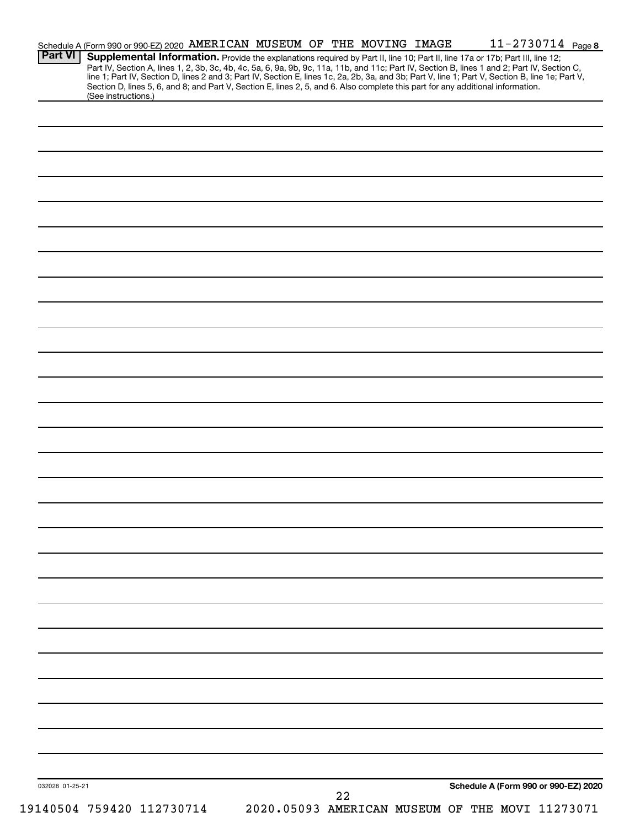| 032028 01-25-21 |                                                                                                                                                                                                                                                                                                  |  |  | 22 |  |  | Schedule A (Form 990 or 990-EZ) 2020 |  |
|-----------------|--------------------------------------------------------------------------------------------------------------------------------------------------------------------------------------------------------------------------------------------------------------------------------------------------|--|--|----|--|--|--------------------------------------|--|
|                 |                                                                                                                                                                                                                                                                                                  |  |  |    |  |  |                                      |  |
|                 |                                                                                                                                                                                                                                                                                                  |  |  |    |  |  |                                      |  |
|                 |                                                                                                                                                                                                                                                                                                  |  |  |    |  |  |                                      |  |
|                 |                                                                                                                                                                                                                                                                                                  |  |  |    |  |  |                                      |  |
|                 |                                                                                                                                                                                                                                                                                                  |  |  |    |  |  |                                      |  |
|                 |                                                                                                                                                                                                                                                                                                  |  |  |    |  |  |                                      |  |
|                 |                                                                                                                                                                                                                                                                                                  |  |  |    |  |  |                                      |  |
|                 |                                                                                                                                                                                                                                                                                                  |  |  |    |  |  |                                      |  |
|                 |                                                                                                                                                                                                                                                                                                  |  |  |    |  |  |                                      |  |
|                 |                                                                                                                                                                                                                                                                                                  |  |  |    |  |  |                                      |  |
|                 |                                                                                                                                                                                                                                                                                                  |  |  |    |  |  |                                      |  |
|                 |                                                                                                                                                                                                                                                                                                  |  |  |    |  |  |                                      |  |
|                 |                                                                                                                                                                                                                                                                                                  |  |  |    |  |  |                                      |  |
|                 |                                                                                                                                                                                                                                                                                                  |  |  |    |  |  |                                      |  |
|                 |                                                                                                                                                                                                                                                                                                  |  |  |    |  |  |                                      |  |
|                 |                                                                                                                                                                                                                                                                                                  |  |  |    |  |  |                                      |  |
|                 |                                                                                                                                                                                                                                                                                                  |  |  |    |  |  |                                      |  |
|                 |                                                                                                                                                                                                                                                                                                  |  |  |    |  |  |                                      |  |
|                 |                                                                                                                                                                                                                                                                                                  |  |  |    |  |  |                                      |  |
|                 |                                                                                                                                                                                                                                                                                                  |  |  |    |  |  |                                      |  |
|                 |                                                                                                                                                                                                                                                                                                  |  |  |    |  |  |                                      |  |
|                 |                                                                                                                                                                                                                                                                                                  |  |  |    |  |  |                                      |  |
|                 |                                                                                                                                                                                                                                                                                                  |  |  |    |  |  |                                      |  |
|                 |                                                                                                                                                                                                                                                                                                  |  |  |    |  |  |                                      |  |
|                 |                                                                                                                                                                                                                                                                                                  |  |  |    |  |  |                                      |  |
|                 |                                                                                                                                                                                                                                                                                                  |  |  |    |  |  |                                      |  |
|                 |                                                                                                                                                                                                                                                                                                  |  |  |    |  |  |                                      |  |
|                 |                                                                                                                                                                                                                                                                                                  |  |  |    |  |  |                                      |  |
|                 |                                                                                                                                                                                                                                                                                                  |  |  |    |  |  |                                      |  |
|                 |                                                                                                                                                                                                                                                                                                  |  |  |    |  |  |                                      |  |
|                 |                                                                                                                                                                                                                                                                                                  |  |  |    |  |  |                                      |  |
|                 | Section D, lines 5, 6, and 8; and Part V, Section E, lines 2, 5, and 6. Also complete this part for any additional information.<br>(See instructions.)                                                                                                                                           |  |  |    |  |  |                                      |  |
|                 | Part IV, Section A, lines 1, 2, 3b, 3c, 4b, 4c, 5a, 6, 9a, 9b, 9c, 11a, 11b, and 11c; Part IV, Section B, lines 1 and 2; Part IV, Section C,<br>line 1; Part IV, Section D, lines 2 and 3; Part IV, Section E, lines 1c, 2a, 2b, 3a, and 3b; Part V, line 1; Part V, Section B, line 1e; Part V, |  |  |    |  |  |                                      |  |
| <b>Part VI</b>  | Schedule A (Form 990 or 990-EZ) 2020 AMERICAN MUSEUM OF THE MOVING IMAGE<br>Supplemental Information. Provide the explanations required by Part II, line 10; Part II, line 17a or 17b; Part III, line 12;                                                                                        |  |  |    |  |  | 11-2730714 Page 8                    |  |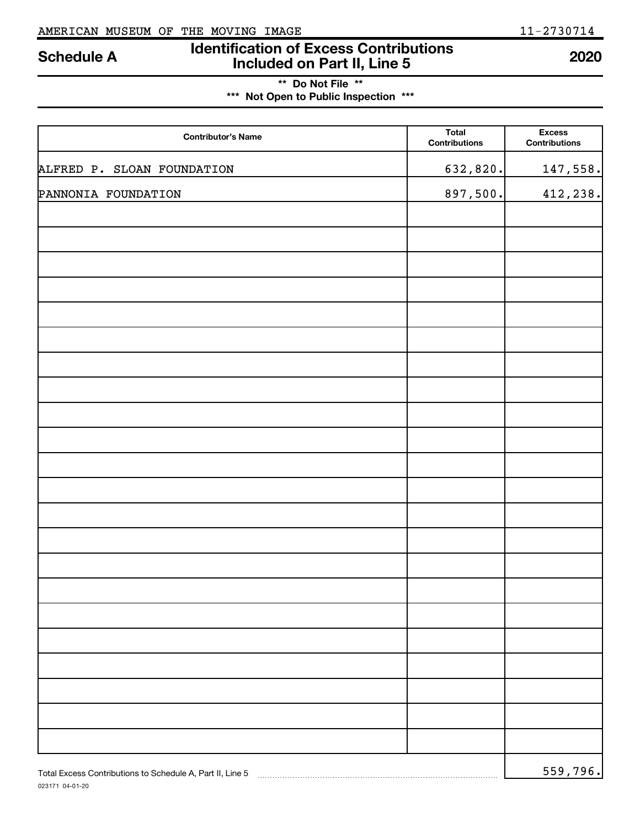# **Identification of Excess Contributions Included on Part II, Line 5 Schedule A <sup>2020</sup>**

# **\*\* Do Not File \*\* \*\*\* Not Open to Public Inspection \*\*\***

| <b>Contributor's Name</b>                                 | <b>Total</b><br>Contributions | <b>Excess</b><br><b>Contributions</b> |
|-----------------------------------------------------------|-------------------------------|---------------------------------------|
| ALFRED P. SLOAN FOUNDATION                                | 632,820.                      | 147,558.                              |
| PANNONIA FOUNDATION                                       | 897,500.                      | 412,238.                              |
|                                                           |                               |                                       |
|                                                           |                               |                                       |
|                                                           |                               |                                       |
|                                                           |                               |                                       |
|                                                           |                               |                                       |
|                                                           |                               |                                       |
|                                                           |                               |                                       |
|                                                           |                               |                                       |
|                                                           |                               |                                       |
|                                                           |                               |                                       |
|                                                           |                               |                                       |
|                                                           |                               |                                       |
|                                                           |                               |                                       |
|                                                           |                               |                                       |
|                                                           |                               |                                       |
|                                                           |                               |                                       |
|                                                           |                               |                                       |
|                                                           |                               |                                       |
|                                                           |                               |                                       |
|                                                           |                               |                                       |
|                                                           |                               |                                       |
|                                                           |                               |                                       |
| Total Excess Contributions to Schedule A, Part II, Line 5 |                               | 559,796.                              |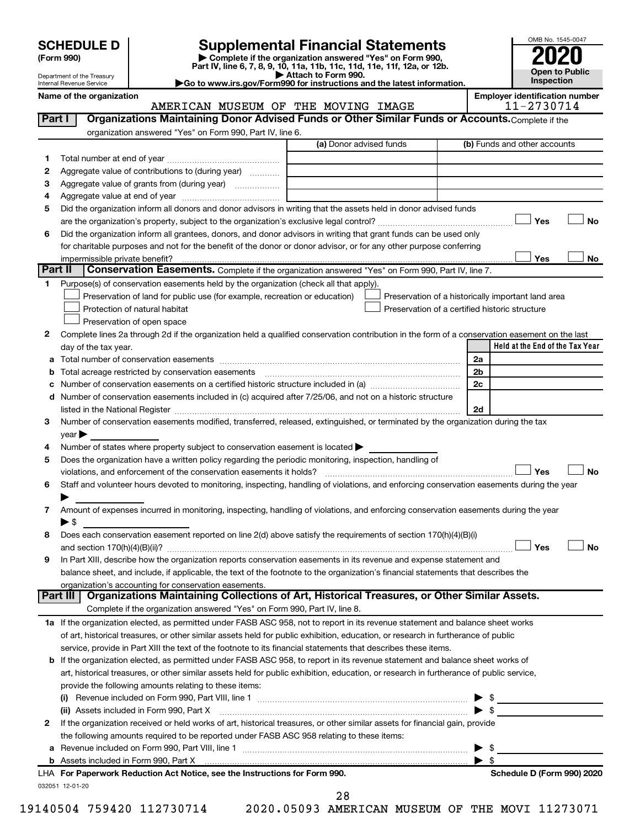| <b>SCHEDULE D</b> |  |
|-------------------|--|
|-------------------|--|

Department of the Treasury Internal Revenue Service

# **SCHEDULE D Supplemental Financial Statements**<br> **Form 990 2020**<br> **Part IV** line 6.7.8.9.10, 11a, 11b, 11d, 11d, 11d, 11d, 11d, 12a, 0r, 12b

**(Form 990) | Complete if the organization answered "Yes" on Form 990, Part IV, line 6, 7, 8, 9, 10, 11a, 11b, 11c, 11d, 11e, 11f, 12a, or 12b.**

**| Attach to Form 990. |Go to www.irs.gov/Form990 for instructions and the latest information.**



Name of the organization<br>**AMERICAN MUSEUM OF THE MOVING IMAGE** 11-2730714 AMERICAN MUSEUM OF THE MOVING IMAGE

| Part I   | Organizations Maintaining Donor Advised Funds or Other Similar Funds or Accounts. Complete if the                                                                             |                         |                         |                                                    |    |
|----------|-------------------------------------------------------------------------------------------------------------------------------------------------------------------------------|-------------------------|-------------------------|----------------------------------------------------|----|
|          | organization answered "Yes" on Form 990, Part IV, line 6.                                                                                                                     |                         |                         |                                                    |    |
|          |                                                                                                                                                                               | (a) Donor advised funds |                         | (b) Funds and other accounts                       |    |
| 1.       |                                                                                                                                                                               |                         |                         |                                                    |    |
| 2        | Aggregate value of contributions to (during year)                                                                                                                             |                         |                         |                                                    |    |
| з        | Aggregate value of grants from (during year)                                                                                                                                  |                         |                         |                                                    |    |
| 4        |                                                                                                                                                                               |                         |                         |                                                    |    |
| 5        | Did the organization inform all donors and donor advisors in writing that the assets held in donor advised funds                                                              |                         |                         |                                                    |    |
|          |                                                                                                                                                                               |                         |                         | Yes                                                | No |
| 6        | Did the organization inform all grantees, donors, and donor advisors in writing that grant funds can be used only                                                             |                         |                         |                                                    |    |
|          | for charitable purposes and not for the benefit of the donor or donor advisor, or for any other purpose conferring                                                            |                         |                         |                                                    |    |
|          | impermissible private benefit?                                                                                                                                                |                         |                         | Yes                                                | No |
| Part II  | Conservation Easements. Complete if the organization answered "Yes" on Form 990, Part IV, line 7.                                                                             |                         |                         |                                                    |    |
| 1.       | Purpose(s) of conservation easements held by the organization (check all that apply).                                                                                         |                         |                         |                                                    |    |
|          | Preservation of land for public use (for example, recreation or education)                                                                                                    |                         |                         | Preservation of a historically important land area |    |
|          | Protection of natural habitat                                                                                                                                                 |                         |                         | Preservation of a certified historic structure     |    |
|          | Preservation of open space                                                                                                                                                    |                         |                         |                                                    |    |
| 2        | Complete lines 2a through 2d if the organization held a qualified conservation contribution in the form of a conservation easement on the last                                |                         |                         |                                                    |    |
|          | day of the tax year.                                                                                                                                                          |                         |                         | Held at the End of the Tax Year                    |    |
|          |                                                                                                                                                                               |                         | 2a                      |                                                    |    |
| b        | Total acreage restricted by conservation easements                                                                                                                            |                         | 2 <sub>b</sub>          |                                                    |    |
| c        | Number of conservation easements on a certified historic structure included in (a) manufacture included in (a)                                                                |                         | 2c                      |                                                    |    |
|          | d Number of conservation easements included in (c) acquired after 7/25/06, and not on a historic structure                                                                    |                         |                         |                                                    |    |
|          |                                                                                                                                                                               |                         | 2d                      |                                                    |    |
| 3        | Number of conservation easements modified, transferred, released, extinguished, or terminated by the organization during the tax                                              |                         |                         |                                                    |    |
|          | $year \blacktriangleright$                                                                                                                                                    |                         |                         |                                                    |    |
| 4        | Number of states where property subject to conservation easement is located >                                                                                                 |                         |                         |                                                    |    |
| 5        | Does the organization have a written policy regarding the periodic monitoring, inspection, handling of<br>violations, and enforcement of the conservation easements it holds? |                         |                         | Yes                                                | No |
| 6        | Staff and volunteer hours devoted to monitoring, inspecting, handling of violations, and enforcing conservation easements during the year                                     |                         |                         |                                                    |    |
|          |                                                                                                                                                                               |                         |                         |                                                    |    |
| 7        | Amount of expenses incurred in monitoring, inspecting, handling of violations, and enforcing conservation easements during the year                                           |                         |                         |                                                    |    |
|          | $\blacktriangleright$ \$                                                                                                                                                      |                         |                         |                                                    |    |
| 8        | Does each conservation easement reported on line 2(d) above satisfy the requirements of section 170(h)(4)(B)(i)                                                               |                         |                         |                                                    |    |
|          |                                                                                                                                                                               |                         |                         | Yes                                                | No |
| 9        | In Part XIII, describe how the organization reports conservation easements in its revenue and expense statement and                                                           |                         |                         |                                                    |    |
|          | balance sheet, and include, if applicable, the text of the footnote to the organization's financial statements that describes the                                             |                         |                         |                                                    |    |
|          | organization's accounting for conservation easements.                                                                                                                         |                         |                         |                                                    |    |
| Part III | Organizations Maintaining Collections of Art, Historical Treasures, or Other Similar Assets.                                                                                  |                         |                         |                                                    |    |
|          | Complete if the organization answered "Yes" on Form 990, Part IV, line 8.                                                                                                     |                         |                         |                                                    |    |
|          | 1a If the organization elected, as permitted under FASB ASC 958, not to report in its revenue statement and balance sheet works                                               |                         |                         |                                                    |    |
|          | of art, historical treasures, or other similar assets held for public exhibition, education, or research in furtherance of public                                             |                         |                         |                                                    |    |
|          | service, provide in Part XIII the text of the footnote to its financial statements that describes these items.                                                                |                         |                         |                                                    |    |
|          | <b>b</b> If the organization elected, as permitted under FASB ASC 958, to report in its revenue statement and balance sheet works of                                          |                         |                         |                                                    |    |
|          | art, historical treasures, or other similar assets held for public exhibition, education, or research in furtherance of public service,                                       |                         |                         |                                                    |    |
|          | provide the following amounts relating to these items:                                                                                                                        |                         |                         |                                                    |    |
|          |                                                                                                                                                                               |                         |                         |                                                    |    |
|          | (ii) Assets included in Form 990, Part X [11] [12] Assets included in Form 990, Part X                                                                                        |                         | $\blacktriangleright$ s |                                                    |    |
| 2        | If the organization received or held works of art, historical treasures, or other similar assets for financial gain, provide                                                  |                         |                         |                                                    |    |
|          | the following amounts required to be reported under FASB ASC 958 relating to these items:                                                                                     |                         |                         |                                                    |    |
|          |                                                                                                                                                                               |                         | \$                      |                                                    |    |
|          | LHA For Paperwork Reduction Act Notice, see the Instructions for Form 990.                                                                                                    |                         |                         | Schedule D (Form 990) 2020                         |    |
|          | 032051 12-01-20                                                                                                                                                               |                         |                         |                                                    |    |
|          |                                                                                                                                                                               | 28                      |                         |                                                    |    |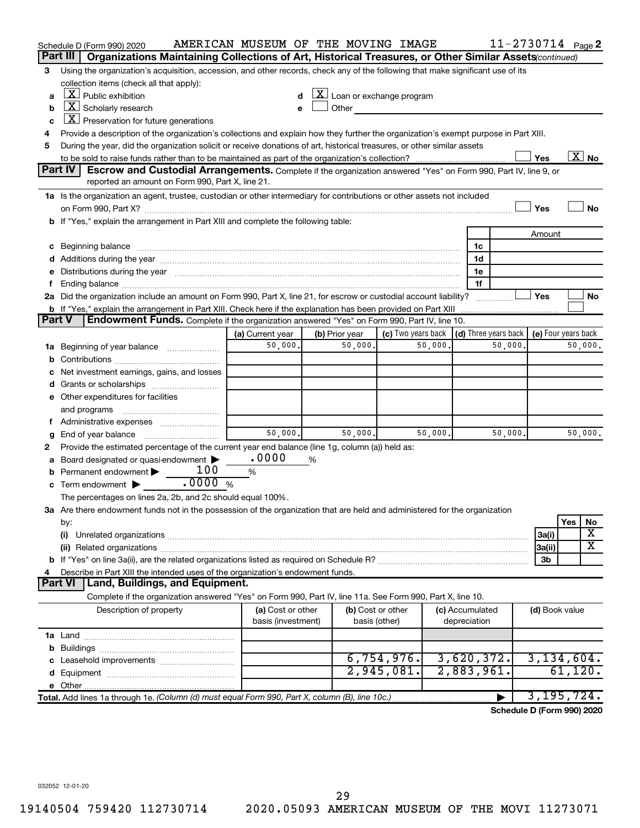|               | Schedule D (Form 990) 2020                                                                                                                                                                                                                                       | AMERICAN MUSEUM OF THE MOVING IMAGE |   |                                                                                                                                                                                                                               |                    |         |                 | 11-2730714 Page 2          |                     |         |                          |
|---------------|------------------------------------------------------------------------------------------------------------------------------------------------------------------------------------------------------------------------------------------------------------------|-------------------------------------|---|-------------------------------------------------------------------------------------------------------------------------------------------------------------------------------------------------------------------------------|--------------------|---------|-----------------|----------------------------|---------------------|---------|--------------------------|
|               | Part III   Organizations Maintaining Collections of Art, Historical Treasures, or Other Similar Assets continued)                                                                                                                                                |                                     |   |                                                                                                                                                                                                                               |                    |         |                 |                            |                     |         |                          |
| 3             | Using the organization's acquisition, accession, and other records, check any of the following that make significant use of its                                                                                                                                  |                                     |   |                                                                                                                                                                                                                               |                    |         |                 |                            |                     |         |                          |
|               | collection items (check all that apply):<br>$\lfloor x \rfloor$ Public exhibition                                                                                                                                                                                |                                     |   | $ \mathbf{X} $ Loan or exchange program                                                                                                                                                                                       |                    |         |                 |                            |                     |         |                          |
| a             | $ \mathbf{X} $ Scholarly research                                                                                                                                                                                                                                |                                     |   |                                                                                                                                                                                                                               |                    |         |                 |                            |                     |         |                          |
| b             | $X$ Preservation for future generations                                                                                                                                                                                                                          | e                                   |   | Other and the contract of the contract of the contract of the contract of the contract of the contract of the contract of the contract of the contract of the contract of the contract of the contract of the contract of the |                    |         |                 |                            |                     |         |                          |
| c             |                                                                                                                                                                                                                                                                  |                                     |   |                                                                                                                                                                                                                               |                    |         |                 |                            |                     |         |                          |
| 4             | Provide a description of the organization's collections and explain how they further the organization's exempt purpose in Part XIII.<br>During the year, did the organization solicit or receive donations of art, historical treasures, or other similar assets |                                     |   |                                                                                                                                                                                                                               |                    |         |                 |                            |                     |         |                          |
| 5             |                                                                                                                                                                                                                                                                  |                                     |   |                                                                                                                                                                                                                               |                    |         |                 |                            | Yes                 |         | $\overline{\text{X}}$ No |
|               | Part IV<br>Escrow and Custodial Arrangements. Complete if the organization answered "Yes" on Form 990, Part IV, line 9, or                                                                                                                                       |                                     |   |                                                                                                                                                                                                                               |                    |         |                 |                            |                     |         |                          |
|               | reported an amount on Form 990, Part X, line 21.                                                                                                                                                                                                                 |                                     |   |                                                                                                                                                                                                                               |                    |         |                 |                            |                     |         |                          |
|               | 1a Is the organization an agent, trustee, custodian or other intermediary for contributions or other assets not included                                                                                                                                         |                                     |   |                                                                                                                                                                                                                               |                    |         |                 |                            |                     |         |                          |
|               |                                                                                                                                                                                                                                                                  |                                     |   |                                                                                                                                                                                                                               |                    |         |                 |                            | Yes                 |         | <b>No</b>                |
|               | b If "Yes," explain the arrangement in Part XIII and complete the following table:                                                                                                                                                                               |                                     |   |                                                                                                                                                                                                                               |                    |         |                 |                            |                     |         |                          |
|               |                                                                                                                                                                                                                                                                  |                                     |   |                                                                                                                                                                                                                               |                    |         |                 |                            | Amount              |         |                          |
|               | c Beginning balance <b>contract to the contract of the contract of the contract of the contract of the contract of the contract of the contract of the contract of the contract of the contract of the contract of the contract </b>                             |                                     |   |                                                                                                                                                                                                                               |                    |         | 1c              |                            |                     |         |                          |
|               |                                                                                                                                                                                                                                                                  |                                     |   |                                                                                                                                                                                                                               |                    |         | 1d              |                            |                     |         |                          |
|               | e Distributions during the year manufactured and continuum and contact the year manufactured and contact the year manufactured and contact the year manufactured and contact the year manufactured and contact the year manufa                                   |                                     |   |                                                                                                                                                                                                                               |                    |         | 1e              |                            |                     |         |                          |
| f             |                                                                                                                                                                                                                                                                  |                                     |   |                                                                                                                                                                                                                               |                    |         | 1f              |                            |                     |         |                          |
|               | 2a Did the organization include an amount on Form 990, Part X, line 21, for escrow or custodial account liability?                                                                                                                                               |                                     |   |                                                                                                                                                                                                                               |                    |         |                 |                            | Yes                 |         | No                       |
|               | <b>b</b> If "Yes," explain the arrangement in Part XIII. Check here if the explanation has been provided on Part XIII                                                                                                                                            |                                     |   |                                                                                                                                                                                                                               |                    |         |                 |                            |                     |         |                          |
| <b>Part V</b> | <b>Endowment Funds.</b> Complete if the organization answered "Yes" on Form 990, Part IV, line 10.                                                                                                                                                               |                                     |   |                                                                                                                                                                                                                               |                    |         |                 |                            |                     |         |                          |
|               |                                                                                                                                                                                                                                                                  | (a) Current year                    |   | (b) Prior year                                                                                                                                                                                                                | (c) Two years back |         |                 | (d) Three years back       | (e) Four years back |         |                          |
|               | 1a Beginning of year balance                                                                                                                                                                                                                                     | 50,000.                             |   | 50,000.                                                                                                                                                                                                                       |                    | 50,000. |                 | 50,000.                    |                     |         | 50,000.                  |
|               |                                                                                                                                                                                                                                                                  |                                     |   |                                                                                                                                                                                                                               |                    |         |                 |                            |                     |         |                          |
|               | c Net investment earnings, gains, and losses                                                                                                                                                                                                                     |                                     |   |                                                                                                                                                                                                                               |                    |         |                 |                            |                     |         |                          |
|               |                                                                                                                                                                                                                                                                  |                                     |   |                                                                                                                                                                                                                               |                    |         |                 |                            |                     |         |                          |
|               | e Other expenditures for facilities                                                                                                                                                                                                                              |                                     |   |                                                                                                                                                                                                                               |                    |         |                 |                            |                     |         |                          |
|               | and programs                                                                                                                                                                                                                                                     |                                     |   |                                                                                                                                                                                                                               |                    |         |                 |                            |                     |         |                          |
|               |                                                                                                                                                                                                                                                                  |                                     |   |                                                                                                                                                                                                                               |                    |         |                 |                            |                     |         |                          |
| g             |                                                                                                                                                                                                                                                                  | 50,000.                             |   | 50,000.                                                                                                                                                                                                                       |                    | 50,000. |                 | 50,000.                    |                     |         | 50,000.                  |
| 2             | Provide the estimated percentage of the current year end balance (line 1g, column (a)) held as:                                                                                                                                                                  |                                     |   |                                                                                                                                                                                                                               |                    |         |                 |                            |                     |         |                          |
|               | a Board designated or quasi-endowment >                                                                                                                                                                                                                          | .0000                               | % |                                                                                                                                                                                                                               |                    |         |                 |                            |                     |         |                          |
|               | 100<br><b>b</b> Permanent endowment $\blacktriangleright$                                                                                                                                                                                                        | %                                   |   |                                                                                                                                                                                                                               |                    |         |                 |                            |                     |         |                          |
|               | c Term endowment $\blacktriangleright$                                                                                                                                                                                                                           |                                     |   |                                                                                                                                                                                                                               |                    |         |                 |                            |                     |         |                          |
|               | The percentages on lines 2a, 2b, and 2c should equal 100%.                                                                                                                                                                                                       |                                     |   |                                                                                                                                                                                                                               |                    |         |                 |                            |                     |         |                          |
|               | 3a Are there endowment funds not in the possession of the organization that are held and administered for the organization                                                                                                                                       |                                     |   |                                                                                                                                                                                                                               |                    |         |                 |                            |                     |         |                          |
|               | by:                                                                                                                                                                                                                                                              |                                     |   |                                                                                                                                                                                                                               |                    |         |                 |                            |                     | Yes     | No                       |
|               | (i)                                                                                                                                                                                                                                                              |                                     |   |                                                                                                                                                                                                                               |                    |         |                 |                            | 3a(i)               |         | х                        |
|               |                                                                                                                                                                                                                                                                  |                                     |   |                                                                                                                                                                                                                               |                    |         |                 |                            | 3a(ii)              |         | X                        |
|               |                                                                                                                                                                                                                                                                  |                                     |   |                                                                                                                                                                                                                               |                    |         |                 |                            | 3b                  |         |                          |
| 4             | Describe in Part XIII the intended uses of the organization's endowment funds.                                                                                                                                                                                   |                                     |   |                                                                                                                                                                                                                               |                    |         |                 |                            |                     |         |                          |
|               | Part VI   Land, Buildings, and Equipment.                                                                                                                                                                                                                        |                                     |   |                                                                                                                                                                                                                               |                    |         |                 |                            |                     |         |                          |
|               | Complete if the organization answered "Yes" on Form 990, Part IV, line 11a. See Form 990, Part X, line 10.                                                                                                                                                       |                                     |   |                                                                                                                                                                                                                               |                    |         |                 |                            |                     |         |                          |
|               | Description of property                                                                                                                                                                                                                                          | (a) Cost or other                   |   |                                                                                                                                                                                                                               | (b) Cost or other  |         | (c) Accumulated |                            | (d) Book value      |         |                          |
|               |                                                                                                                                                                                                                                                                  | basis (investment)                  |   |                                                                                                                                                                                                                               | basis (other)      |         | depreciation    |                            |                     |         |                          |
|               |                                                                                                                                                                                                                                                                  |                                     |   |                                                                                                                                                                                                                               |                    |         |                 |                            |                     |         |                          |
|               |                                                                                                                                                                                                                                                                  |                                     |   |                                                                                                                                                                                                                               |                    |         |                 |                            |                     |         |                          |
|               |                                                                                                                                                                                                                                                                  |                                     |   |                                                                                                                                                                                                                               | 6,754,976.         |         | 3,620,372.      |                            | 3,134,604.          |         |                          |
|               |                                                                                                                                                                                                                                                                  |                                     |   |                                                                                                                                                                                                                               | 2,945,081.         |         | 2,883,961.      |                            |                     | 61,120. |                          |
|               |                                                                                                                                                                                                                                                                  |                                     |   |                                                                                                                                                                                                                               |                    |         |                 |                            |                     |         |                          |
|               | Total. Add lines 1a through 1e. (Column (d) must equal Form 990, Part X, column (B), line 10c.)                                                                                                                                                                  |                                     |   |                                                                                                                                                                                                                               |                    |         |                 |                            | 3,195,724.          |         |                          |
|               |                                                                                                                                                                                                                                                                  |                                     |   |                                                                                                                                                                                                                               |                    |         |                 | Schedule D (Form 990) 2020 |                     |         |                          |
|               |                                                                                                                                                                                                                                                                  |                                     |   |                                                                                                                                                                                                                               |                    |         |                 |                            |                     |         |                          |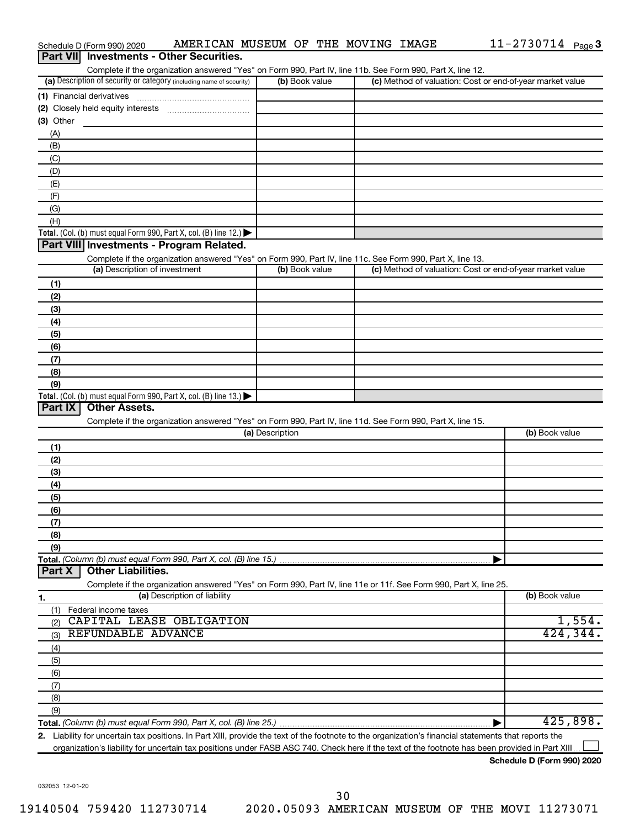| Part VII Investments - Other Securities.                                                                                                                                           |                 |                                                           |                |
|------------------------------------------------------------------------------------------------------------------------------------------------------------------------------------|-----------------|-----------------------------------------------------------|----------------|
| Complete if the organization answered "Yes" on Form 990, Part IV, line 11b. See Form 990, Part X, line 12.<br>(a) Description of security or category (including name of security) | (b) Book value  | (c) Method of valuation: Cost or end-of-year market value |                |
|                                                                                                                                                                                    |                 |                                                           |                |
|                                                                                                                                                                                    |                 |                                                           |                |
| (3) Other                                                                                                                                                                          |                 |                                                           |                |
| (A)                                                                                                                                                                                |                 |                                                           |                |
| (B)                                                                                                                                                                                |                 |                                                           |                |
| (C)                                                                                                                                                                                |                 |                                                           |                |
| (D)                                                                                                                                                                                |                 |                                                           |                |
| (E)                                                                                                                                                                                |                 |                                                           |                |
| (F)                                                                                                                                                                                |                 |                                                           |                |
| (G)                                                                                                                                                                                |                 |                                                           |                |
| (H)                                                                                                                                                                                |                 |                                                           |                |
| Total. (Col. (b) must equal Form 990, Part X, col. (B) line 12.) $\blacktriangleright$                                                                                             |                 |                                                           |                |
| Part VIII Investments - Program Related.                                                                                                                                           |                 |                                                           |                |
| Complete if the organization answered "Yes" on Form 990, Part IV, line 11c. See Form 990, Part X, line 13.                                                                         |                 |                                                           |                |
| (a) Description of investment                                                                                                                                                      | (b) Book value  | (c) Method of valuation: Cost or end-of-year market value |                |
| (1)                                                                                                                                                                                |                 |                                                           |                |
| (2)                                                                                                                                                                                |                 |                                                           |                |
| (3)                                                                                                                                                                                |                 |                                                           |                |
| (4)                                                                                                                                                                                |                 |                                                           |                |
| (5)                                                                                                                                                                                |                 |                                                           |                |
| (6)                                                                                                                                                                                |                 |                                                           |                |
| (7)                                                                                                                                                                                |                 |                                                           |                |
| (8)                                                                                                                                                                                |                 |                                                           |                |
| (9)                                                                                                                                                                                |                 |                                                           |                |
| Total. (Col. (b) must equal Form 990, Part X, col. (B) line 13.)                                                                                                                   |                 |                                                           |                |
| Part IX<br><b>Other Assets.</b>                                                                                                                                                    |                 |                                                           |                |
| Complete if the organization answered "Yes" on Form 990, Part IV, line 11d. See Form 990, Part X, line 15.                                                                         | (a) Description |                                                           | (b) Book value |
|                                                                                                                                                                                    |                 |                                                           |                |
| (1)                                                                                                                                                                                |                 |                                                           |                |
| (2)                                                                                                                                                                                |                 |                                                           |                |
| (3)                                                                                                                                                                                |                 |                                                           |                |
| (4)                                                                                                                                                                                |                 |                                                           |                |
| (5)<br>(6)                                                                                                                                                                         |                 |                                                           |                |
| (7)                                                                                                                                                                                |                 |                                                           |                |
| (8)                                                                                                                                                                                |                 |                                                           |                |
| (9)                                                                                                                                                                                |                 |                                                           |                |
| Total. (Column (b) must equal Form 990, Part X, col. (B) line 15.)                                                                                                                 |                 |                                                           |                |
| <b>Other Liabilities.</b><br>Part X                                                                                                                                                |                 |                                                           |                |
| Complete if the organization answered "Yes" on Form 990, Part IV, line 11e or 11f. See Form 990, Part X, line 25.                                                                  |                 |                                                           |                |
| (a) Description of liability<br>1.                                                                                                                                                 |                 |                                                           | (b) Book value |
| Federal income taxes<br>(1)                                                                                                                                                        |                 |                                                           |                |
| CAPITAL LEASE OBLIGATION<br>(2)                                                                                                                                                    |                 |                                                           | 1,554.         |
| REFUNDABLE ADVANCE<br>(3)                                                                                                                                                          |                 |                                                           | 424,344.       |
| (4)                                                                                                                                                                                |                 |                                                           |                |
| (5)                                                                                                                                                                                |                 |                                                           |                |
| (6)                                                                                                                                                                                |                 |                                                           |                |
| (7)                                                                                                                                                                                |                 |                                                           |                |
| (8)                                                                                                                                                                                |                 |                                                           |                |
| (9)                                                                                                                                                                                |                 |                                                           |                |
|                                                                                                                                                                                    |                 |                                                           | 425,898.       |
| 2. Liability for uncertain tax positions. In Part XIII, provide the text of the footnote to the organization's financial statements that reports the                               |                 |                                                           |                |

Schedule D (Form 990) 2020  $\;$  <code>AMERICAN MUSEUM OF THE MOVING IMAGE</code>  $\;$  <code>11-2730714</code>  $\;$  <code>page</code>

organization's liability for uncertain tax positions under FASB ASC 740. Check here if the text of the footnote has been provided in Part XIII...

11-2730714 Page 3

032053 12-01-20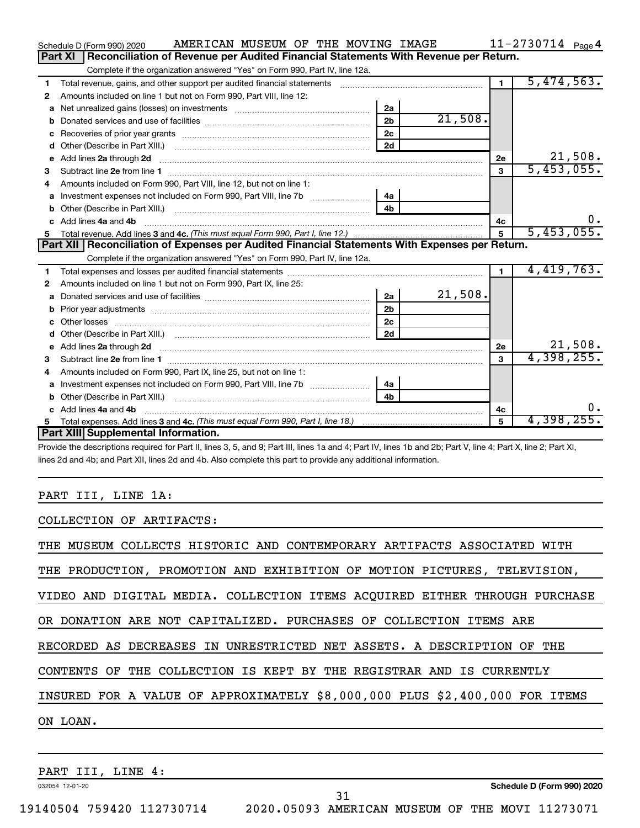|    | AMERICAN MUSEUM OF THE MOVING IMAGE<br>Schedule D (Form 990) 2020                                                                                                                                                                   |                |         |                | $11 - 2730714$ Page 4 |
|----|-------------------------------------------------------------------------------------------------------------------------------------------------------------------------------------------------------------------------------------|----------------|---------|----------------|-----------------------|
|    | Reconciliation of Revenue per Audited Financial Statements With Revenue per Return.<br>Part XI                                                                                                                                      |                |         |                |                       |
|    | Complete if the organization answered "Yes" on Form 990, Part IV, line 12a.                                                                                                                                                         |                |         |                |                       |
| 1  | Total revenue, gains, and other support per audited financial statements [111] [11] Total revenue, gains, and other support per audited financial statements                                                                        |                |         | $\mathbf 1$    | 5,474,563.            |
| 2  | Amounts included on line 1 but not on Form 990, Part VIII, line 12:                                                                                                                                                                 |                |         |                |                       |
| a  |                                                                                                                                                                                                                                     | 2a             |         |                |                       |
|    |                                                                                                                                                                                                                                     | 2 <sub>b</sub> | 21,508. |                |                       |
| с  |                                                                                                                                                                                                                                     | 2 <sub>c</sub> |         |                |                       |
| d  |                                                                                                                                                                                                                                     | 2d             |         |                |                       |
| e  | Add lines 2a through 2d <b>contained a contained a contained a contained a</b> contained a contact the set of the set of the set of the set of the set of the set of the set of the set of the set of the set of the set of the set |                |         | 2е             | 21,508.               |
| 3  |                                                                                                                                                                                                                                     |                |         | $\mathbf{3}$   | 5,453,055.            |
| 4  | Amounts included on Form 990, Part VIII, line 12, but not on line 1:                                                                                                                                                                |                |         |                |                       |
| a  |                                                                                                                                                                                                                                     | 4a             |         |                |                       |
| b  |                                                                                                                                                                                                                                     | 4 <sub>b</sub> |         |                |                       |
| c. | Add lines 4a and 4b                                                                                                                                                                                                                 |                |         | 4c             | υ.                    |
| 5  |                                                                                                                                                                                                                                     |                |         | 5              | 5,453,055.            |
|    |                                                                                                                                                                                                                                     |                |         |                |                       |
|    | Part XII   Reconciliation of Expenses per Audited Financial Statements With Expenses per Return.                                                                                                                                    |                |         |                |                       |
|    | Complete if the organization answered "Yes" on Form 990, Part IV, line 12a.                                                                                                                                                         |                |         |                |                       |
| 1  |                                                                                                                                                                                                                                     |                |         | $\blacksquare$ | 4,419,763.            |
| 2  | Amounts included on line 1 but not on Form 990, Part IX, line 25:                                                                                                                                                                   |                |         |                |                       |
| a  |                                                                                                                                                                                                                                     | 2a             | 21,508. |                |                       |
|    | Prior year adjustments [ www.communications of the contract of the contract of the contract of the contract of                                                                                                                      | 2 <sub>b</sub> |         |                |                       |
| c  |                                                                                                                                                                                                                                     | 2 <sub>c</sub> |         |                |                       |
|    |                                                                                                                                                                                                                                     | 2d             |         |                |                       |
| е  |                                                                                                                                                                                                                                     |                |         | 2e             | 21,508.               |
| 3  | Add lines 2a through 2d <b>contained a contained a contained a contained a</b> contained a contained a contained a contained a contained a contained a contained a contained a contained a contained a contained a contained a cont |                |         | 3              | 4,398,255.            |
| 4  | Amounts included on Form 990, Part IX, line 25, but not on line 1:                                                                                                                                                                  |                |         |                |                       |
| a  |                                                                                                                                                                                                                                     | 4a             |         |                |                       |
| b  |                                                                                                                                                                                                                                     | 4b             |         |                |                       |
|    | Add lines 4a and 4b                                                                                                                                                                                                                 |                |         | 4c             |                       |
| 5  | Part XIII Supplemental Information.                                                                                                                                                                                                 |                |         | 5              | 4,398,255.            |

Provide the descriptions required for Part II, lines 3, 5, and 9; Part III, lines 1a and 4; Part IV, lines 1b and 2b; Part V, line 4; Part X, line 2; Part XI, lines 2d and 4b; and Part XII, lines 2d and 4b. Also complete this part to provide any additional information.

# PART III, LINE 1A:

COLLECTION OF ARTIFACTS:

| THE MUSEUM COLLECTS HISTORIC AND CONTEMPORARY ARTIFACTS ASSOCIATED WITH     |
|-----------------------------------------------------------------------------|
| THE PRODUCTION, PROMOTION AND EXHIBITION OF MOTION PICTURES, TELEVISION,    |
| VIDEO AND DIGITAL MEDIA. COLLECTION ITEMS ACOUIRED EITHER THROUGH PURCHASE  |
| OR DONATION ARE NOT CAPITALIZED. PURCHASES OF COLLECTION ITEMS ARE          |
| RECORDED AS DECREASES IN UNRESTRICTED NET ASSETS. A DESCRIPTION OF THE      |
| CONTENTS OF THE COLLECTION IS KEPT BY THE REGISTRAR AND IS CURRENTLY        |
| INSURED FOR A VALUE OF APPROXIMATELY \$8,000,000 PLUS \$2,400,000 FOR ITEMS |
| ON LOAN.                                                                    |
|                                                                             |

PART III, LINE 4:

032054 12-01-20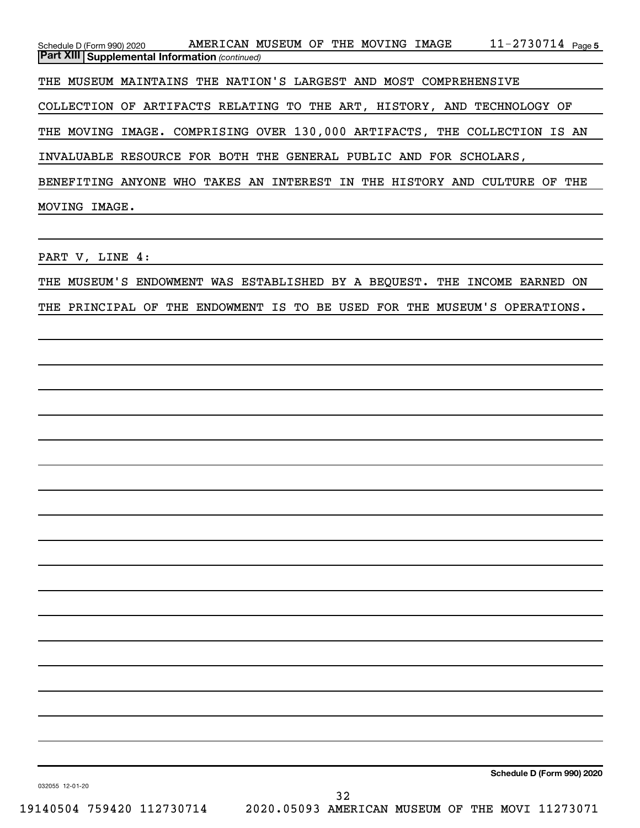11-2730714 Page 5 *(continued)* **Part XIII Supplemental Information**  Schedule D (Form 990) 2020 Page AMERICAN MUSEUM OF THE MOVING IMAGE 11-2730714 THE MUSEUM MAINTAINS THE NATION'S LARGEST AND MOST COMPREHENSIVE COLLECTION OF ARTIFACTS RELATING TO THE ART, HISTORY, AND TECHNOLOGY OF THE MOVING IMAGE. COMPRISING OVER 130,000 ARTIFACTS, THE COLLECTION IS AN INVALUABLE RESOURCE FOR BOTH THE GENERAL PUBLIC AND FOR SCHOLARS, BENEFITING ANYONE WHO TAKES AN INTEREST IN THE HISTORY AND CULTURE OF THE MOVING IMAGE.

PART V, LINE 4:

THE MUSEUM'S ENDOWMENT WAS ESTABLISHED BY A BEQUEST. THE INCOME EARNED ON

THE PRINCIPAL OF THE ENDOWMENT IS TO BE USED FOR THE MUSEUM'S OPERATIONS.

**Schedule D (Form 990) 2020**

032055 12-01-20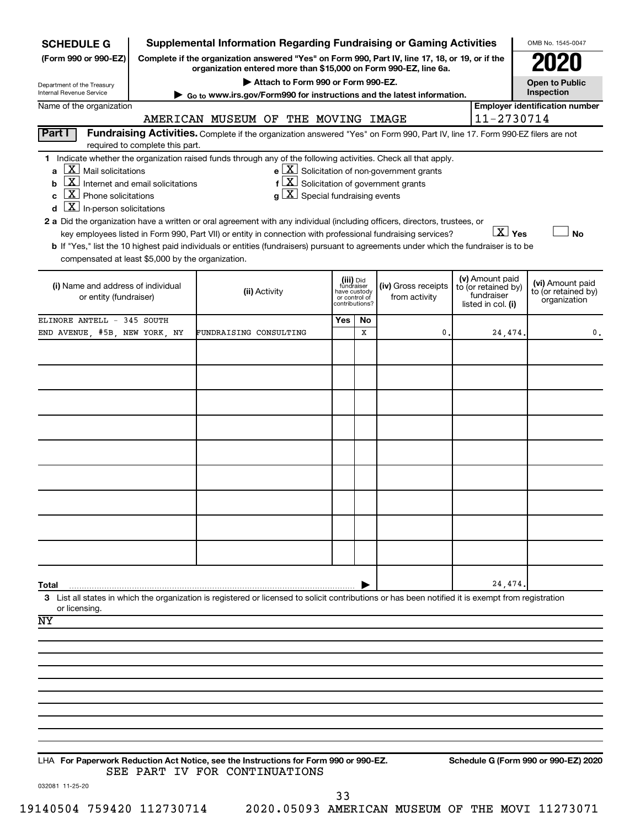| <b>SCHEDULE G</b>                                                                                                                                                                                                        |                                 | <b>Supplemental Information Regarding Fundraising or Gaming Activities</b>                                                                                                                                                                                                                                                                                                                                                                                            |                                                                            |    |                                                              |                                                                            | OMB No. 1545-0047                                       |
|--------------------------------------------------------------------------------------------------------------------------------------------------------------------------------------------------------------------------|---------------------------------|-----------------------------------------------------------------------------------------------------------------------------------------------------------------------------------------------------------------------------------------------------------------------------------------------------------------------------------------------------------------------------------------------------------------------------------------------------------------------|----------------------------------------------------------------------------|----|--------------------------------------------------------------|----------------------------------------------------------------------------|---------------------------------------------------------|
| (Form 990 or 990-EZ)                                                                                                                                                                                                     |                                 | Complete if the organization answered "Yes" on Form 990, Part IV, line 17, 18, or 19, or if the<br>organization entered more than \$15,000 on Form 990-EZ, line 6a.                                                                                                                                                                                                                                                                                                   |                                                                            |    |                                                              |                                                                            |                                                         |
| Department of the Treasury                                                                                                                                                                                               |                                 | Attach to Form 990 or Form 990-EZ.                                                                                                                                                                                                                                                                                                                                                                                                                                    |                                                                            |    |                                                              |                                                                            | <b>Open to Public</b>                                   |
| Internal Revenue Service<br>Name of the organization                                                                                                                                                                     |                                 | ► Go to www.irs.gov/Form990 for instructions and the latest information.                                                                                                                                                                                                                                                                                                                                                                                              |                                                                            |    |                                                              |                                                                            | Inspection<br><b>Employer identification number</b>     |
|                                                                                                                                                                                                                          |                                 | AMERICAN MUSEUM OF THE MOVING IMAGE                                                                                                                                                                                                                                                                                                                                                                                                                                   |                                                                            |    |                                                              | 11-2730714                                                                 |                                                         |
| Part I                                                                                                                                                                                                                   | required to complete this part. | Fundraising Activities. Complete if the organization answered "Yes" on Form 990, Part IV, line 17. Form 990-EZ filers are not                                                                                                                                                                                                                                                                                                                                         |                                                                            |    |                                                              |                                                                            |                                                         |
| $\lfloor \mathbf{X} \rfloor$ Mail solicitations<br>a<br>$\boxed{\textbf{X}}$ Internet and email solicitations<br>b<br>$\boxed{\mathbf{X}}$ Phone solicitations<br>C<br>$\boxed{\mathbf{X}}$ In-person solicitations<br>d |                                 | 1 Indicate whether the organization raised funds through any of the following activities. Check all that apply.<br>$f\left[\frac{X}{X}\right]$ Solicitation of government grants<br>$g\mid X$ Special fundraising events<br>2 a Did the organization have a written or oral agreement with any individual (including officers, directors, trustees, or<br>key employees listed in Form 990, Part VII) or entity in connection with professional fundraising services? |                                                                            |    | $e$ $\boxed{\text{X}}$ Solicitation of non-government grants | $\boxed{\text{X}}$ Yes                                                     | <b>No</b>                                               |
| compensated at least \$5,000 by the organization.                                                                                                                                                                        |                                 | b If "Yes," list the 10 highest paid individuals or entities (fundraisers) pursuant to agreements under which the fundraiser is to be                                                                                                                                                                                                                                                                                                                                 |                                                                            |    |                                                              |                                                                            |                                                         |
| (i) Name and address of individual<br>or entity (fundraiser)                                                                                                                                                             |                                 | (ii) Activity                                                                                                                                                                                                                                                                                                                                                                                                                                                         | (iii) Did<br>fundraiser<br>have custody<br>or control of<br>contributions? |    | (iv) Gross receipts<br>from activity                         | (v) Amount paid<br>to (or retained by)<br>fundraiser<br>listed in col. (i) | (vi) Amount paid<br>to (or retained by)<br>organization |
| ELINORE ANTELL - 345 SOUTH                                                                                                                                                                                               |                                 |                                                                                                                                                                                                                                                                                                                                                                                                                                                                       | Yes                                                                        | No |                                                              |                                                                            |                                                         |
| END AVENUE, #5B, NEW YORK, NY                                                                                                                                                                                            |                                 | FUNDRAISING CONSULTING                                                                                                                                                                                                                                                                                                                                                                                                                                                |                                                                            | x  | 0                                                            | 24,474.                                                                    | 0.                                                      |
|                                                                                                                                                                                                                          |                                 |                                                                                                                                                                                                                                                                                                                                                                                                                                                                       |                                                                            |    |                                                              |                                                                            |                                                         |
|                                                                                                                                                                                                                          |                                 |                                                                                                                                                                                                                                                                                                                                                                                                                                                                       |                                                                            |    |                                                              |                                                                            |                                                         |
|                                                                                                                                                                                                                          |                                 |                                                                                                                                                                                                                                                                                                                                                                                                                                                                       |                                                                            |    |                                                              |                                                                            |                                                         |
|                                                                                                                                                                                                                          |                                 |                                                                                                                                                                                                                                                                                                                                                                                                                                                                       |                                                                            |    |                                                              |                                                                            |                                                         |
|                                                                                                                                                                                                                          |                                 |                                                                                                                                                                                                                                                                                                                                                                                                                                                                       |                                                                            |    |                                                              |                                                                            |                                                         |
|                                                                                                                                                                                                                          |                                 |                                                                                                                                                                                                                                                                                                                                                                                                                                                                       |                                                                            |    |                                                              |                                                                            |                                                         |
|                                                                                                                                                                                                                          |                                 |                                                                                                                                                                                                                                                                                                                                                                                                                                                                       |                                                                            |    |                                                              |                                                                            |                                                         |
|                                                                                                                                                                                                                          |                                 |                                                                                                                                                                                                                                                                                                                                                                                                                                                                       |                                                                            |    |                                                              |                                                                            |                                                         |
|                                                                                                                                                                                                                          |                                 |                                                                                                                                                                                                                                                                                                                                                                                                                                                                       |                                                                            |    |                                                              |                                                                            |                                                         |
|                                                                                                                                                                                                                          |                                 |                                                                                                                                                                                                                                                                                                                                                                                                                                                                       |                                                                            |    |                                                              |                                                                            |                                                         |
|                                                                                                                                                                                                                          |                                 |                                                                                                                                                                                                                                                                                                                                                                                                                                                                       |                                                                            |    |                                                              |                                                                            |                                                         |
| Total                                                                                                                                                                                                                    |                                 |                                                                                                                                                                                                                                                                                                                                                                                                                                                                       |                                                                            |    |                                                              | 24,474.                                                                    |                                                         |
| or licensing.                                                                                                                                                                                                            |                                 | 3 List all states in which the organization is registered or licensed to solicit contributions or has been notified it is exempt from registration                                                                                                                                                                                                                                                                                                                    |                                                                            |    |                                                              |                                                                            |                                                         |
| ΝY                                                                                                                                                                                                                       |                                 |                                                                                                                                                                                                                                                                                                                                                                                                                                                                       |                                                                            |    |                                                              |                                                                            |                                                         |
|                                                                                                                                                                                                                          |                                 |                                                                                                                                                                                                                                                                                                                                                                                                                                                                       |                                                                            |    |                                                              |                                                                            |                                                         |
|                                                                                                                                                                                                                          |                                 |                                                                                                                                                                                                                                                                                                                                                                                                                                                                       |                                                                            |    |                                                              |                                                                            |                                                         |
|                                                                                                                                                                                                                          |                                 |                                                                                                                                                                                                                                                                                                                                                                                                                                                                       |                                                                            |    |                                                              |                                                                            |                                                         |
|                                                                                                                                                                                                                          |                                 |                                                                                                                                                                                                                                                                                                                                                                                                                                                                       |                                                                            |    |                                                              |                                                                            |                                                         |
|                                                                                                                                                                                                                          |                                 |                                                                                                                                                                                                                                                                                                                                                                                                                                                                       |                                                                            |    |                                                              |                                                                            |                                                         |
|                                                                                                                                                                                                                          |                                 |                                                                                                                                                                                                                                                                                                                                                                                                                                                                       |                                                                            |    |                                                              |                                                                            |                                                         |
|                                                                                                                                                                                                                          |                                 | LHA For Paperwork Reduction Act Notice, see the Instructions for Form 990 or 990-EZ.<br>SEE PART IV FOR CONTINUATIONS                                                                                                                                                                                                                                                                                                                                                 |                                                                            |    |                                                              |                                                                            | Schedule G (Form 990 or 990-EZ) 2020                    |
| 032081 11-25-20                                                                                                                                                                                                          |                                 |                                                                                                                                                                                                                                                                                                                                                                                                                                                                       |                                                                            |    |                                                              |                                                                            |                                                         |

33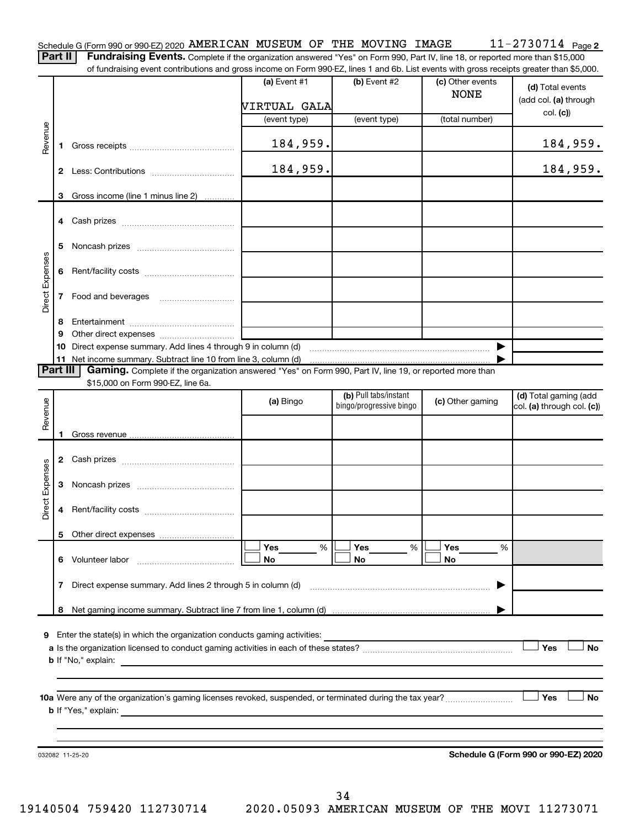| Schedule G (Form 990 or 990-EZ) 2020 AMERICAN MUSEUM OF THE MOVING IMAGE |  |  |  | $11 - 2730714$ Page 2                                                                                                                        |
|--------------------------------------------------------------------------|--|--|--|----------------------------------------------------------------------------------------------------------------------------------------------|
|                                                                          |  |  |  | <b>Part II</b> Fundraising Events. Complete if the organization answered "Yes" on Form 990, Part IV, line 18, or reported more than \$15,000 |

of fundraising event contributions and gross income on Form 990-EZ, lines 1 and 6b. List events with gross receipts greater than \$5,000.

|                 |              |                                                                                                                                                     | VIRTUAL GALA<br>(event type)                                                              | (event type)                                     | (total number)   | (add col. (a) through<br>col. (c))                  |
|-----------------|--------------|-----------------------------------------------------------------------------------------------------------------------------------------------------|-------------------------------------------------------------------------------------------|--------------------------------------------------|------------------|-----------------------------------------------------|
|                 |              |                                                                                                                                                     |                                                                                           |                                                  |                  |                                                     |
| Revenue         | 1.           |                                                                                                                                                     | 184,959.                                                                                  |                                                  |                  | 184,959.                                            |
|                 | $\mathbf{2}$ |                                                                                                                                                     | 184,959.                                                                                  |                                                  |                  | 184,959.                                            |
|                 |              | 3 Gross income (line 1 minus line 2)                                                                                                                |                                                                                           |                                                  |                  |                                                     |
|                 |              |                                                                                                                                                     |                                                                                           |                                                  |                  |                                                     |
|                 |              |                                                                                                                                                     |                                                                                           |                                                  |                  |                                                     |
|                 | 5            |                                                                                                                                                     |                                                                                           |                                                  |                  |                                                     |
| Direct Expenses |              |                                                                                                                                                     |                                                                                           |                                                  |                  |                                                     |
|                 | $\mathbf{7}$ | Food and beverages                                                                                                                                  |                                                                                           |                                                  |                  |                                                     |
|                 | 8            |                                                                                                                                                     |                                                                                           |                                                  |                  |                                                     |
|                 | 9            |                                                                                                                                                     |                                                                                           |                                                  |                  |                                                     |
|                 | 10           | Direct expense summary. Add lines 4 through 9 in column (d)                                                                                         |                                                                                           |                                                  |                  |                                                     |
|                 |              |                                                                                                                                                     |                                                                                           |                                                  |                  |                                                     |
| <b>Part III</b> |              | Gaming. Complete if the organization answered "Yes" on Form 990, Part IV, line 19, or reported more than                                            |                                                                                           |                                                  |                  |                                                     |
|                 |              | \$15,000 on Form 990-EZ, line 6a.                                                                                                                   |                                                                                           |                                                  |                  |                                                     |
|                 |              |                                                                                                                                                     | (a) Bingo                                                                                 | (b) Pull tabs/instant<br>bingo/progressive bingo | (c) Other gaming | (d) Total gaming (add<br>col. (a) through col. (c)) |
| Revenue         |              |                                                                                                                                                     |                                                                                           |                                                  |                  |                                                     |
|                 | 1.           |                                                                                                                                                     |                                                                                           |                                                  |                  |                                                     |
|                 |              |                                                                                                                                                     |                                                                                           |                                                  |                  |                                                     |
|                 |              |                                                                                                                                                     |                                                                                           |                                                  |                  |                                                     |
| Direct Expenses | 3            |                                                                                                                                                     |                                                                                           |                                                  |                  |                                                     |
|                 | 4            |                                                                                                                                                     |                                                                                           |                                                  |                  |                                                     |
|                 |              |                                                                                                                                                     |                                                                                           |                                                  |                  |                                                     |
|                 |              |                                                                                                                                                     |                                                                                           |                                                  |                  |                                                     |
|                 |              |                                                                                                                                                     | Yes<br>%                                                                                  | Yes<br>%                                         | Yes<br>%         |                                                     |
|                 | 6            | Volunteer labor                                                                                                                                     | No                                                                                        | No                                               | No               |                                                     |
|                 | 7            | Direct expense summary. Add lines 2 through 5 in column (d)                                                                                         |                                                                                           |                                                  |                  |                                                     |
|                 | 8            |                                                                                                                                                     |                                                                                           |                                                  |                  |                                                     |
|                 |              |                                                                                                                                                     |                                                                                           |                                                  |                  |                                                     |
| 9               |              | Enter the state(s) in which the organization conducts gaming activities:                                                                            |                                                                                           |                                                  |                  |                                                     |
|                 |              |                                                                                                                                                     |                                                                                           |                                                  |                  | Yes<br>No                                           |
|                 |              | <b>b</b> If "No," explain:                                                                                                                          | the control of the control of the control of the control of the control of the control of |                                                  |                  |                                                     |
|                 |              |                                                                                                                                                     |                                                                                           |                                                  |                  |                                                     |
|                 |              |                                                                                                                                                     |                                                                                           |                                                  |                  | Yes<br>No                                           |
|                 |              | <b>b</b> If "Yes," explain:<br><u> 1989 - Andrea Santa Andrea Santa Andrea Santa Andrea Santa Andrea Santa Andrea Santa Andrea Santa Andrea San</u> |                                                                                           |                                                  |                  |                                                     |
|                 |              |                                                                                                                                                     |                                                                                           |                                                  |                  |                                                     |
|                 |              |                                                                                                                                                     |                                                                                           |                                                  |                  |                                                     |
|                 |              | 032082 11-25-20                                                                                                                                     |                                                                                           |                                                  |                  | Schedule G (Form 990 or 990-EZ) 2020                |
|                 |              |                                                                                                                                                     |                                                                                           |                                                  |                  |                                                     |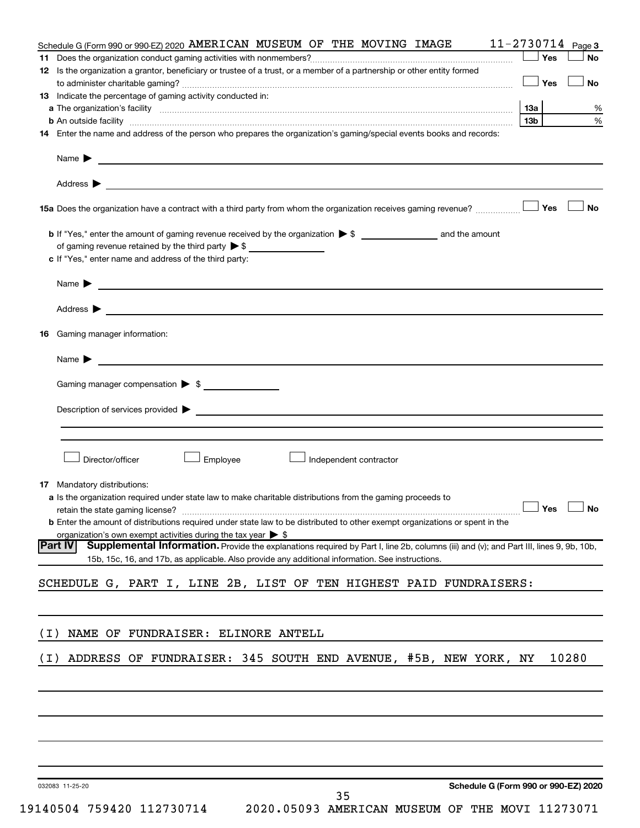| Schedule G (Form 990 or 990-EZ) 2020 AMERICAN MUSEUM OF THE MOVING IMAGE                                                                                                                                                                               | $11 - 2730714$ Page 3                |
|--------------------------------------------------------------------------------------------------------------------------------------------------------------------------------------------------------------------------------------------------------|--------------------------------------|
| 11.                                                                                                                                                                                                                                                    | Yes<br><b>No</b>                     |
| 12 Is the organization a grantor, beneficiary or trustee of a trust, or a member of a partnership or other entity formed                                                                                                                               |                                      |
|                                                                                                                                                                                                                                                        | Yes<br><b>No</b>                     |
| <b>13</b> Indicate the percentage of gaming activity conducted in:                                                                                                                                                                                     |                                      |
|                                                                                                                                                                                                                                                        | 13a<br>℅<br>13 <sub>b</sub><br>%     |
| 14 Enter the name and address of the person who prepares the organization's gaming/special events books and records:                                                                                                                                   |                                      |
|                                                                                                                                                                                                                                                        |                                      |
|                                                                                                                                                                                                                                                        |                                      |
|                                                                                                                                                                                                                                                        |                                      |
|                                                                                                                                                                                                                                                        | Yes<br>No                            |
|                                                                                                                                                                                                                                                        |                                      |
| of gaming revenue retained by the third party $\triangleright$ \$                                                                                                                                                                                      |                                      |
| c If "Yes," enter name and address of the third party:                                                                                                                                                                                                 |                                      |
| Name $\blacktriangleright$ $\lrcorner$                                                                                                                                                                                                                 |                                      |
|                                                                                                                                                                                                                                                        |                                      |
|                                                                                                                                                                                                                                                        |                                      |
| Gaming manager information:<br>16.                                                                                                                                                                                                                     |                                      |
| Name $\blacktriangleright$                                                                                                                                                                                                                             |                                      |
| Gaming manager compensation > \$                                                                                                                                                                                                                       |                                      |
|                                                                                                                                                                                                                                                        |                                      |
| Description of services provided > The Communication of Services and Theorem Communication of Services provided                                                                                                                                        |                                      |
|                                                                                                                                                                                                                                                        |                                      |
|                                                                                                                                                                                                                                                        |                                      |
| Director/officer<br>Employee<br>Independent contractor                                                                                                                                                                                                 |                                      |
| <b>17</b> Mandatory distributions:                                                                                                                                                                                                                     |                                      |
| a Is the organization required under state law to make charitable distributions from the gaming proceeds to                                                                                                                                            |                                      |
| retain the state gaming license? $\ldots$ No                                                                                                                                                                                                           |                                      |
| <b>b</b> Enter the amount of distributions required under state law to be distributed to other exempt organizations or spent in the                                                                                                                    |                                      |
| organization's own exempt activities during the tax year $\triangleright$ \$                                                                                                                                                                           |                                      |
| Supplemental Information. Provide the explanations required by Part I, line 2b, columns (iii) and (v); and Part III, lines 9, 9b, 10b,<br> Part IV<br>15b, 15c, 16, and 17b, as applicable. Also provide any additional information. See instructions. |                                      |
|                                                                                                                                                                                                                                                        |                                      |
| SCHEDULE G, PART I, LINE 2B, LIST OF TEN HIGHEST PAID FUNDRAISERS:                                                                                                                                                                                     |                                      |
|                                                                                                                                                                                                                                                        |                                      |
|                                                                                                                                                                                                                                                        |                                      |
| NAME OF FUNDRAISER: ELINORE ANTELL<br>( I )                                                                                                                                                                                                            |                                      |
| ADDRESS OF FUNDRAISER: 345 SOUTH END AVENUE, #5B, NEW YORK, NY<br>( I )                                                                                                                                                                                | 10280                                |
|                                                                                                                                                                                                                                                        |                                      |
|                                                                                                                                                                                                                                                        |                                      |
|                                                                                                                                                                                                                                                        |                                      |
|                                                                                                                                                                                                                                                        |                                      |
|                                                                                                                                                                                                                                                        |                                      |
|                                                                                                                                                                                                                                                        |                                      |
|                                                                                                                                                                                                                                                        |                                      |
| 032083 11-25-20                                                                                                                                                                                                                                        | Schedule G (Form 990 or 990-EZ) 2020 |

19140504 759420 112730714 2020.05093 AMERICAN MUSEUM OF THE MOVI 11273071

35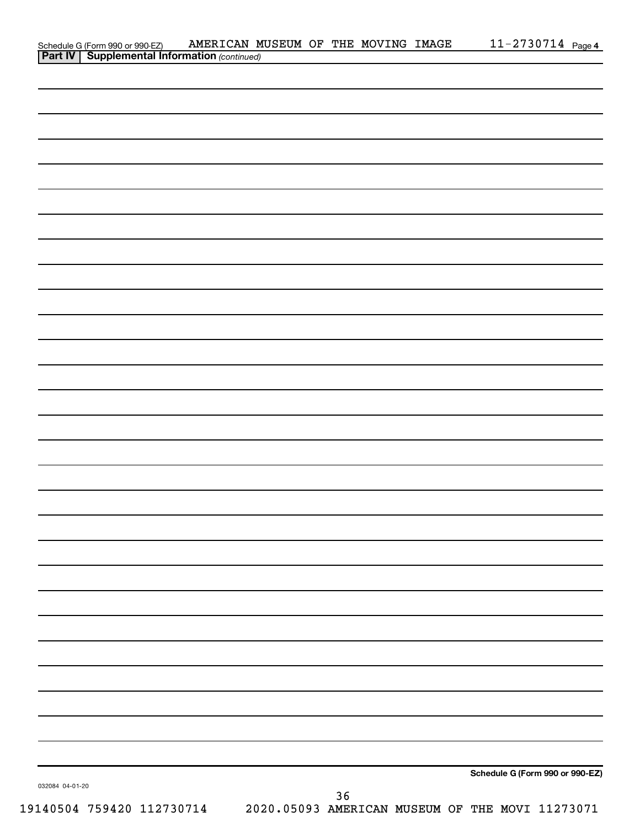|                 | Schedule G (Form 990 or 990-EZ) AMERICAN M<br><b>Part IV   Supplemental Information</b> (continued) | AMERICAN MUSEUM OF THE MOVING IMAGE |    |  | $11 - 2730714$ Page 4                           |
|-----------------|-----------------------------------------------------------------------------------------------------|-------------------------------------|----|--|-------------------------------------------------|
|                 |                                                                                                     |                                     |    |  |                                                 |
|                 |                                                                                                     |                                     |    |  |                                                 |
|                 |                                                                                                     |                                     |    |  |                                                 |
|                 |                                                                                                     |                                     |    |  |                                                 |
|                 |                                                                                                     |                                     |    |  |                                                 |
|                 |                                                                                                     |                                     |    |  |                                                 |
|                 |                                                                                                     |                                     |    |  |                                                 |
|                 |                                                                                                     |                                     |    |  |                                                 |
|                 |                                                                                                     |                                     |    |  |                                                 |
|                 |                                                                                                     |                                     |    |  |                                                 |
|                 |                                                                                                     |                                     |    |  |                                                 |
|                 |                                                                                                     |                                     |    |  |                                                 |
|                 |                                                                                                     |                                     |    |  |                                                 |
|                 |                                                                                                     |                                     |    |  |                                                 |
|                 |                                                                                                     |                                     |    |  |                                                 |
|                 |                                                                                                     |                                     |    |  |                                                 |
|                 |                                                                                                     |                                     |    |  |                                                 |
|                 |                                                                                                     |                                     |    |  |                                                 |
|                 |                                                                                                     |                                     |    |  |                                                 |
|                 |                                                                                                     |                                     |    |  |                                                 |
|                 |                                                                                                     |                                     |    |  |                                                 |
|                 |                                                                                                     |                                     |    |  |                                                 |
|                 |                                                                                                     |                                     |    |  |                                                 |
|                 |                                                                                                     |                                     |    |  |                                                 |
|                 |                                                                                                     |                                     |    |  |                                                 |
|                 |                                                                                                     |                                     |    |  |                                                 |
|                 |                                                                                                     |                                     |    |  |                                                 |
|                 |                                                                                                     |                                     |    |  |                                                 |
|                 |                                                                                                     |                                     |    |  |                                                 |
|                 |                                                                                                     |                                     |    |  |                                                 |
|                 |                                                                                                     |                                     |    |  |                                                 |
|                 |                                                                                                     |                                     |    |  |                                                 |
|                 |                                                                                                     |                                     |    |  |                                                 |
|                 |                                                                                                     |                                     |    |  |                                                 |
|                 |                                                                                                     |                                     |    |  |                                                 |
|                 |                                                                                                     |                                     |    |  |                                                 |
|                 |                                                                                                     |                                     |    |  |                                                 |
|                 |                                                                                                     |                                     |    |  |                                                 |
|                 |                                                                                                     |                                     |    |  |                                                 |
|                 |                                                                                                     |                                     |    |  |                                                 |
|                 |                                                                                                     |                                     |    |  |                                                 |
|                 |                                                                                                     |                                     |    |  |                                                 |
|                 |                                                                                                     |                                     |    |  |                                                 |
|                 |                                                                                                     |                                     |    |  |                                                 |
|                 |                                                                                                     |                                     |    |  |                                                 |
|                 |                                                                                                     |                                     |    |  | Schedule G (Form 990 or 990-EZ)                 |
| 032084 04-01-20 |                                                                                                     |                                     | 36 |  |                                                 |
|                 | 19140504 759420 112730714                                                                           |                                     |    |  | 2020.05093 AMERICAN MUSEUM OF THE MOVI 11273071 |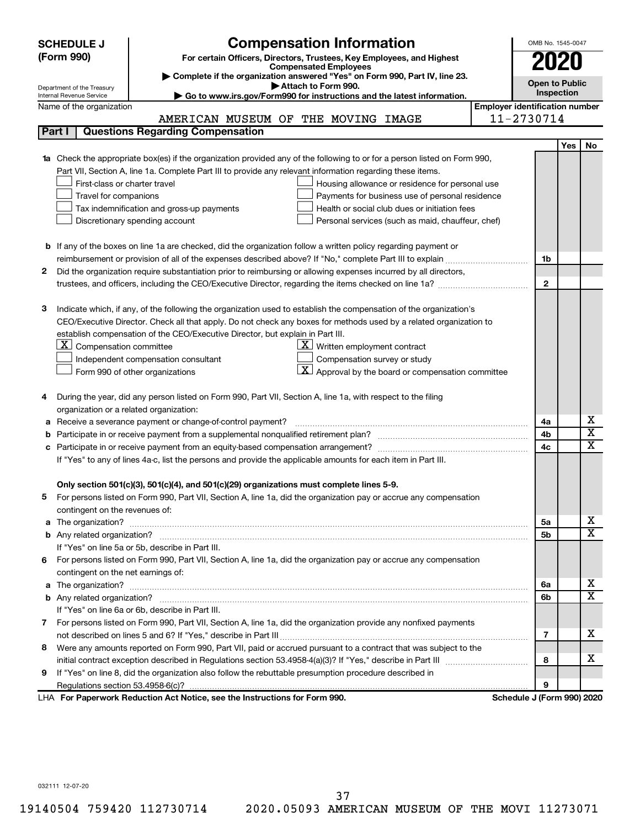|              | <b>SCHEDULE J</b>                                      | <b>Compensation Information</b>                                                                                                                                                                               |                                       | OMB No. 1545-0047          |            |                              |  |
|--------------|--------------------------------------------------------|---------------------------------------------------------------------------------------------------------------------------------------------------------------------------------------------------------------|---------------------------------------|----------------------------|------------|------------------------------|--|
|              | (Form 990)                                             | For certain Officers, Directors, Trustees, Key Employees, and Highest                                                                                                                                         |                                       |                            |            |                              |  |
|              |                                                        |                                                                                                                                                                                                               | 2020                                  |                            |            |                              |  |
|              |                                                        |                                                                                                                                                                                                               | <b>Open to Public</b>                 |                            |            |                              |  |
|              | Department of the Treasury<br>Internal Revenue Service | Attach to Form 990.<br>Go to www.irs.gov/Form990 for instructions and the latest information.                                                                                                                 |                                       | Inspection                 |            |                              |  |
|              | Name of the organization                               |                                                                                                                                                                                                               | <b>Employer identification number</b> |                            |            |                              |  |
|              |                                                        | AMERICAN MUSEUM OF THE MOVING IMAGE                                                                                                                                                                           |                                       | 11-2730714                 |            |                              |  |
|              | Part I                                                 | <b>Questions Regarding Compensation</b>                                                                                                                                                                       |                                       |                            |            |                              |  |
|              |                                                        |                                                                                                                                                                                                               |                                       |                            | <b>Yes</b> | No                           |  |
|              |                                                        | <b>1a</b> Check the appropriate box(es) if the organization provided any of the following to or for a person listed on Form 990,                                                                              |                                       |                            |            |                              |  |
|              |                                                        | Part VII, Section A, line 1a. Complete Part III to provide any relevant information regarding these items.                                                                                                    |                                       |                            |            |                              |  |
|              | First-class or charter travel                          | Housing allowance or residence for personal use                                                                                                                                                               |                                       |                            |            |                              |  |
|              | Travel for companions                                  | Payments for business use of personal residence                                                                                                                                                               |                                       |                            |            |                              |  |
|              |                                                        | Health or social club dues or initiation fees<br>Tax indemnification and gross-up payments                                                                                                                    |                                       |                            |            |                              |  |
|              |                                                        | Discretionary spending account<br>Personal services (such as maid, chauffeur, chef)                                                                                                                           |                                       |                            |            |                              |  |
|              |                                                        |                                                                                                                                                                                                               |                                       |                            |            |                              |  |
|              |                                                        | <b>b</b> If any of the boxes on line 1a are checked, did the organization follow a written policy regarding payment or                                                                                        |                                       |                            |            |                              |  |
|              |                                                        |                                                                                                                                                                                                               |                                       | 1b                         |            |                              |  |
| $\mathbf{2}$ |                                                        | Did the organization require substantiation prior to reimbursing or allowing expenses incurred by all directors,                                                                                              |                                       |                            |            |                              |  |
|              |                                                        |                                                                                                                                                                                                               |                                       | $\mathbf{2}$               |            |                              |  |
|              |                                                        |                                                                                                                                                                                                               |                                       |                            |            |                              |  |
| 3            |                                                        | Indicate which, if any, of the following the organization used to establish the compensation of the organization's                                                                                            |                                       |                            |            |                              |  |
|              |                                                        | CEO/Executive Director. Check all that apply. Do not check any boxes for methods used by a related organization to                                                                                            |                                       |                            |            |                              |  |
|              |                                                        | establish compensation of the CEO/Executive Director, but explain in Part III.                                                                                                                                |                                       |                            |            |                              |  |
|              | $X$ Compensation committee                             | $\underline{\mathbf{X}}$ Written employment contract                                                                                                                                                          |                                       |                            |            |                              |  |
|              |                                                        | Compensation survey or study<br>Independent compensation consultant                                                                                                                                           |                                       |                            |            |                              |  |
|              |                                                        | $ \mathbf{X} $ Approval by the board or compensation committee<br>Form 990 of other organizations                                                                                                             |                                       |                            |            |                              |  |
|              |                                                        |                                                                                                                                                                                                               |                                       |                            |            |                              |  |
| 4            |                                                        | During the year, did any person listed on Form 990, Part VII, Section A, line 1a, with respect to the filing                                                                                                  |                                       |                            |            |                              |  |
|              | organization or a related organization:                |                                                                                                                                                                                                               |                                       |                            |            |                              |  |
| а            |                                                        | Receive a severance payment or change-of-control payment?                                                                                                                                                     |                                       | 4a                         |            | х<br>$\overline{\mathbf{X}}$ |  |
| b            |                                                        |                                                                                                                                                                                                               |                                       | 4b                         |            | X                            |  |
| с            |                                                        |                                                                                                                                                                                                               |                                       | 4c                         |            |                              |  |
|              |                                                        | If "Yes" to any of lines 4a-c, list the persons and provide the applicable amounts for each item in Part III.                                                                                                 |                                       |                            |            |                              |  |
|              |                                                        |                                                                                                                                                                                                               |                                       |                            |            |                              |  |
|              |                                                        | Only section 501(c)(3), 501(c)(4), and 501(c)(29) organizations must complete lines 5-9.<br>For persons listed on Form 990, Part VII, Section A, line 1a, did the organization pay or accrue any compensation |                                       |                            |            |                              |  |
|              |                                                        |                                                                                                                                                                                                               |                                       |                            |            |                              |  |
|              | contingent on the revenues of:                         |                                                                                                                                                                                                               |                                       | 5а                         |            | x                            |  |
|              |                                                        |                                                                                                                                                                                                               |                                       | 5b                         |            | X                            |  |
|              |                                                        | If "Yes" on line 5a or 5b, describe in Part III.                                                                                                                                                              |                                       |                            |            |                              |  |
| 6            |                                                        | For persons listed on Form 990, Part VII, Section A, line 1a, did the organization pay or accrue any compensation                                                                                             |                                       |                            |            |                              |  |
|              | contingent on the net earnings of:                     |                                                                                                                                                                                                               |                                       |                            |            |                              |  |
|              |                                                        |                                                                                                                                                                                                               |                                       | 6a                         |            | х                            |  |
|              |                                                        |                                                                                                                                                                                                               |                                       | 6b                         |            | X                            |  |
|              |                                                        | If "Yes" on line 6a or 6b, describe in Part III.                                                                                                                                                              |                                       |                            |            |                              |  |
|              |                                                        | 7 For persons listed on Form 990, Part VII, Section A, line 1a, did the organization provide any nonfixed payments                                                                                            |                                       |                            |            |                              |  |
|              |                                                        |                                                                                                                                                                                                               |                                       | 7                          |            | x                            |  |
|              |                                                        | 8 Were any amounts reported on Form 990, Part VII, paid or accrued pursuant to a contract that was subject to the                                                                                             |                                       |                            |            |                              |  |
|              |                                                        |                                                                                                                                                                                                               |                                       | 8                          |            | x                            |  |
| 9            |                                                        | If "Yes" on line 8, did the organization also follow the rebuttable presumption procedure described in                                                                                                        |                                       |                            |            |                              |  |
|              |                                                        |                                                                                                                                                                                                               |                                       | 9                          |            |                              |  |
|              |                                                        | LHA For Paperwork Reduction Act Notice, see the Instructions for Form 990.                                                                                                                                    |                                       | Schedule J (Form 990) 2020 |            |                              |  |

032111 12-07-20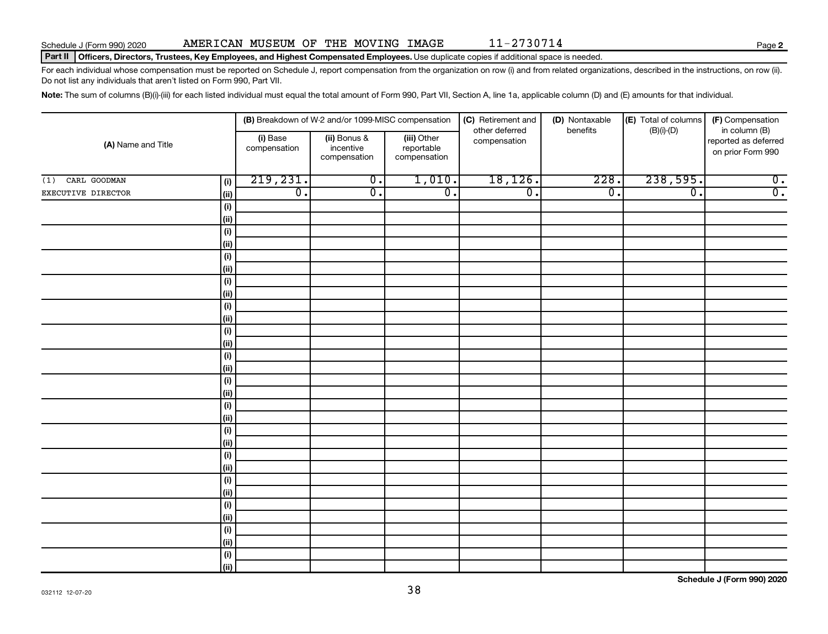### Part II | Officers, Directors, Trustees, Key Employees, and Highest Compensated Employees. Use duplicate copies if additional space is needed.

For each individual whose compensation must be reported on Schedule J, report compensation from the organization on row (i) and from related organizations, described in the instructions, on row (ii). Do not list any individuals that aren't listed on Form 990, Part VII.

Note: The sum of columns (B)(i)-(iii) for each listed individual must equal the total amount of Form 990, Part VII, Section A, line 1a, applicable column (D) and (E) amounts for that individual.

|                     |             | (B) Breakdown of W-2 and/or 1099-MISC compensation |                                           | (C) Retirement and                        | (D) Nontaxable                 | (E) Total of columns<br>(F) Compensation |                  |                                                            |
|---------------------|-------------|----------------------------------------------------|-------------------------------------------|-------------------------------------------|--------------------------------|------------------------------------------|------------------|------------------------------------------------------------|
| (A) Name and Title  |             | (i) Base<br>compensation                           | (ii) Bonus &<br>incentive<br>compensation | (iii) Other<br>reportable<br>compensation | other deferred<br>compensation | benefits                                 | $(B)(i)-(D)$     | in column (B)<br>reported as deferred<br>on prior Form 990 |
| CARL GOODMAN<br>(1) | (i)         | 219,231.                                           | $\overline{0}$ .                          | 1,010.                                    | 18, 126.                       | 228.                                     | 238,595.         | $\overline{0}$ .                                           |
| EXECUTIVE DIRECTOR  | (ii)        | $\overline{0}$ .                                   | $\overline{0}$ .                          | $\overline{0}$ .                          | $\overline{0}$ .               | $\overline{0}$ .                         | $\overline{0}$ . | $\overline{0}$ .                                           |
|                     | (i)         |                                                    |                                           |                                           |                                |                                          |                  |                                                            |
|                     | (ii)        |                                                    |                                           |                                           |                                |                                          |                  |                                                            |
|                     | (i)         |                                                    |                                           |                                           |                                |                                          |                  |                                                            |
|                     | (ii)        |                                                    |                                           |                                           |                                |                                          |                  |                                                            |
|                     | (i)         |                                                    |                                           |                                           |                                |                                          |                  |                                                            |
|                     | (ii)        |                                                    |                                           |                                           |                                |                                          |                  |                                                            |
|                     | (i)         |                                                    |                                           |                                           |                                |                                          |                  |                                                            |
|                     | (ii)        |                                                    |                                           |                                           |                                |                                          |                  |                                                            |
|                     | (i)         |                                                    |                                           |                                           |                                |                                          |                  |                                                            |
|                     | (ii)        |                                                    |                                           |                                           |                                |                                          |                  |                                                            |
|                     | (i)         |                                                    |                                           |                                           |                                |                                          |                  |                                                            |
|                     | (ii)        |                                                    |                                           |                                           |                                |                                          |                  |                                                            |
|                     | (i)<br>(ii) |                                                    |                                           |                                           |                                |                                          |                  |                                                            |
|                     | (i)         |                                                    |                                           |                                           |                                |                                          |                  |                                                            |
|                     | (ii)        |                                                    |                                           |                                           |                                |                                          |                  |                                                            |
|                     | (i)         |                                                    |                                           |                                           |                                |                                          |                  |                                                            |
|                     | (ii)        |                                                    |                                           |                                           |                                |                                          |                  |                                                            |
|                     | (i)         |                                                    |                                           |                                           |                                |                                          |                  |                                                            |
|                     | (ii)        |                                                    |                                           |                                           |                                |                                          |                  |                                                            |
|                     | (i)         |                                                    |                                           |                                           |                                |                                          |                  |                                                            |
|                     | (ii)        |                                                    |                                           |                                           |                                |                                          |                  |                                                            |
|                     | $(\sf{i})$  |                                                    |                                           |                                           |                                |                                          |                  |                                                            |
|                     | (ii)        |                                                    |                                           |                                           |                                |                                          |                  |                                                            |
|                     | (i)         |                                                    |                                           |                                           |                                |                                          |                  |                                                            |
|                     | (ii)        |                                                    |                                           |                                           |                                |                                          |                  |                                                            |
|                     | (i)         |                                                    |                                           |                                           |                                |                                          |                  |                                                            |
|                     | (ii)        |                                                    |                                           |                                           |                                |                                          |                  |                                                            |
|                     | (i)         |                                                    |                                           |                                           |                                |                                          |                  |                                                            |
|                     | (ii)        |                                                    |                                           |                                           |                                |                                          |                  |                                                            |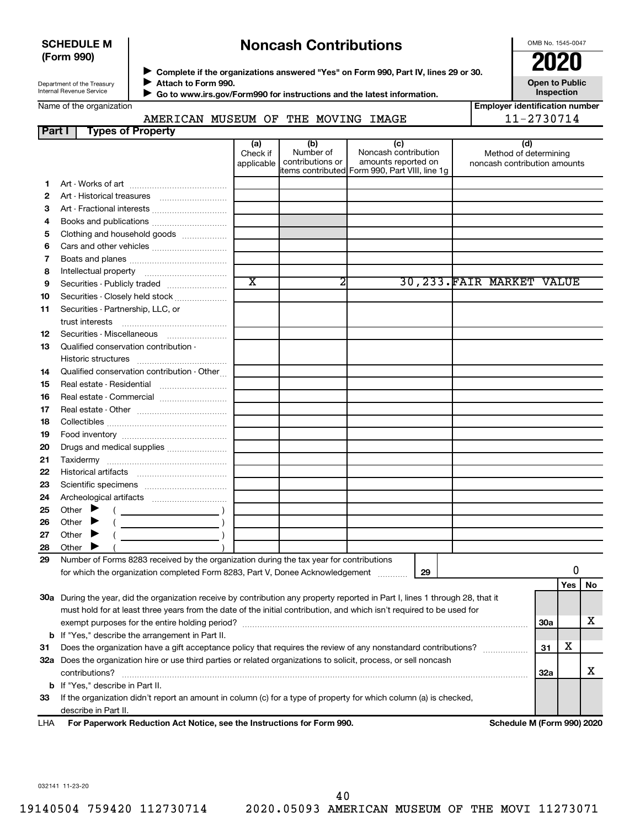# **SCHEDULE M (Form 990)**

# **Noncash Contributions**

OMB No. 1545-0047

**Employer identification number**

| Department of the Treasury |  |
|----------------------------|--|
| Internal Revenue Service   |  |

◆ Complete if the organizations answered "Yes" on Form 990, Part IV, lines 29 or 30.<br>● Complete if the organizations answered "Yes" on Form 990, Part IV, lines 29 or 30.  $\blacktriangleright$ 

**Attach to Form 990. Go to www.irs.gov/Form990 for instructions and the latest information.** J **Open to Public Inspection**

| Name of the organization |  |
|--------------------------|--|
|--------------------------|--|

**Part I Types of Property**

# AMERICAN MUSEUM OF THE MOVING IMAGE | 11-2730714

| <b>Faiti</b> | i ypes or Froperty                                                                                                                                                                                                                                                                                                                                                                                                                                                  |                               |                                      |                                                                                                      |                                                              |            |     |    |
|--------------|---------------------------------------------------------------------------------------------------------------------------------------------------------------------------------------------------------------------------------------------------------------------------------------------------------------------------------------------------------------------------------------------------------------------------------------------------------------------|-------------------------------|--------------------------------------|------------------------------------------------------------------------------------------------------|--------------------------------------------------------------|------------|-----|----|
|              |                                                                                                                                                                                                                                                                                                                                                                                                                                                                     | (a)<br>Check if<br>applicable | (b)<br>Number of<br>contributions or | (c)<br>Noncash contribution<br>amounts reported on<br>items contributed Form 990, Part VIII, line 1g | (d)<br>Method of determining<br>noncash contribution amounts |            |     |    |
| 1            |                                                                                                                                                                                                                                                                                                                                                                                                                                                                     |                               |                                      |                                                                                                      |                                                              |            |     |    |
| 2            |                                                                                                                                                                                                                                                                                                                                                                                                                                                                     |                               |                                      |                                                                                                      |                                                              |            |     |    |
| З            |                                                                                                                                                                                                                                                                                                                                                                                                                                                                     |                               |                                      |                                                                                                      |                                                              |            |     |    |
| 4            |                                                                                                                                                                                                                                                                                                                                                                                                                                                                     |                               |                                      |                                                                                                      |                                                              |            |     |    |
| 5            | Clothing and household goods                                                                                                                                                                                                                                                                                                                                                                                                                                        |                               |                                      |                                                                                                      |                                                              |            |     |    |
| 6            |                                                                                                                                                                                                                                                                                                                                                                                                                                                                     |                               |                                      |                                                                                                      |                                                              |            |     |    |
|              |                                                                                                                                                                                                                                                                                                                                                                                                                                                                     |                               |                                      |                                                                                                      |                                                              |            |     |    |
| 7            |                                                                                                                                                                                                                                                                                                                                                                                                                                                                     |                               |                                      |                                                                                                      |                                                              |            |     |    |
| 8            |                                                                                                                                                                                                                                                                                                                                                                                                                                                                     | $\overline{\text{x}}$         | 2                                    |                                                                                                      | 30, 233. FAIR MARKET VALUE                                   |            |     |    |
| 9            | Securities - Publicly traded                                                                                                                                                                                                                                                                                                                                                                                                                                        |                               |                                      |                                                                                                      |                                                              |            |     |    |
| 10           | Securities - Closely held stock                                                                                                                                                                                                                                                                                                                                                                                                                                     |                               |                                      |                                                                                                      |                                                              |            |     |    |
| 11           | Securities - Partnership, LLC, or                                                                                                                                                                                                                                                                                                                                                                                                                                   |                               |                                      |                                                                                                      |                                                              |            |     |    |
|              |                                                                                                                                                                                                                                                                                                                                                                                                                                                                     |                               |                                      |                                                                                                      |                                                              |            |     |    |
| 12           |                                                                                                                                                                                                                                                                                                                                                                                                                                                                     |                               |                                      |                                                                                                      |                                                              |            |     |    |
| 13           | Qualified conservation contribution -                                                                                                                                                                                                                                                                                                                                                                                                                               |                               |                                      |                                                                                                      |                                                              |            |     |    |
|              |                                                                                                                                                                                                                                                                                                                                                                                                                                                                     |                               |                                      |                                                                                                      |                                                              |            |     |    |
| 14           | Qualified conservation contribution - Other                                                                                                                                                                                                                                                                                                                                                                                                                         |                               |                                      |                                                                                                      |                                                              |            |     |    |
| 15           | Real estate - Residential                                                                                                                                                                                                                                                                                                                                                                                                                                           |                               |                                      |                                                                                                      |                                                              |            |     |    |
| 16           |                                                                                                                                                                                                                                                                                                                                                                                                                                                                     |                               |                                      |                                                                                                      |                                                              |            |     |    |
| 17           |                                                                                                                                                                                                                                                                                                                                                                                                                                                                     |                               |                                      |                                                                                                      |                                                              |            |     |    |
| 18           |                                                                                                                                                                                                                                                                                                                                                                                                                                                                     |                               |                                      |                                                                                                      |                                                              |            |     |    |
| 19           |                                                                                                                                                                                                                                                                                                                                                                                                                                                                     |                               |                                      |                                                                                                      |                                                              |            |     |    |
| 20           |                                                                                                                                                                                                                                                                                                                                                                                                                                                                     |                               |                                      |                                                                                                      |                                                              |            |     |    |
| 21           |                                                                                                                                                                                                                                                                                                                                                                                                                                                                     |                               |                                      |                                                                                                      |                                                              |            |     |    |
| 22           |                                                                                                                                                                                                                                                                                                                                                                                                                                                                     |                               |                                      |                                                                                                      |                                                              |            |     |    |
| 23           |                                                                                                                                                                                                                                                                                                                                                                                                                                                                     |                               |                                      |                                                                                                      |                                                              |            |     |    |
| 24           |                                                                                                                                                                                                                                                                                                                                                                                                                                                                     |                               |                                      |                                                                                                      |                                                              |            |     |    |
| 25           | Other $\blacktriangleright$<br>$\left(\begin{array}{ccc}\n\frac{1}{2} & \frac{1}{2} & \frac{1}{2} & \frac{1}{2} & \frac{1}{2} & \frac{1}{2} & \frac{1}{2} & \frac{1}{2} & \frac{1}{2} & \frac{1}{2} & \frac{1}{2} & \frac{1}{2} & \frac{1}{2} & \frac{1}{2} & \frac{1}{2} & \frac{1}{2} & \frac{1}{2} & \frac{1}{2} & \frac{1}{2} & \frac{1}{2} & \frac{1}{2} & \frac{1}{2} & \frac{1}{2} & \frac{1}{2} & \frac{1}{2} & \frac{1}{2} & \frac$                        |                               |                                      |                                                                                                      |                                                              |            |     |    |
| 26           | $(\begin{array}{cccccccccc} \textbf{0} & \textbf{0} & \textbf{0} & \textbf{0} & \textbf{0} & \textbf{0} & \textbf{0} & \textbf{0} & \textbf{0} & \textbf{0} & \textbf{0} & \textbf{0} & \textbf{0} & \textbf{0} & \textbf{0} & \textbf{0} & \textbf{0} & \textbf{0} & \textbf{0} & \textbf{0} & \textbf{0} & \textbf{0} & \textbf{0} & \textbf{0} & \textbf{0} & \textbf{0} & \textbf{0} & \textbf{0} & \textbf{0} & \textbf{0} & \$<br>Other $\blacktriangleright$ |                               |                                      |                                                                                                      |                                                              |            |     |    |
| 27           | Other $\blacktriangleright$                                                                                                                                                                                                                                                                                                                                                                                                                                         |                               |                                      |                                                                                                      |                                                              |            |     |    |
| 28           | Other $\blacktriangleright$                                                                                                                                                                                                                                                                                                                                                                                                                                         |                               |                                      |                                                                                                      |                                                              |            |     |    |
| 29           | Number of Forms 8283 received by the organization during the tax year for contributions                                                                                                                                                                                                                                                                                                                                                                             |                               |                                      |                                                                                                      |                                                              |            |     |    |
|              | for which the organization completed Form 8283, Part V, Donee Acknowledgement                                                                                                                                                                                                                                                                                                                                                                                       |                               |                                      | 29                                                                                                   |                                                              |            | 0   |    |
|              |                                                                                                                                                                                                                                                                                                                                                                                                                                                                     |                               |                                      |                                                                                                      |                                                              |            | Yes | No |
|              | 30a During the year, did the organization receive by contribution any property reported in Part I, lines 1 through 28, that it                                                                                                                                                                                                                                                                                                                                      |                               |                                      |                                                                                                      |                                                              |            |     |    |
|              | must hold for at least three years from the date of the initial contribution, and which isn't required to be used for                                                                                                                                                                                                                                                                                                                                               |                               |                                      |                                                                                                      |                                                              |            |     |    |
|              |                                                                                                                                                                                                                                                                                                                                                                                                                                                                     |                               |                                      |                                                                                                      |                                                              | 30a        |     | x  |
|              | <b>b</b> If "Yes," describe the arrangement in Part II.                                                                                                                                                                                                                                                                                                                                                                                                             |                               |                                      |                                                                                                      |                                                              |            |     |    |
| 31           | Does the organization have a gift acceptance policy that requires the review of any nonstandard contributions?                                                                                                                                                                                                                                                                                                                                                      |                               |                                      |                                                                                                      | .                                                            | 31         | х   |    |
|              | 32a Does the organization hire or use third parties or related organizations to solicit, process, or sell noncash                                                                                                                                                                                                                                                                                                                                                   |                               |                                      |                                                                                                      |                                                              |            |     |    |
|              | contributions?                                                                                                                                                                                                                                                                                                                                                                                                                                                      |                               |                                      |                                                                                                      |                                                              | <b>32a</b> |     | х  |
|              | <b>b</b> If "Yes," describe in Part II.                                                                                                                                                                                                                                                                                                                                                                                                                             |                               |                                      |                                                                                                      |                                                              |            |     |    |
| 33           | If the organization didn't report an amount in column (c) for a type of property for which column (a) is checked,                                                                                                                                                                                                                                                                                                                                                   |                               |                                      |                                                                                                      |                                                              |            |     |    |
|              | describe in Part II.                                                                                                                                                                                                                                                                                                                                                                                                                                                |                               |                                      |                                                                                                      |                                                              |            |     |    |
| 1 H A        | For Panerwork Reduction Act Notice, see the Instructions for Form 000                                                                                                                                                                                                                                                                                                                                                                                               |                               |                                      |                                                                                                      | Schodule M (Form 000) 2020                                   |            |     |    |

**For Paperwork Reduction Act Notice, see the Instructions for Form 990. Schedule M (Form 990) 2020** LHA

032141 11-23-20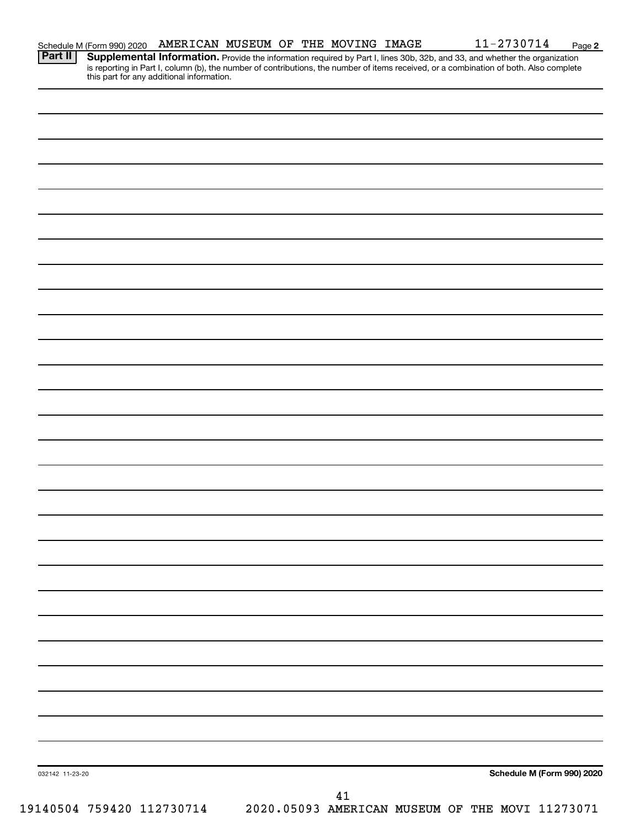|  | Schedule M (Form 990) 2020 | AMERICAN MUSEUM OF THE MOVING |  |  |  |  | <b>IMAGE</b> | <sup>ລ</sup> 730714<br>- | Page |  |
|--|----------------------------|-------------------------------|--|--|--|--|--------------|--------------------------|------|--|
|--|----------------------------|-------------------------------|--|--|--|--|--------------|--------------------------|------|--|

Provide the information required by Part I, lines 30b, 32b, and 33, and whether the organization is reporting in Part I, column (b), the number of contributions, the number of items received, or a combination of both. Also complete this part for any additional information. **Part II Supplemental Information.** 

| 032142 11-23-20           | Schedule M (Form 990) 2020                      |
|---------------------------|-------------------------------------------------|
|                           |                                                 |
|                           | 41                                              |
| 19140504 759420 112730714 | 2020.05093 AMERICAN MUSEUM OF THE MOVI 11273071 |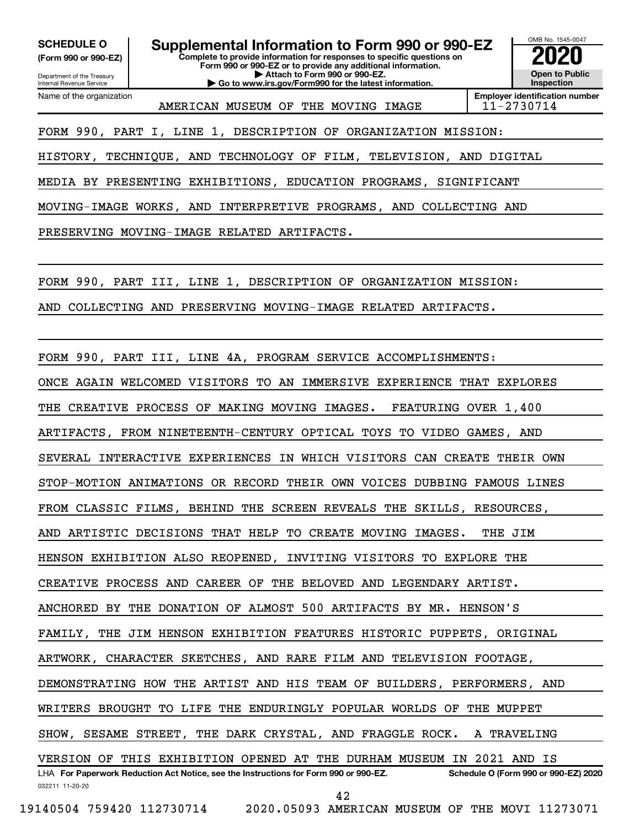**(Form 990 or 990-EZ)**

Department of the Treasury Internal Revenue Service Name of the organization

**Complete to provide information for responses to specific questions on Form 990 or 990-EZ or to provide any additional information. | Attach to Form 990 or 990-EZ. | Go to www.irs.gov/Form990 for the latest information. SCHEDULE O Supplemental Information to Form 990 or 990-EZ 2020**<br>(Form 990 or 990-EZ) Complete to provide information for responses to specific questions on



AMERICAN MUSEUM OF THE MOVING IMAGE  $11-2730714$ 

FORM 990, PART I, LINE 1, DESCRIPTION OF ORGANIZATION MISSION:

HISTORY, TECHNIQUE, AND TECHNOLOGY OF FILM, TELEVISION, AND DIGITAL

MEDIA BY PRESENTING EXHIBITIONS, EDUCATION PROGRAMS, SIGNIFICANT

MOVING-IMAGE WORKS, AND INTERPRETIVE PROGRAMS, AND COLLECTING AND

PRESERVING MOVING-IMAGE RELATED ARTIFACTS.

FORM 990, PART III, LINE 1, DESCRIPTION OF ORGANIZATION MISSION:

AND COLLECTING AND PRESERVING MOVING-IMAGE RELATED ARTIFACTS.

FORM 990, PART III, LINE 4A, PROGRAM SERVICE ACCOMPLISHMENTS:

ONCE AGAIN WELCOMED VISITORS TO AN IMMERSIVE EXPERIENCE THAT EXPLORES

ARTIFACTS, FROM NINETEENTH-CENTURY OPTICAL TOYS TO VIDEO GAMES, AND

THE CREATIVE PROCESS OF MAKING MOVING IMAGES. FEATURING OVER 1,400

SEVERAL INTERACTIVE EXPERIENCES IN WHICH VISITORS CAN CREATE THEIR OWN

STOP-MOTION ANIMATIONS OR RECORD THEIR OWN VOICES DUBBING FAMOUS LINES

FROM CLASSIC FILMS, BEHIND THE SCREEN REVEALS THE SKILLS, RESOURCES,

AND ARTISTIC DECISIONS THAT HELP TO CREATE MOVING IMAGES. THE JIM

HENSON EXHIBITION ALSO REOPENED, INVITING VISITORS TO EXPLORE THE

CREATIVE PROCESS AND CAREER OF THE BELOVED AND LEGENDARY ARTIST.

ANCHORED BY THE DONATION OF ALMOST 500 ARTIFACTS BY MR. HENSON'S

FAMILY, THE JIM HENSON EXHIBITION FEATURES HISTORIC PUPPETS, ORIGINAL

ARTWORK, CHARACTER SKETCHES, AND RARE FILM AND TELEVISION FOOTAGE,

DEMONSTRATING HOW THE ARTIST AND HIS TEAM OF BUILDERS, PERFORMERS, AND

WRITERS BROUGHT TO LIFE THE ENDURINGLY POPULAR WORLDS OF THE MUPPET

SHOW, SESAME STREET, THE DARK CRYSTAL, AND FRAGGLE ROCK. A TRAVELING

032211 11-20-20 **For Paperwork Reduction Act Notice, see the Instructions for Form 990 or 990-EZ. Schedule O (Form 990 or 990-EZ) 2020** LHA VERSION OF THIS EXHIBITION OPENED AT THE DURHAM MUSEUM IN 2021 AND IS

42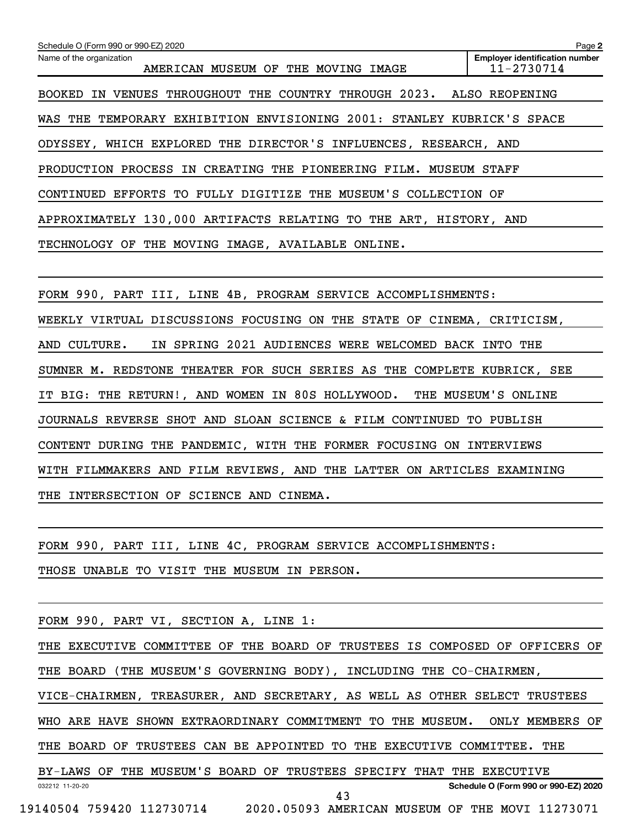| Schedule O (Form 990 or 990-EZ) 2020                                    | Page 2                                              |  |  |  |  |  |  |  |  |
|-------------------------------------------------------------------------|-----------------------------------------------------|--|--|--|--|--|--|--|--|
| Name of the organization<br>AMERICAN MUSEUM OF THE MOVING IMAGE         | <b>Employer identification number</b><br>11-2730714 |  |  |  |  |  |  |  |  |
| BOOKED IN VENUES THROUGHOUT THE COUNTRY THROUGH 2023. ALSO REOPENING    |                                                     |  |  |  |  |  |  |  |  |
| WAS THE TEMPORARY EXHIBITION ENVISIONING 2001: STANLEY KUBRICK'S SPACE  |                                                     |  |  |  |  |  |  |  |  |
| ODYSSEY, WHICH EXPLORED THE DIRECTOR'S INFLUENCES, RESEARCH, AND        |                                                     |  |  |  |  |  |  |  |  |
| PRODUCTION PROCESS IN CREATING THE PIONEERING FILM. MUSEUM STAFF        |                                                     |  |  |  |  |  |  |  |  |
| CONTINUED EFFORTS TO FULLY DIGITIZE THE MUSEUM'S COLLECTION OF          |                                                     |  |  |  |  |  |  |  |  |
| APPROXIMATELY 130,000 ARTIFACTS RELATING TO THE ART, HISTORY, AND       |                                                     |  |  |  |  |  |  |  |  |
| TECHNOLOGY OF THE MOVING IMAGE, AVAILABLE ONLINE.                       |                                                     |  |  |  |  |  |  |  |  |
|                                                                         |                                                     |  |  |  |  |  |  |  |  |
| FORM 990, PART III, LINE 4B, PROGRAM SERVICE ACCOMPLISHMENTS:           |                                                     |  |  |  |  |  |  |  |  |
| WEEKLY VIRTUAL DISCUSSIONS FOCUSING ON THE STATE OF CINEMA, CRITICISM,  |                                                     |  |  |  |  |  |  |  |  |
| IN SPRING 2021 AUDIENCES WERE WELCOMED BACK INTO THE<br>AND CULTURE.    |                                                     |  |  |  |  |  |  |  |  |
| SUMNER M. REDSTONE THEATER FOR SUCH SERIES AS THE COMPLETE KUBRICK, SEE |                                                     |  |  |  |  |  |  |  |  |
| IT BIG: THE RETURN!, AND WOMEN IN 80S HOLLYWOOD.                        | THE MUSEUM'S ONLINE                                 |  |  |  |  |  |  |  |  |
| JOURNALS REVERSE SHOT AND SLOAN SCIENCE & FILM CONTINUED TO PUBLISH     |                                                     |  |  |  |  |  |  |  |  |
| CONTENT DURING THE PANDEMIC, WITH THE FORMER FOCUSING ON INTERVIEWS     |                                                     |  |  |  |  |  |  |  |  |
| WITH FILMMAKERS AND FILM REVIEWS, AND THE LATTER ON ARTICLES EXAMINING  |                                                     |  |  |  |  |  |  |  |  |
| THE INTERSECTION OF SCIENCE AND CINEMA.                                 |                                                     |  |  |  |  |  |  |  |  |
|                                                                         |                                                     |  |  |  |  |  |  |  |  |
| FORM 990, PART III, LINE 4C, PROGRAM SERVICE ACCOMPLISHMENTS:           |                                                     |  |  |  |  |  |  |  |  |
| THOSE UNABLE TO VISIT THE MUSEUM IN PERSON.                             |                                                     |  |  |  |  |  |  |  |  |
|                                                                         |                                                     |  |  |  |  |  |  |  |  |
| FORM 990, PART VI, SECTION A, LINE 1:                                   |                                                     |  |  |  |  |  |  |  |  |
|                                                                         |                                                     |  |  |  |  |  |  |  |  |

032212 11-20-20 **Schedule O (Form 990 or 990-EZ) 2020** THE EXECUTIVE COMMITTEE OF THE BOARD OF TRUSTEES IS COMPOSED OF OFFICERS OF THE BOARD (THE MUSEUM'S GOVERNING BODY), INCLUDING THE CO-CHAIRMEN, VICE-CHAIRMEN, TREASURER, AND SECRETARY, AS WELL AS OTHER SELECT TRUSTEES WHO ARE HAVE SHOWN EXTRAORDINARY COMMITMENT TO THE MUSEUM. ONLY MEMBERS OF THE BOARD OF TRUSTEES CAN BE APPOINTED TO THE EXECUTIVE COMMITTEE. THE BY-LAWS OF THE MUSEUM'S BOARD OF TRUSTEES SPECIFY THAT THE EXECUTIVE

43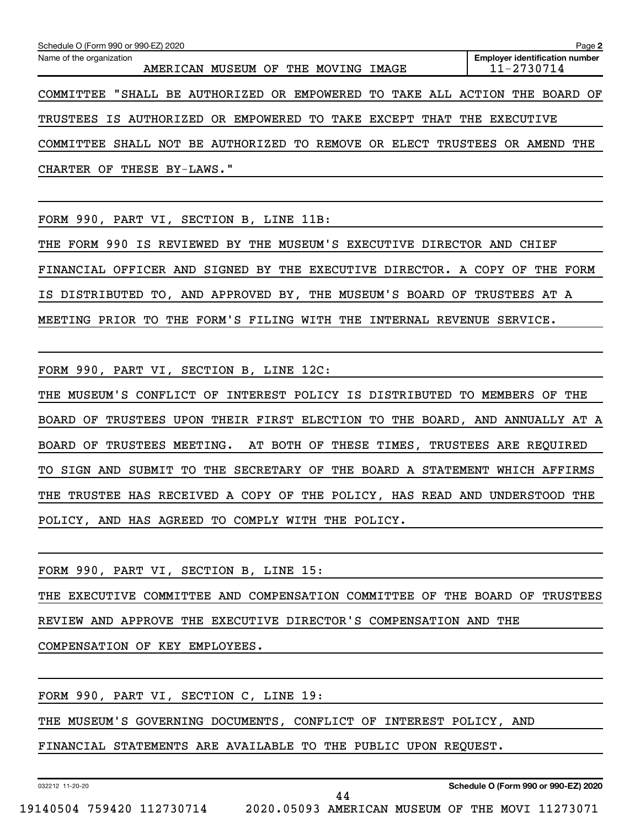| Schedule O (Form 990 or 990-EZ) 2020<br>Page 2 |                 |                               |  |                                                                       |                                                                             |  |  |  |  |  |  |
|------------------------------------------------|-----------------|-------------------------------|--|-----------------------------------------------------------------------|-----------------------------------------------------------------------------|--|--|--|--|--|--|
| Name of the organization                       |                 | AMERICAN MUSEUM OF THE MOVING |  | IMAGE                                                                 | <b>Employer identification number</b><br>11-2730714                         |  |  |  |  |  |  |
|                                                |                 |                               |  |                                                                       | COMMITTEE "SHALL BE AUTHORIZED OR EMPOWERED TO TAKE ALL ACTION THE BOARD OF |  |  |  |  |  |  |
|                                                |                 |                               |  | TRUSTEES IS AUTHORIZED OR EMPOWERED TO TAKE EXCEPT THAT THE EXECUTIVE |                                                                             |  |  |  |  |  |  |
| COMMITTEE                                      |                 |                               |  | SHALL NOT BE AUTHORIZED TO REMOVE OR ELECT TRUSTEES                   | AMEND THE<br>OR.                                                            |  |  |  |  |  |  |
| CHARTER OF                                     | THESE BY-LAWS." |                               |  |                                                                       |                                                                             |  |  |  |  |  |  |

FORM 990, PART VI, SECTION B, LINE 11B:

THE FORM 990 IS REVIEWED BY THE MUSEUM'S EXECUTIVE DIRECTOR AND CHIEF FINANCIAL OFFICER AND SIGNED BY THE EXECUTIVE DIRECTOR. A COPY OF THE FORM IS DISTRIBUTED TO, AND APPROVED BY, THE MUSEUM'S BOARD OF TRUSTEES AT A MEETING PRIOR TO THE FORM'S FILING WITH THE INTERNAL REVENUE SERVICE.

FORM 990, PART VI, SECTION B, LINE 12C:

THE MUSEUM'S CONFLICT OF INTEREST POLICY IS DISTRIBUTED TO MEMBERS OF THE BOARD OF TRUSTEES UPON THEIR FIRST ELECTION TO THE BOARD, AND ANNUALLY AT A BOARD OF TRUSTEES MEETING. AT BOTH OF THESE TIMES, TRUSTEES ARE REQUIRED TO SIGN AND SUBMIT TO THE SECRETARY OF THE BOARD A STATEMENT WHICH AFFIRMS THE TRUSTEE HAS RECEIVED A COPY OF THE POLICY, HAS READ AND UNDERSTOOD THE POLICY, AND HAS AGREED TO COMPLY WITH THE POLICY.

FORM 990, PART VI, SECTION B, LINE 15:

THE EXECUTIVE COMMITTEE AND COMPENSATION COMMITTEE OF THE BOARD OF TRUSTEES REVIEW AND APPROVE THE EXECUTIVE DIRECTOR'S COMPENSATION AND THE

COMPENSATION OF KEY EMPLOYEES.

FORM 990, PART VI, SECTION C, LINE 19:

THE MUSEUM'S GOVERNING DOCUMENTS, CONFLICT OF INTEREST POLICY, AND

FINANCIAL STATEMENTS ARE AVAILABLE TO THE PUBLIC UPON REQUEST.

032212 11-20-20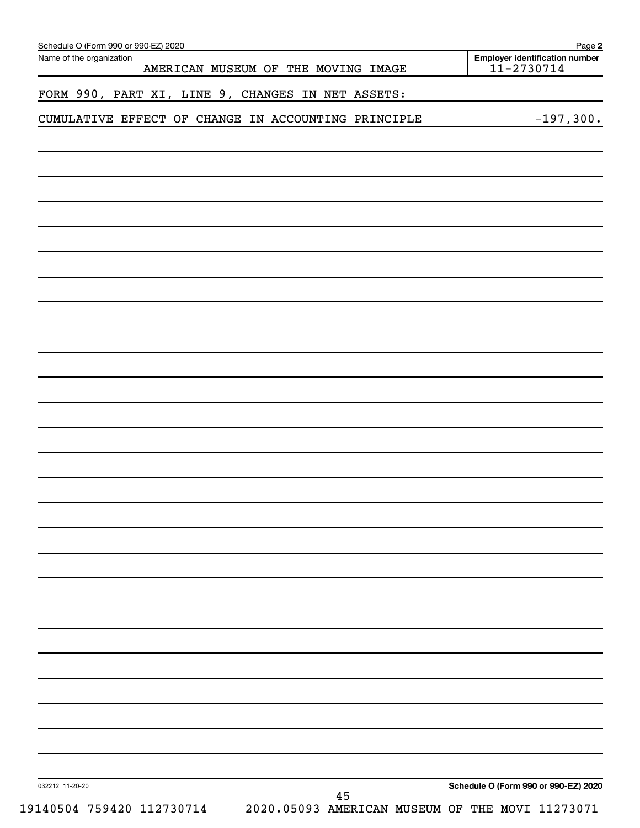| Name of the organization<br>AMERICAN MUSEUM OF THE MOVING IMAGE | <b>Employer identification number</b><br>$11 - 2730714$ |
|-----------------------------------------------------------------|---------------------------------------------------------|
| FORM 990, PART XI, LINE 9, CHANGES IN NET ASSETS:               |                                                         |
| CUMULATIVE EFFECT OF CHANGE IN ACCOUNTING PRINCIPLE             | $-197,300.$                                             |
|                                                                 |                                                         |
|                                                                 |                                                         |
|                                                                 |                                                         |
|                                                                 |                                                         |
|                                                                 |                                                         |
|                                                                 |                                                         |
|                                                                 |                                                         |
|                                                                 |                                                         |
|                                                                 |                                                         |
|                                                                 |                                                         |
|                                                                 |                                                         |
|                                                                 |                                                         |
|                                                                 |                                                         |
|                                                                 |                                                         |
|                                                                 |                                                         |
|                                                                 |                                                         |
|                                                                 |                                                         |
|                                                                 |                                                         |
|                                                                 |                                                         |
|                                                                 |                                                         |
|                                                                 |                                                         |
|                                                                 |                                                         |
|                                                                 |                                                         |
|                                                                 |                                                         |
|                                                                 |                                                         |
|                                                                 |                                                         |
|                                                                 |                                                         |
|                                                                 |                                                         |
| 032212 11-20-20<br>45                                           | Schedule O (Form 990 or 990-EZ) 2020                    |